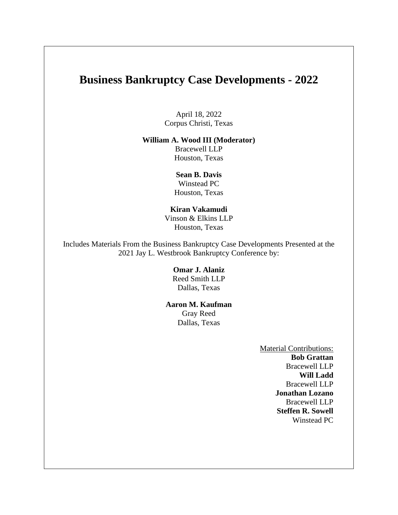# **Business Bankruptcy Case Developments - 2022**

April 18, 2022 Corpus Christi, Texas

#### **William A. Wood III (Moderator)**

Bracewell LLP Houston, Texas

**Sean B. Davis** Winstead PC Houston, Texas

# **Kiran Vakamudi**

Vinson & Elkins LLP Houston, Texas

Includes Materials From the Business Bankruptcy Case Developments Presented at the 2021 Jay L. Westbrook Bankruptcy Conference by:

> **Omar J. Alaniz** Reed Smith LLP Dallas, Texas

#### **Aaron M. Kaufman**

Gray Reed Dallas, Texas

> Material Contributions: **Bob Grattan**  Bracewell LLP **Will Ladd**  Bracewell LLP **Jonathan Lozano**  Bracewell LLP **Steffen R. Sowell**  Winstead PC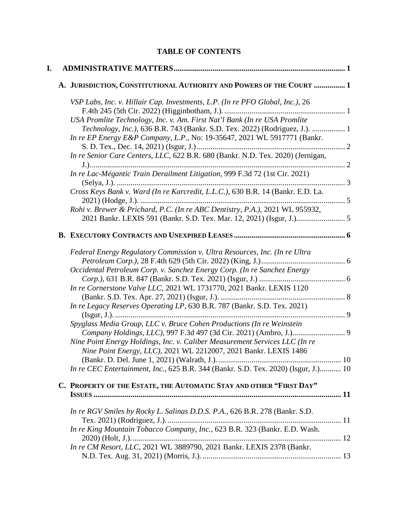# **TABLE OF CONTENTS**

| I. |                                                                                    |  |  |
|----|------------------------------------------------------------------------------------|--|--|
|    | A. JURISDICTION, CONSTITUTIONAL AUTHORITY AND POWERS OF THE COURT  1               |  |  |
|    | VSP Labs, Inc. v. Hillair Cap. Investments, L.P. (In re PFO Global, Inc.), 26      |  |  |
|    |                                                                                    |  |  |
|    | USA Promlite Technology, Inc. v. Am. First Nat'l Bank (In re USA Promlite          |  |  |
|    | Technology, Inc.), 636 B.R. 743 (Bankr. S.D. Tex. 2022) (Rodriguez, J.).  1        |  |  |
|    | In re EP Energy E&P Company, L.P., No: 19-35647, 2021 WL 5917771 (Bankr.           |  |  |
|    | In re Senior Care Centers, LLC, 622 B.R. 680 (Bankr. N.D. Tex. 2020) (Jernigan,    |  |  |
|    | In re Lac-Mégantic Train Derailment Litigation, 999 F.3d 72 (1st Cir. 2021)        |  |  |
|    | Cross Keys Bank v. Ward (In re Karcredit, L.L.C.), 630 B.R. 14 (Bankr. E.D. La.    |  |  |
|    | Rohi v. Brewer & Prichard, P.C. (In re ABC Dentistry, P.A.), 2021 WL 955932,       |  |  |
|    |                                                                                    |  |  |
|    |                                                                                    |  |  |
|    |                                                                                    |  |  |
|    | Federal Energy Regulatory Commission v. Ultra Resources, Inc. (In re Ultra         |  |  |
|    |                                                                                    |  |  |
|    | Occidental Petroleum Corp. v. Sanchez Energy Corp. (In re Sanchez Energy           |  |  |
|    |                                                                                    |  |  |
|    | In re Cornerstone Valve LLC, 2021 WL 1731770, 2021 Bankr. LEXIS 1120               |  |  |
|    |                                                                                    |  |  |
|    | In re Legacy Reserves Operating LP, 630 B.R. 787 (Bankr. S.D. Tex. 2021)           |  |  |
|    | Spyglass Media Group, LLC v. Bruce Cohen Productions (In re Weinstein              |  |  |
|    | Company Holdings, LLC), 997 F.3d 497 (3d Cir. 2021) (Ambro, J.) 9                  |  |  |
|    | Nine Point Energy Holdings, Inc. v. Caliber Measurement Services LLC (In re        |  |  |
|    | Nine Point Energy, LLC), 2021 WL 2212007, 2021 Bankr. LEXIS 1486                   |  |  |
|    |                                                                                    |  |  |
|    | In re CEC Entertainment, Inc., 625 B.R. 344 (Bankr. S.D. Tex. 2020) (Isgur, J.) 10 |  |  |
|    |                                                                                    |  |  |
|    | C. PROPERTY OF THE ESTATE, THE AUTOMATIC STAY AND OTHER "FIRST DAY"                |  |  |
|    |                                                                                    |  |  |
|    | In re RGV Smiles by Rocky L. Salinas D.D.S. P.A., 626 B.R. 278 (Bankr. S.D.        |  |  |
|    |                                                                                    |  |  |
|    | In re King Mountain Tobacco Company, Inc., 623 B.R. 323 (Bankr. E.D. Wash.         |  |  |
|    |                                                                                    |  |  |
|    | In re CM Resort, LLC, 2021 WL 3889790, 2021 Bankr. LEXIS 2378 (Bankr.              |  |  |
|    |                                                                                    |  |  |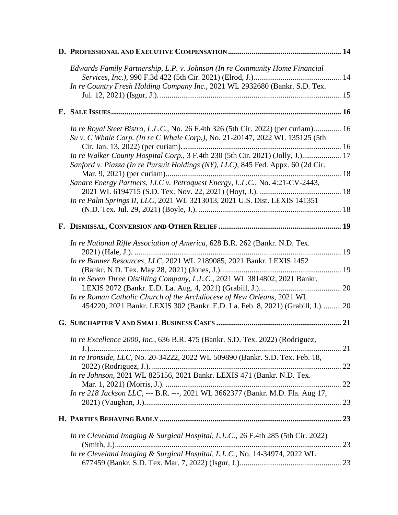|  | Edwards Family Partnership, L.P. v. Johnson (In re Community Home Financial                                                                                        |     |
|--|--------------------------------------------------------------------------------------------------------------------------------------------------------------------|-----|
|  | In re Country Fresh Holding Company Inc., 2021 WL 2932680 (Bankr. S.D. Tex.                                                                                        |     |
|  |                                                                                                                                                                    |     |
|  |                                                                                                                                                                    |     |
|  | In re Royal Steet Bistro, L.L.C., No. 26 F.4th 326 (5th Cir. 2022) (per curiam) 16<br>Su v. C Whale Corp. (In re C Whale Corp.), No. 21-20147, 2022 WL 135125 (5th |     |
|  |                                                                                                                                                                    |     |
|  | In re Walker County Hospital Corp., 3 F.4th 230 (5th Cir. 2021) (Jolly, J.) 17<br>Sanford v. Piazza (In re Pursuit Holdings (NY), LLC), 845 Fed. Appx. 60 (2d Cir. |     |
|  | Sanare Energy Partners, LLC v. Petroquest Energy, L.L.C., No. 4:21-CV-2443,                                                                                        |     |
|  |                                                                                                                                                                    |     |
|  | In re Palm Springs II, LLC, 2021 WL 3213013, 2021 U.S. Dist. LEXIS 141351                                                                                          |     |
|  |                                                                                                                                                                    |     |
|  |                                                                                                                                                                    |     |
|  | In re National Rifle Association of America, 628 B.R. 262 (Bankr. N.D. Tex.                                                                                        |     |
|  | In re Banner Resources, LLC, 2021 WL 2189085, 2021 Bankr. LEXIS 1452                                                                                               |     |
|  | In re Seven Three Distilling Company, L.L.C., 2021 WL 3814802, 2021 Bankr.                                                                                         |     |
|  | In re Roman Catholic Church of the Archdiocese of New Orleans, 2021 WL<br>454220, 2021 Bankr. LEXIS 302 (Bankr. E.D. La. Feb. 8, 2021) (Grabill, J.) 20            |     |
|  |                                                                                                                                                                    |     |
|  | In re Excellence 2000, Inc., 636 B.R. 475 (Bankr. S.D. Tex. 2022) (Rodriguez,                                                                                      |     |
|  | In re Ironside, LLC, No. 20-34222, 2022 WL 509890 (Bankr. S.D. Tex. Feb. 18,                                                                                       |     |
|  | In re Johnson, 2021 WL 825156, 2021 Bankr. LEXIS 471 (Bankr. N.D. Tex.                                                                                             |     |
|  | In re 218 Jackson LLC, --- B.R. ---, 2021 WL 3662377 (Bankr. M.D. Fla. Aug 17,                                                                                     |     |
|  |                                                                                                                                                                    |     |
|  |                                                                                                                                                                    | .23 |
|  | In re Cleveland Imaging & Surgical Hospital, L.L.C., 26 F.4th 285 (5th Cir. 2022)                                                                                  | 23  |
|  | In re Cleveland Imaging & Surgical Hospital, L.L.C., No. 14-34974, 2022 WL                                                                                         |     |
|  |                                                                                                                                                                    |     |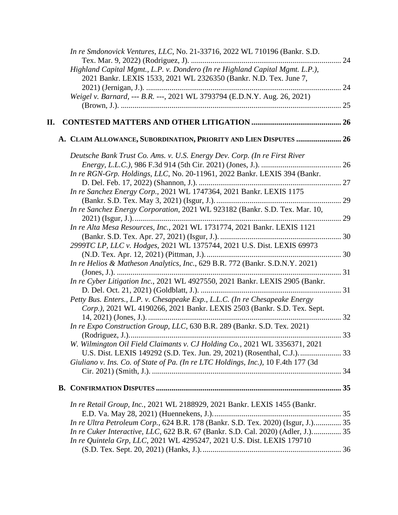|    | In re Smdonovick Ventures, LLC, No. 21-33716, 2022 WL 710196 (Bankr. S.D.         |    |
|----|-----------------------------------------------------------------------------------|----|
|    |                                                                                   |    |
|    | Highland Capital Mgmt., L.P. v. Dondero (In re Highland Capital Mgmt. L.P.),      |    |
|    | 2021 Bankr. LEXIS 1533, 2021 WL 2326350 (Bankr. N.D. Tex. June 7,                 |    |
|    |                                                                                   |    |
|    | Weigel v. Barnard, --- B.R. ---, 2021 WL 3793794 (E.D.N.Y. Aug. 26, 2021)         |    |
|    |                                                                                   | 25 |
| П. |                                                                                   |    |
|    | A. CLAIM ALLOWANCE, SUBORDINATION, PRIORITY AND LIEN DISPUTES  26                 |    |
|    | Deutsche Bank Trust Co. Ams. v. U.S. Energy Dev. Corp. (In re First River         |    |
|    |                                                                                   |    |
|    | In re RGN-Grp. Holdings, LLC, No. 20-11961, 2022 Bankr. LEXIS 394 (Bankr.         |    |
|    |                                                                                   |    |
|    | In re Sanchez Energy Corp., 2021 WL 1747364, 2021 Bankr. LEXIS 1175               |    |
|    |                                                                                   |    |
|    | In re Sanchez Energy Corporation, 2021 WL 923182 (Bankr. S.D. Tex. Mar. 10,       |    |
|    |                                                                                   |    |
|    | In re Alta Mesa Resources, Inc., 2021 WL 1731774, 2021 Bankr. LEXIS 1121          |    |
|    |                                                                                   |    |
|    | 2999TC LP, LLC v. Hodges, 2021 WL 1375744, 2021 U.S. Dist. LEXIS 69973            |    |
|    |                                                                                   |    |
|    | In re Helios & Matheson Analytics, Inc., 629 B.R. 772 (Bankr. S.D.N.Y. 2021)      |    |
|    |                                                                                   |    |
|    | In re Cyber Litigation Inc., 2021 WL 4927550, 2021 Bankr. LEXIS 2905 (Bankr.      |    |
|    |                                                                                   |    |
|    | Petty Bus. Enters., L.P. v. Chesapeake Exp., L.L.C. (In re Chesapeake Energy      |    |
|    | Corp.), 2021 WL 4190266, 2021 Bankr. LEXIS 2503 (Bankr. S.D. Tex. Sept.           |    |
|    |                                                                                   |    |
|    | In re Expo Construction Group, LLC, 630 B.R. 289 (Bankr. S.D. Tex. 2021)          |    |
|    |                                                                                   |    |
|    | W. Wilmington Oil Field Claimants v. CJ Holding Co., 2021 WL 3356371, 2021        |    |
|    |                                                                                   |    |
|    | Giuliano v. Ins. Co. of State of Pa. (In re LTC Holdings, Inc.), 10 F.4th 177 (3d |    |
|    |                                                                                   |    |
|    |                                                                                   |    |
|    |                                                                                   |    |
|    | In re Retail Group, Inc., 2021 WL 2188929, 2021 Bankr. LEXIS 1455 (Bankr.         |    |
|    |                                                                                   |    |
|    | In re Ultra Petroleum Corp., 624 B.R. 178 (Bankr. S.D. Tex. 2020) (Isgur, J.) 35  |    |
|    | In re Cuker Interactive, LLC, 622 B.R. 67 (Bankr. S.D. Cal. 2020) (Adler, J.) 35  |    |
|    | In re Quintela Grp, LLC, 2021 WL 4295247, 2021 U.S. Dist. LEXIS 179710            |    |
|    |                                                                                   |    |
|    |                                                                                   |    |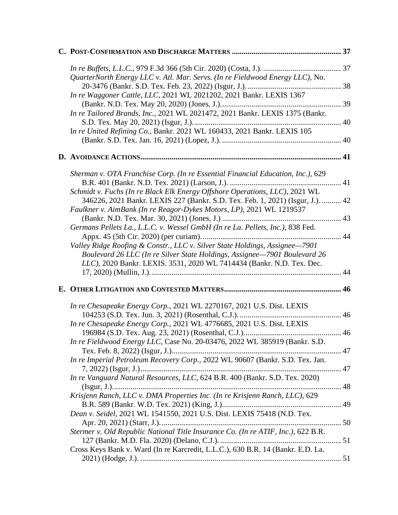| QuarterNorth Energy LLC v. Atl. Mar. Servs. (In re Fieldwood Energy LLC), No.                                                                                                                                                         |  |
|---------------------------------------------------------------------------------------------------------------------------------------------------------------------------------------------------------------------------------------|--|
| In re Waggoner Cattle, LLC, 2021 WL 2021202, 2021 Bankr. LEXIS 1367                                                                                                                                                                   |  |
| In re Tailored Brands, Inc., 2021 WL 2021472, 2021 Bankr. LEXIS 1375 (Bankr.                                                                                                                                                          |  |
| In re United Refining Co., Bankr. 2021 WL 160433, 2021 Bankr. LEXIS 105                                                                                                                                                               |  |
|                                                                                                                                                                                                                                       |  |
|                                                                                                                                                                                                                                       |  |
| Sherman v. OTA Franchise Corp. (In re Essential Financial Education, Inc.), 629                                                                                                                                                       |  |
| Schmidt v. Fuchs (In re Black Elk Energy Offshore Operations, LLC), 2021 WL<br>346226, 2021 Bankr. LEXIS 227 (Bankr. S.D. Tex. Feb. 1, 2021) (Isgur, J.).  42<br>Faulkner v. AimBank (In re Reagor-Dykes Motors, LP), 2021 WL 1219537 |  |
| Germans Pellets La., L.L.C. v. Wessel GmbH (In re La. Pellets, Inc.), 838 Fed.                                                                                                                                                        |  |
| Valley Ridge Roofing & Constr., LLC v. Silver State Holdings, Assignee-7901<br>Boulevard 26 LLC (In re Silver State Holdings, Assignee-7901 Boulevard 26<br>LLC), 2020 Bankr. LEXIS. 3531, 2020 WL 7414434 (Bankr. N.D. Tex. Dec.     |  |
|                                                                                                                                                                                                                                       |  |
| In re Chesapeake Energy Corp., 2021 WL 2270167, 2021 U.S. Dist. LEXIS                                                                                                                                                                 |  |
| In re Chesapeake Energy Corp., 2021 WL 4776685, 2021 U.S. Dist. LEXIS                                                                                                                                                                 |  |
| In re Fieldwood Energy LLC, Case No. 20-03476, 2022 WL 385919 (Bankr. S.D.                                                                                                                                                            |  |
| In re Imperial Petroleum Recovery Corp., 2022 WL 90607 (Bankr. S.D. Tex. Jan.                                                                                                                                                         |  |
| In re Vanguard Natural Resources, LLC, 624 B.R. 400 (Bankr. S.D. Tex. 2020)                                                                                                                                                           |  |
| Krisjenn Ranch, LLC v. DMA Properties Inc. (In re Krisjenn Ranch, LLC), 629                                                                                                                                                           |  |
| Dean v. Seidel, 2021 WL 1541550, 2021 U.S. Dist. LEXIS 75418 (N.D. Tex.                                                                                                                                                               |  |
| Stermer v. Old Republic National Title Insurance Co. (In re ATIF, Inc.), 622 B.R.                                                                                                                                                     |  |
| Cross Keys Bank v. Ward (In re Karcredit, L.L.C.), 630 B.R. 14 (Bankr. E.D. La.                                                                                                                                                       |  |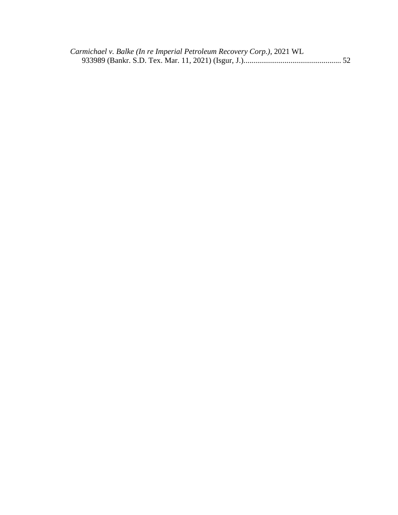| Carmichael v. Balke (In re Imperial Petroleum Recovery Corp.), 2021 WL |  |
|------------------------------------------------------------------------|--|
|                                                                        |  |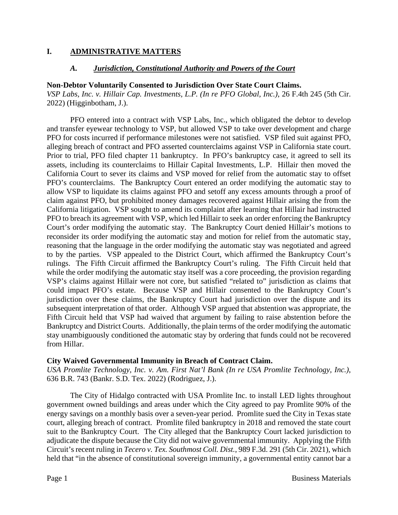### **I. ADMINISTRATIVE MATTERS**

### *A. Jurisdiction, Constitutional Authority and Powers of the Court*

### **Non-Debtor Voluntarily Consented to Jurisdiction Over State Court Claims.**

*VSP Labs, Inc. v. Hillair Cap. Investments, L.P. (In re PFO Global, Inc.)*, 26 F.4th 245 (5th Cir. 2022) (Higginbotham, J.).

PFO entered into a contract with VSP Labs, Inc., which obligated the debtor to develop and transfer eyewear technology to VSP, but allowed VSP to take over development and charge PFO for costs incurred if performance milestones were not satisfied. VSP filed suit against PFO, alleging breach of contract and PFO asserted counterclaims against VSP in California state court. Prior to trial, PFO filed chapter 11 bankruptcy. In PFO's bankruptcy case, it agreed to sell its assets, including its counterclaims to Hillair Capital Investments, L.P. Hillair then moved the California Court to sever its claims and VSP moved for relief from the automatic stay to offset PFO's counterclaims. The Bankruptcy Court entered an order modifying the automatic stay to allow VSP to liquidate its claims against PFO and setoff any excess amounts through a proof of claim against PFO, but prohibited money damages recovered against Hillair arising the from the California litigation. VSP sought to amend its complaint after learning that Hillair had instructed PFO to breach its agreement with VSP, which led Hillair to seek an order enforcing the Bankruptcy Court's order modifying the automatic stay. The Bankruptcy Court denied Hillair's motions to reconsider its order modifying the automatic stay and motion for relief from the automatic stay, reasoning that the language in the order modifying the automatic stay was negotiated and agreed to by the parties. VSP appealed to the District Court, which affirmed the Bankruptcy Court's rulings. The Fifth Circuit affirmed the Bankruptcy Court's ruling. The Fifth Circuit held that while the order modifying the automatic stay itself was a core proceeding, the provision regarding VSP's claims against Hillair were not core, but satisfied "related to" jurisdiction as claims that could impact PFO's estate. Because VSP and Hillair consented to the Bankruptcy Court's jurisdiction over these claims, the Bankruptcy Court had jurisdiction over the dispute and its subsequent interpretation of that order. Although VSP argued that abstention was appropriate, the Fifth Circuit held that VSP had waived that argument by failing to raise abstention before the Bankruptcy and District Courts. Additionally, the plain terms of the order modifying the automatic stay unambiguously conditioned the automatic stay by ordering that funds could not be recovered from Hillar.

### **City Waived Governmental Immunity in Breach of Contract Claim.**

*USA Promlite Technology, Inc. v. Am. First Nat'l Bank (In re USA Promlite Technology, Inc.)*, 636 B.R. 743 (Bankr. S.D. Tex. 2022) (Rodriguez, J.).

The City of Hidalgo contracted with USA Promlite Inc. to install LED lights throughout government owned buildings and areas under which the City agreed to pay Promlite 90% of the energy savings on a monthly basis over a seven-year period. Promlite sued the City in Texas state court, alleging breach of contract. Promlite filed bankruptcy in 2018 and removed the state court suit to the Bankruptcy Court. The City alleged that the Bankruptcy Court lacked jurisdiction to adjudicate the dispute because the City did not waive governmental immunity. Applying the Fifth Circuit's recent ruling in *Tecero v. Tex. Southmost Coll. Dist.*, 989 F.3d. 291 (5th Cir. 2021), which held that "in the absence of constitutional sovereign immunity, a governmental entity cannot bar a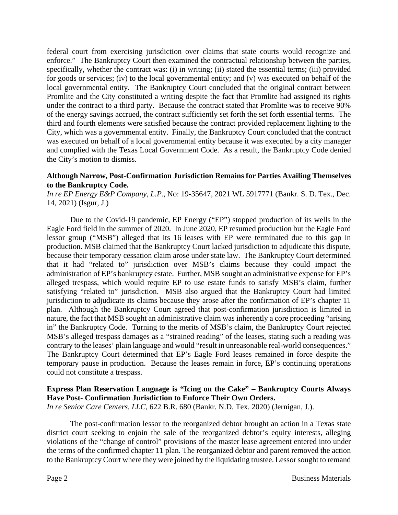federal court from exercising jurisdiction over claims that state courts would recognize and enforce." The Bankruptcy Court then examined the contractual relationship between the parties, specifically, whether the contract was: (i) in writing; (ii) stated the essential terms; (iii) provided for goods or services; (iv) to the local governmental entity; and (v) was executed on behalf of the local governmental entity. The Bankruptcy Court concluded that the original contract between Promlite and the City constituted a writing despite the fact that Promlite had assigned its rights under the contract to a third party. Because the contract stated that Promlite was to receive 90% of the energy savings accrued, the contract sufficiently set forth the set forth essential terms. The third and fourth elements were satisfied because the contract provided replacement lighting to the City, which was a governmental entity. Finally, the Bankruptcy Court concluded that the contract was executed on behalf of a local governmental entity because it was executed by a city manager and complied with the Texas Local Government Code. As a result, the Bankruptcy Code denied the City's motion to dismiss.

### **Although Narrow, Post-Confirmation Jurisdiction Remains for Parties Availing Themselves to the Bankruptcy Code.**

*In re EP Energy E&P Company, L.P.*, No: 19-35647, 2021 WL 5917771 (Bankr. S. D. Tex., Dec. 14, 2021) (Isgur, J.)

Due to the Covid-19 pandemic, EP Energy ("EP") stopped production of its wells in the Eagle Ford field in the summer of 2020. In June 2020, EP resumed production but the Eagle Ford lessor group ("MSB") alleged that its 16 leases with EP were terminated due to this gap in production. MSB claimed that the Bankruptcy Court lacked jurisdiction to adjudicate this dispute, because their temporary cessation claim arose under state law. The Bankruptcy Court determined that it had "related to" jurisdiction over MSB's claims because they could impact the administration of EP's bankruptcy estate. Further, MSB sought an administrative expense for EP's alleged trespass, which would require EP to use estate funds to satisfy MSB's claim, further satisfying "related to" jurisdiction. MSB also argued that the Bankruptcy Court had limited jurisdiction to adjudicate its claims because they arose after the confirmation of EP's chapter 11 plan. Although the Bankruptcy Court agreed that post-confirmation jurisdiction is limited in nature, the fact that MSB sought an administrative claim was inherently a core proceeding "arising in" the Bankruptcy Code. Turning to the merits of MSB's claim, the Bankruptcy Court rejected MSB's alleged trespass damages as a "strained reading" of the leases, stating such a reading was contrary to the leases' plain language and would "result in unreasonable real-world consequences." The Bankruptcy Court determined that EP's Eagle Ford leases remained in force despite the temporary pause in production. Because the leases remain in force, EP's continuing operations could not constitute a trespass.

# **Express Plan Reservation Language is "Icing on the Cake" – Bankruptcy Courts Always Have Post- Confirmation Jurisdiction to Enforce Their Own Orders.**

*In re Senior Care Centers, LLC,* 622 B.R. 680 (Bankr. N.D. Tex. 2020) (Jernigan, J.).

The post-confirmation lessor to the reorganized debtor brought an action in a Texas state district court seeking to enjoin the sale of the reorganized debtor's equity interests, alleging violations of the "change of control" provisions of the master lease agreement entered into under the terms of the confirmed chapter 11 plan. The reorganized debtor and parent removed the action to the Bankruptcy Court where they were joined by the liquidating trustee. Lessor sought to remand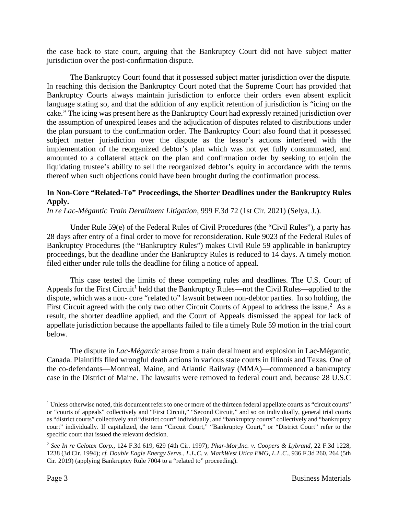the case back to state court, arguing that the Bankruptcy Court did not have subject matter jurisdiction over the post-confirmation dispute.

The Bankruptcy Court found that it possessed subject matter jurisdiction over the dispute. In reaching this decision the Bankruptcy Court noted that the Supreme Court has provided that Bankruptcy Courts always maintain jurisdiction to enforce their orders even absent explicit language stating so, and that the addition of any explicit retention of jurisdiction is "icing on the cake." The icing was present here as the Bankruptcy Court had expressly retained jurisdiction over the assumption of unexpired leases and the adjudication of disputes related to distributions under the plan pursuant to the confirmation order. The Bankruptcy Court also found that it possessed subject matter jurisdiction over the dispute as the lessor's actions interfered with the implementation of the reorganized debtor's plan which was not yet fully consummated, and amounted to a collateral attack on the plan and confirmation order by seeking to enjoin the liquidating trustee's ability to sell the reorganized debtor's equity in accordance with the terms thereof when such objections could have been brought during the confirmation process.

### **In Non-Core "Related-To" Proceedings, the Shorter Deadlines under the Bankruptcy Rules Apply.**

*In re Lac-Mégantic Train Derailment Litigation*, 999 F.3d 72 (1st Cir. 2021) (Selya, J.).

Under Rule 59(e) of the Federal Rules of Civil Procedures (the "Civil Rules"), a party has 28 days after entry of a final order to move for reconsideration. Rule 9023 of the Federal Rules of Bankruptcy Procedures (the "Bankruptcy Rules") makes Civil Rule 59 applicable in bankruptcy proceedings, but the deadline under the Bankruptcy Rules is reduced to 14 days. A timely motion filed either under rule tolls the deadline for filing a notice of appeal.

This case tested the limits of these competing rules and deadlines. The U.S. Court of Appeals for the First Circuit<sup>1</sup> held that the Bankruptcy Rules—not the Civil Rules—applied to the dispute, which was a non- core "related to" lawsuit between non-debtor parties. In so holding, the First Circuit agreed with the only two other Circuit Courts of Appeal to address the issue.<sup>2</sup> As a result, the shorter deadline applied, and the Court of Appeals dismissed the appeal for lack of appellate jurisdiction because the appellants failed to file a timely Rule 59 motion in the trial court below.

The dispute in *Lac-Mégantic* arose from a train derailment and explosion in Lac-Mégantic, Canada. Plaintiffs filed wrongful death actions in various state courts in Illinois and Texas. One of the co-defendants—Montreal, Maine, and Atlantic Railway (MMA)—commenced a bankruptcy case in the District of Maine. The lawsuits were removed to federal court and, because 28 U.S.C

<sup>&</sup>lt;sup>1</sup> Unless otherwise noted, this document refers to one or more of the thirteen federal appellate courts as "circuit courts" or "courts of appeals" collectively and "First Circuit," "Second Circuit," and so on individually, general trial courts as "district courts" collectively and "district court" individually, and "bankruptcy courts" collectively and "bankruptcy court" individually. If capitalized, the term "Circuit Court," "Bankruptcy Court," or "District Court" refer to the specific court that issued the relevant decision.

<sup>2</sup> *See In re Celotex Corp.*, 124 F.3d 619, 629 (4th Cir. 1997); *Phar-Mor,Inc. v. Coopers & Lybrand*, 22 F.3d 1228, 1238 (3d Cir. 1994); *cf. Double Eagle Energy Servs., L.L.C. v. MarkWest Utica EMG, L.L.C.*, 936 F.3d 260, 264 (5th Cir. 2019) (applying Bankruptcy Rule 7004 to a "related to" proceeding).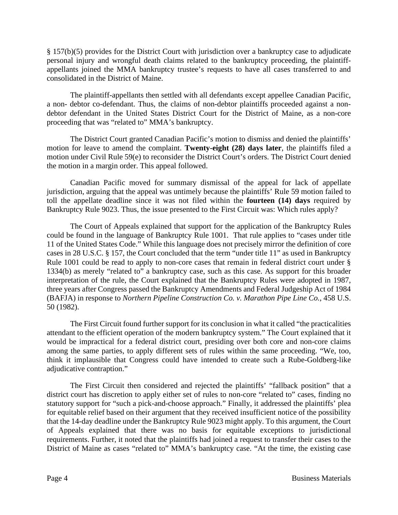§ 157(b)(5) provides for the District Court with jurisdiction over a bankruptcy case to adjudicate personal injury and wrongful death claims related to the bankruptcy proceeding, the plaintiffappellants joined the MMA bankruptcy trustee's requests to have all cases transferred to and consolidated in the District of Maine.

The plaintiff-appellants then settled with all defendants except appellee Canadian Pacific, a non- debtor co-defendant. Thus, the claims of non-debtor plaintiffs proceeded against a nondebtor defendant in the United States District Court for the District of Maine, as a non-core proceeding that was "related to" MMA's bankruptcy.

The District Court granted Canadian Pacific's motion to dismiss and denied the plaintiffs' motion for leave to amend the complaint. **Twenty-eight (28) days later**, the plaintiffs filed a motion under Civil Rule 59(e) to reconsider the District Court's orders. The District Court denied the motion in a margin order. This appeal followed.

Canadian Pacific moved for summary dismissal of the appeal for lack of appellate jurisdiction, arguing that the appeal was untimely because the plaintiffs' Rule 59 motion failed to toll the appellate deadline since it was not filed within the **fourteen (14) days** required by Bankruptcy Rule 9023. Thus, the issue presented to the First Circuit was: Which rules apply?

The Court of Appeals explained that support for the application of the Bankruptcy Rules could be found in the language of Bankruptcy Rule 1001. That rule applies to "cases under title 11 of the United States Code." While this language does not precisely mirror the definition of core cases in 28 U.S.C. § 157, the Court concluded that the term "under title 11" as used in Bankruptcy Rule 1001 could be read to apply to non-core cases that remain in federal district court under § 1334(b) as merely "related to" a bankruptcy case, such as this case. As support for this broader interpretation of the rule, the Court explained that the Bankruptcy Rules were adopted in 1987, three years after Congress passed the Bankruptcy Amendments and Federal Judgeship Act of 1984 (BAFJA) in response to *Northern Pipeline Construction Co. v. Marathon Pipe Line Co.*, 458 U.S. 50 (1982).

The First Circuit found further support for its conclusion in what it called "the practicalities attendant to the efficient operation of the modern bankruptcy system." The Court explained that it would be impractical for a federal district court, presiding over both core and non-core claims among the same parties, to apply different sets of rules within the same proceeding. "We, too, think it implausible that Congress could have intended to create such a Rube-Goldberg-like adjudicative contraption."

The First Circuit then considered and rejected the plaintiffs' "fallback position" that a district court has discretion to apply either set of rules to non-core "related to" cases, finding no statutory support for "such a pick-and-choose approach." Finally, it addressed the plaintiffs' plea for equitable relief based on their argument that they received insufficient notice of the possibility that the 14-day deadline under the Bankruptcy Rule 9023 might apply. To this argument, the Court of Appeals explained that there was no basis for equitable exceptions to jurisdictional requirements. Further, it noted that the plaintiffs had joined a request to transfer their cases to the District of Maine as cases "related to" MMA's bankruptcy case. "At the time, the existing case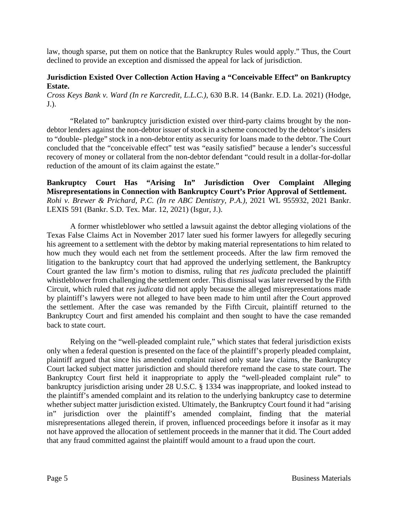law, though sparse, put them on notice that the Bankruptcy Rules would apply." Thus, the Court declined to provide an exception and dismissed the appeal for lack of jurisdiction.

### **Jurisdiction Existed Over Collection Action Having a "Conceivable Effect" on Bankruptcy Estate.**

*Cross Keys Bank v. Ward (In re Karcredit, L.L.C.)*, 630 B.R. 14 (Bankr. E.D. La. 2021) (Hodge, J.).

"Related to" bankruptcy jurisdiction existed over third-party claims brought by the nondebtor lenders against the non-debtor issuer of stock in a scheme concocted by the debtor's insiders to "double- pledge" stock in a non-debtor entity as security for loans made to the debtor. The Court concluded that the "conceivable effect" test was "easily satisfied" because a lender's successful recovery of money or collateral from the non-debtor defendant "could result in a dollar-for-dollar reduction of the amount of its claim against the estate."

**Bankruptcy Court Has "Arising In" Jurisdiction Over Complaint Alleging Misrepresentations in Connection with Bankruptcy Court's Prior Approval of Settlement.**  *Rohi v. Brewer & Prichard, P.C. (In re ABC Dentistry, P.A.)*, 2021 WL 955932, 2021 Bankr. LEXIS 591 (Bankr. S.D. Tex. Mar. 12, 2021) (Isgur, J.).

A former whistleblower who settled a lawsuit against the debtor alleging violations of the Texas False Claims Act in November 2017 later sued his former lawyers for allegedly securing his agreement to a settlement with the debtor by making material representations to him related to how much they would each net from the settlement proceeds. After the law firm removed the litigation to the bankruptcy court that had approved the underlying settlement, the Bankruptcy Court granted the law firm's motion to dismiss, ruling that *res judicata* precluded the plaintiff whistleblower from challenging the settlement order. This dismissal was later reversed by the Fifth Circuit, which ruled that *res judicata* did not apply because the alleged misrepresentations made by plaintiff's lawyers were not alleged to have been made to him until after the Court approved the settlement. After the case was remanded by the Fifth Circuit, plaintiff returned to the Bankruptcy Court and first amended his complaint and then sought to have the case remanded back to state court.

Relying on the "well-pleaded complaint rule," which states that federal jurisdiction exists only when a federal question is presented on the face of the plaintiff's properly pleaded complaint, plaintiff argued that since his amended complaint raised only state law claims, the Bankruptcy Court lacked subject matter jurisdiction and should therefore remand the case to state court. The Bankruptcy Court first held it inappropriate to apply the "well-pleaded complaint rule" to bankruptcy jurisdiction arising under 28 U.S.C. § 1334 was inappropriate, and looked instead to the plaintiff's amended complaint and its relation to the underlying bankruptcy case to determine whether subject matter jurisdiction existed. Ultimately, the Bankruptcy Court found it had "arising in" jurisdiction over the plaintiff's amended complaint, finding that the material misrepresentations alleged therein, if proven, influenced proceedings before it insofar as it may not have approved the allocation of settlement proceeds in the manner that it did. The Court added that any fraud committed against the plaintiff would amount to a fraud upon the court.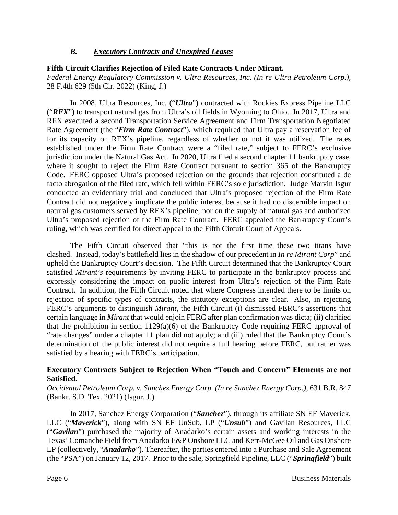### *B. Executory Contracts and Unexpired Leases*

### **Fifth Circuit Clarifies Rejection of Filed Rate Contracts Under Mirant.**

*Federal Energy Regulatory Commission v. Ultra Resources, Inc. (In re Ultra Petroleum Corp.),*  28 F.4th 629 (5th Cir. 2022) (King, J.)

In 2008, Ultra Resources, Inc. ("*Ultra*") contracted with Rockies Express Pipeline LLC ("*REX*") to transport natural gas from Ultra's oil fields in Wyoming to Ohio. In 2017, Ultra and REX executed a second Transportation Service Agreement and Firm Transportation Negotiated Rate Agreement (the "*Firm Rate Contract*"), which required that Ultra pay a reservation fee of for its capacity on REX's pipeline, regardless of whether or not it was utilized. The rates established under the Firm Rate Contract were a "filed rate," subject to FERC's exclusive jurisdiction under the Natural Gas Act. In 2020, Ultra filed a second chapter 11 bankruptcy case, where it sought to reject the Firm Rate Contract pursuant to section 365 of the Bankruptcy Code. FERC opposed Ultra's proposed rejection on the grounds that rejection constituted a de facto abrogation of the filed rate, which fell within FERC's sole jurisdiction. Judge Marvin Isgur conducted an evidentiary trial and concluded that Ultra's proposed rejection of the Firm Rate Contract did not negatively implicate the public interest because it had no discernible impact on natural gas customers served by REX's pipeline, nor on the supply of natural gas and authorized Ultra's proposed rejection of the Firm Rate Contract. FERC appealed the Bankruptcy Court's ruling, which was certified for direct appeal to the Fifth Circuit Court of Appeals.

The Fifth Circuit observed that "this is not the first time these two titans have clashed. Instead, today's battlefield lies in the shadow of our precedent in *In re Mirant Corp*" and upheld the Bankruptcy Court's decision. The Fifth Circuit determined that the Bankruptcy Court satisfied *Mirant's* requirements by inviting FERC to participate in the bankruptcy process and expressly considering the impact on public interest from Ultra's rejection of the Firm Rate Contract. In addition, the Fifth Circuit noted that where Congress intended there to be limits on rejection of specific types of contracts, the statutory exceptions are clear. Also, in rejecting FERC's arguments to distinguish *Mirant*, the Fifth Circuit (i) dismissed FERC's assertions that certain language in *Mirant* that would enjoin FERC after plan confirmation was dicta; (ii) clarified that the prohibition in section  $1129(a)(6)$  of the Bankruptcy Code requiring FERC approval of "rate changes" under a chapter 11 plan did not apply; and (iii) ruled that the Bankruptcy Court's determination of the public interest did not require a full hearing before FERC, but rather was satisfied by a hearing with FERC's participation.

### **Executory Contracts Subject to Rejection When "Touch and Concern" Elements are not Satisfied.**

*Occidental Petroleum Corp. v. Sanchez Energy Corp. (In re Sanchez Energy Corp.)*, 631 B.R. 847 (Bankr. S.D. Tex. 2021) (Isgur, J.)

In 2017, Sanchez Energy Corporation ("*Sanchez*"), through its affiliate SN EF Maverick, LLC ("*Maverick*"), along with SN EF UnSub, LP ("*Unsub*") and Gavilan Resources, LLC ("*Gavilan*") purchased the majority of Anadarko's certain assets and working interests in the Texas' Comanche Field from Anadarko E&P Onshore LLC and Kerr-McGee Oil and Gas Onshore LP (collectively, "*Anadarko*"). Thereafter, the parties entered into a Purchase and Sale Agreement (the "PSA") on January 12, 2017. Prior to the sale, Springfield Pipeline, LLC ("*Springfield*") built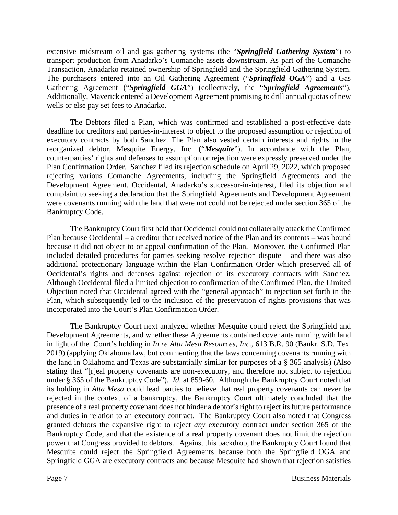extensive midstream oil and gas gathering systems (the "*Springfield Gathering System*") to transport production from Anadarko's Comanche assets downstream. As part of the Comanche Transaction, Anadarko retained ownership of Springfield and the Springfield Gathering System. The purchasers entered into an Oil Gathering Agreement ("*Springfield OGA*") and a Gas Gathering Agreement ("*Springfield GGA*") (collectively, the "*Springfield Agreements*"). Additionally, Maverick entered a Development Agreement promising to drill annual quotas of new wells or else pay set fees to Anadarko.

The Debtors filed a Plan, which was confirmed and established a post-effective date deadline for creditors and parties-in-interest to object to the proposed assumption or rejection of executory contracts by both Sanchez. The Plan also vested certain interests and rights in the reorganized debtor, Mesquite Energy, Inc. ("*Mesquite*"). In accordance with the Plan, counterparties' rights and defenses to assumption or rejection were expressly preserved under the Plan Confirmation Order. Sanchez filed its rejection schedule on April 29, 2022, which proposed rejecting various Comanche Agreements, including the Springfield Agreements and the Development Agreement. Occidental, Anadarko's successor-in-interest, filed its objection and complaint to seeking a declaration that the Springfield Agreements and Development Agreement were covenants running with the land that were not could not be rejected under section 365 of the Bankruptcy Code.

The Bankruptcy Court first held that Occidental could not collaterally attack the Confirmed Plan because Occidental – a creditor that received notice of the Plan and its contents – was bound because it did not object to or appeal confirmation of the Plan. Moreover, the Confirmed Plan included detailed procedures for parties seeking resolve rejection dispute – and there was also additional protectionary language within the Plan Confirmation Order which preserved all of Occidental's rights and defenses against rejection of its executory contracts with Sanchez. Although Occidental filed a limited objection to confirmation of the Confirmed Plan, the Limited Objection noted that Occidental agreed with the "general approach" to rejection set forth in the Plan, which subsequently led to the inclusion of the preservation of rights provisions that was incorporated into the Court's Plan Confirmation Order.

The Bankruptcy Court next analyzed whether Mesquite could reject the Springfield and Development Agreements, and whether these Agreements contained covenants running with land in light of the Court's holding in *In re Alta Mesa Resources, Inc.,* 613 B.R. 90 (Bankr. S.D. Tex. 2019) (applying Oklahoma law, but commenting that the laws concerning covenants running with the land in Oklahoma and Texas are substantially similar for purposes of a § 365 analysis) (Also stating that "[r]eal property covenants are non-executory, and therefore not subject to rejection under § 365 of the Bankruptcy Code"). *Id.* at 859-60. Although the Bankruptcy Court noted that its holding in *Alta Mesa* could lead parties to believe that real property covenants can never be rejected in the context of a bankruptcy, the Bankruptcy Court ultimately concluded that the presence of a real property covenant does not hinder a debtor's right to reject its future performance and duties in relation to an executory contract. The Bankruptcy Court also noted that Congress granted debtors the expansive right to reject *any* executory contract under section 365 of the Bankruptcy Code, and that the existence of a real property covenant does not limit the rejection power that Congress provided to debtors. Against this backdrop, the Bankruptcy Court found that Mesquite could reject the Springfield Agreements because both the Springfield OGA and Springfield GGA are executory contracts and because Mesquite had shown that rejection satisfies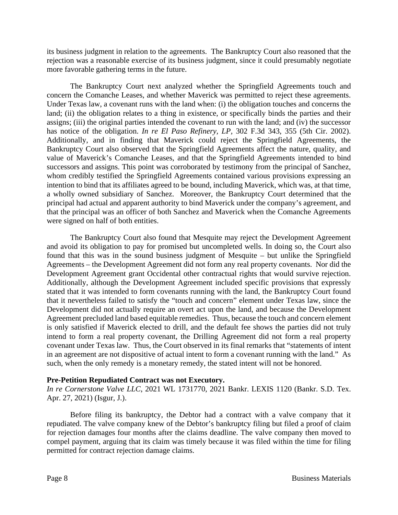its business judgment in relation to the agreements. The Bankruptcy Court also reasoned that the rejection was a reasonable exercise of its business judgment, since it could presumably negotiate more favorable gathering terms in the future.

The Bankruptcy Court next analyzed whether the Springfield Agreements touch and concern the Comanche Leases, and whether Maverick was permitted to reject these agreements. Under Texas law, a covenant runs with the land when: (i) the obligation touches and concerns the land; (ii) the obligation relates to a thing in existence, or specifically binds the parties and their assigns; (iii) the original parties intended the covenant to run with the land; and (iv) the successor has notice of the obligation. *In re El Paso Refinery, LP,* 302 F.3d 343, 355 (5th Cir. 2002). Additionally, and in finding that Maverick could reject the Springfield Agreements, the Bankruptcy Court also observed that the Springfield Agreements affect the nature, quality, and value of Maverick's Comanche Leases, and that the Springfield Agreements intended to bind successors and assigns. This point was corroborated by testimony from the principal of Sanchez, whom credibly testified the Springfield Agreements contained various provisions expressing an intention to bind that its affiliates agreed to be bound, including Maverick, which was, at that time, a wholly owned subsidiary of Sanchez. Moreover, the Bankruptcy Court determined that the principal had actual and apparent authority to bind Maverick under the company's agreement, and that the principal was an officer of both Sanchez and Maverick when the Comanche Agreements were signed on half of both entities.

The Bankruptcy Court also found that Mesquite may reject the Development Agreement and avoid its obligation to pay for promised but uncompleted wells. In doing so, the Court also found that this was in the sound business judgment of Mesquite – but unlike the Springfield Agreements – the Development Agreement did not form any real property covenants. Nor did the Development Agreement grant Occidental other contractual rights that would survive rejection. Additionally, although the Development Agreement included specific provisions that expressly stated that it was intended to form covenants running with the land, the Bankruptcy Court found that it nevertheless failed to satisfy the "touch and concern" element under Texas law, since the Development did not actually require an overt act upon the land, and because the Development Agreement precluded land based equitable remedies. Thus, because the touch and concern element is only satisfied if Maverick elected to drill, and the default fee shows the parties did not truly intend to form a real property covenant, the Drilling Agreement did not form a real property covenant under Texas law. Thus, the Court observed in its final remarks that "statements of intent in an agreement are not dispositive of actual intent to form a covenant running with the land." As such, when the only remedy is a monetary remedy, the stated intent will not be honored.

### **Pre-Petition Repudiated Contract was not Executory.**

*In re Cornerstone Valve LLC*, 2021 WL 1731770, 2021 Bankr. LEXIS 1120 (Bankr. S.D. Tex. Apr. 27, 2021) (Isgur, J.).

Before filing its bankruptcy, the Debtor had a contract with a valve company that it repudiated. The valve company knew of the Debtor's bankruptcy filing but filed a proof of claim for rejection damages four months after the claims deadline. The valve company then moved to compel payment, arguing that its claim was timely because it was filed within the time for filing permitted for contract rejection damage claims.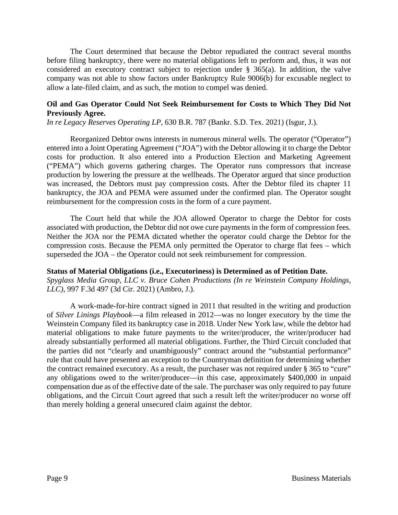The Court determined that because the Debtor repudiated the contract several months before filing bankruptcy, there were no material obligations left to perform and, thus, it was not considered an executory contract subject to rejection under § 365(a). In addition, the valve company was not able to show factors under Bankruptcy Rule 9006(b) for excusable neglect to allow a late-filed claim, and as such, the motion to compel was denied.

### **Oil and Gas Operator Could Not Seek Reimbursement for Costs to Which They Did Not Previously Agree.**

*In re Legacy Reserves Operating LP*, 630 B.R. 787 (Bankr. S.D. Tex. 2021) (Isgur, J.).

Reorganized Debtor owns interests in numerous mineral wells. The operator ("Operator") entered into a Joint Operating Agreement ("JOA") with the Debtor allowing it to charge the Debtor costs for production. It also entered into a Production Election and Marketing Agreement ("PEMA") which governs gathering charges. The Operator runs compressors that increase production by lowering the pressure at the wellheads. The Operator argued that since production was increased, the Debtors must pay compression costs. After the Debtor filed its chapter 11 bankruptcy, the JOA and PEMA were assumed under the confirmed plan. The Operator sought reimbursement for the compression costs in the form of a cure payment.

The Court held that while the JOA allowed Operator to charge the Debtor for costs associated with production, the Debtor did not owe cure payments in the form of compression fees. Neither the JOA nor the PEMA dictated whether the operator could charge the Debtor for the compression costs. Because the PEMA only permitted the Operator to charge flat fees – which superseded the JOA – the Operator could not seek reimbursement for compression.

### **Status of Material Obligations (i.e., Executoriness) is Determined as of Petition Date.**

*Spyglass Media Group, LLC v. Bruce Cohen Productions (In re Weinstein Company Holdings, LLC)*, 997 F.3d 497 (3d Cir. 2021) (Ambro, J.).

A work-made-for-hire contract signed in 2011 that resulted in the writing and production of *Silver Linings Playbook*—a film released in 2012—was no longer executory by the time the Weinstein Company filed its bankruptcy case in 2018. Under New York law, while the debtor had material obligations to make future payments to the writer/producer, the writer/producer had already substantially performed all material obligations. Further, the Third Circuit concluded that the parties did not "clearly and unambiguously" contract around the "substantial performance" rule that could have presented an exception to the Countryman definition for determining whether the contract remained executory. As a result, the purchaser was not required under § 365 to "cure" any obligations owed to the writer/producer—in this case, approximately \$400,000 in unpaid compensation due as of the effective date of the sale. The purchaser was only required to pay future obligations, and the Circuit Court agreed that such a result left the writer/producer no worse off than merely holding a general unsecured claim against the debtor.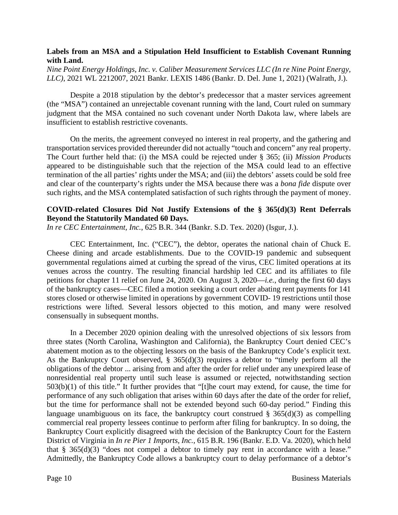### **Labels from an MSA and a Stipulation Held Insufficient to Establish Covenant Running with Land.**

*Nine Point Energy Holdings, Inc. v. Caliber Measurement Services LLC (In re Nine Point Energy, LLC)*, 2021 WL 2212007, 2021 Bankr. LEXIS 1486 (Bankr. D. Del. June 1, 2021) (Walrath, J.).

Despite a 2018 stipulation by the debtor's predecessor that a master services agreement (the "MSA") contained an unrejectable covenant running with the land, Court ruled on summary judgment that the MSA contained no such covenant under North Dakota law, where labels are insufficient to establish restrictive covenants.

On the merits, the agreement conveyed no interest in real property, and the gathering and transportation services provided thereunder did not actually "touch and concern" any real property. The Court further held that: (i) the MSA could be rejected under § 365; (ii) *Mission Products* appeared to be distinguishable such that the rejection of the MSA could lead to an effective termination of the all parties' rights under the MSA; and (iii) the debtors' assets could be sold free and clear of the counterparty's rights under the MSA because there was a *bona fide* dispute over such rights, and the MSA contemplated satisfaction of such rights through the payment of money.

### **COVID-related Closures Did Not Justify Extensions of the § 365(d)(3) Rent Deferrals Beyond the Statutorily Mandated 60 Days.**

*In re CEC Entertainment, Inc.*, 625 B.R. 344 (Bankr. S.D. Tex. 2020) (Isgur, J.).

CEC Entertainment, Inc. ("CEC"), the debtor, operates the national chain of Chuck E. Cheese dining and arcade establishments. Due to the COVID-19 pandemic and subsequent governmental regulations aimed at curbing the spread of the virus, CEC limited operations at its venues across the country. The resulting financial hardship led CEC and its affiliates to file petitions for chapter 11 relief on June 24, 2020. On August 3, 2020—*i.e.*, during the first 60 days of the bankruptcy cases—CEC filed a motion seeking a court order abating rent payments for 141 stores closed or otherwise limited in operations by government COVID- 19 restrictions until those restrictions were lifted. Several lessors objected to this motion, and many were resolved consensually in subsequent months.

In a December 2020 opinion dealing with the unresolved objections of six lessors from three states (North Carolina, Washington and California), the Bankruptcy Court denied CEC's abatement motion as to the objecting lessors on the basis of the Bankruptcy Code's explicit text. As the Bankruptcy Court observed, § 365(d)(3) requires a debtor to "timely perform all the obligations of the debtor ... arising from and after the order for relief under any unexpired lease of nonresidential real property until such lease is assumed or rejected, notwithstanding section 503(b)(1) of this title." It further provides that "[t]he court may extend, for cause, the time for performance of any such obligation that arises within 60 days after the date of the order for relief, but the time for performance shall not be extended beyond such 60-day period." Finding this language unambiguous on its face, the bankruptcy court construed  $\S$  365(d)(3) as compelling commercial real property lessees continue to perform after filing for bankruptcy. In so doing, the Bankruptcy Court explicitly disagreed with the decision of the Bankruptcy Court for the Eastern District of Virginia in *In re Pier 1 Imports, Inc.*, 615 B.R. 196 (Bankr. E.D. Va. 2020), which held that  $\S$  365(d)(3) "does not compel a debtor to timely pay rent in accordance with a lease." Admittedly, the Bankruptcy Code allows a bankruptcy court to delay performance of a debtor's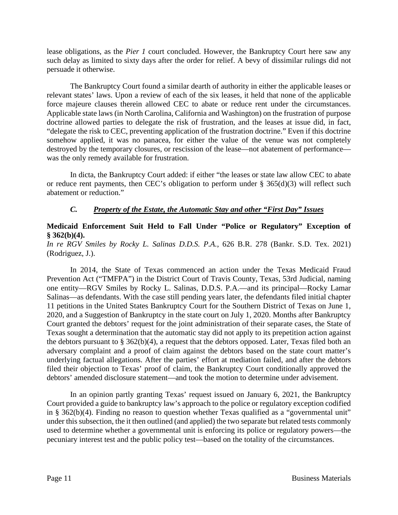lease obligations, as the *Pier 1* court concluded. However, the Bankruptcy Court here saw any such delay as limited to sixty days after the order for relief. A bevy of dissimilar rulings did not persuade it otherwise.

The Bankruptcy Court found a similar dearth of authority in either the applicable leases or relevant states' laws. Upon a review of each of the six leases, it held that none of the applicable force majeure clauses therein allowed CEC to abate or reduce rent under the circumstances. Applicable state laws (in North Carolina, California and Washington) on the frustration of purpose doctrine allowed parties to delegate the risk of frustration, and the leases at issue did, in fact, "delegate the risk to CEC, preventing application of the frustration doctrine." Even if this doctrine somehow applied, it was no panacea, for either the value of the venue was not completely destroyed by the temporary closures, or rescission of the lease—not abatement of performance was the only remedy available for frustration.

In dicta, the Bankruptcy Court added: if either "the leases or state law allow CEC to abate or reduce rent payments, then CEC's obligation to perform under § 365(d)(3) will reflect such abatement or reduction."

### *C. Property of the Estate, the Automatic Stay and other "First Day" Issues*

## **Medicaid Enforcement Suit Held to Fall Under "Police or Regulatory" Exception of § 362(b)(4).**

### *In re RGV Smiles by Rocky L. Salinas D.D.S. P.A.*, 626 B.R. 278 (Bankr. S.D. Tex. 2021) (Rodriguez, J.).

In 2014, the State of Texas commenced an action under the Texas Medicaid Fraud Prevention Act ("TMFPA") in the District Court of Travis County, Texas, 53rd Judicial, naming one entity—RGV Smiles by Rocky L. Salinas, D.D.S. P.A.—and its principal—Rocky Lamar Salinas—as defendants. With the case still pending years later, the defendants filed initial chapter 11 petitions in the United States Bankruptcy Court for the Southern District of Texas on June 1, 2020, and a Suggestion of Bankruptcy in the state court on July 1, 2020. Months after Bankruptcy Court granted the debtors' request for the joint administration of their separate cases, the State of Texas sought a determination that the automatic stay did not apply to its prepetition action against the debtors pursuant to § 362(b)(4), a request that the debtors opposed. Later, Texas filed both an adversary complaint and a proof of claim against the debtors based on the state court matter's underlying factual allegations. After the parties' effort at mediation failed, and after the debtors filed their objection to Texas' proof of claim, the Bankruptcy Court conditionally approved the debtors' amended disclosure statement—and took the motion to determine under advisement.

In an opinion partly granting Texas' request issued on January 6, 2021, the Bankruptcy Court provided a guide to bankruptcy law's approach to the police or regulatory exception codified in § 362(b)(4). Finding no reason to question whether Texas qualified as a "governmental unit" under this subsection, the it then outlined (and applied) the two separate but related tests commonly used to determine whether a governmental unit is enforcing its police or regulatory powers—the pecuniary interest test and the public policy test—based on the totality of the circumstances.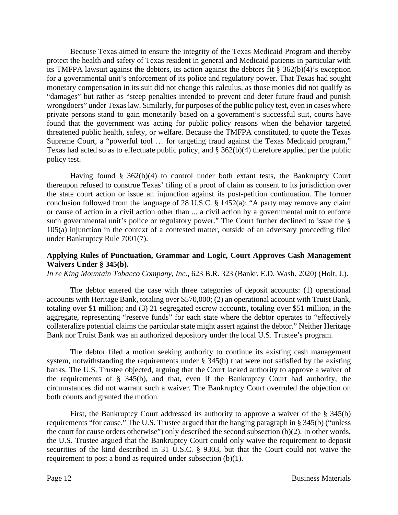Because Texas aimed to ensure the integrity of the Texas Medicaid Program and thereby protect the health and safety of Texas resident in general and Medicaid patients in particular with its TMFPA lawsuit against the debtors, its action against the debtors fit § 362(b)(4)'s exception for a governmental unit's enforcement of its police and regulatory power. That Texas had sought monetary compensation in its suit did not change this calculus, as those monies did not qualify as "damages" but rather as "steep penalties intended to prevent and deter future fraud and punish wrongdoers" under Texas law. Similarly, for purposes of the public policy test, even in cases where private persons stand to gain monetarily based on a government's successful suit, courts have found that the government was acting for public policy reasons when the behavior targeted threatened public health, safety, or welfare. Because the TMFPA constituted, to quote the Texas Supreme Court, a "powerful tool … for targeting fraud against the Texas Medicaid program," Texas had acted so as to effectuate public policy, and § 362(b)(4) therefore applied per the public policy test.

Having found  $\S$  362(b)(4) to control under both extant tests, the Bankruptcy Court thereupon refused to construe Texas' filing of a proof of claim as consent to its jurisdiction over the state court action or issue an injunction against its post-petition continuation. The former conclusion followed from the language of 28 U.S.C. § 1452(a): "A party may remove any claim or cause of action in a civil action other than ... a civil action by a governmental unit to enforce such governmental unit's police or regulatory power." The Court further declined to issue the § 105(a) injunction in the context of a contested matter, outside of an adversary proceeding filed under Bankruptcy Rule 7001(7).

### **Applying Rules of Punctuation, Grammar and Logic, Court Approves Cash Management Waivers Under § 345(b).**

*In re King Mountain Tobacco Company, Inc.*, 623 B.R. 323 (Bankr. E.D. Wash. 2020) (Holt, J.).

The debtor entered the case with three categories of deposit accounts: (1) operational accounts with Heritage Bank, totaling over \$570,000; (2) an operational account with Truist Bank, totaling over \$1 million; and (3) 21 segregated escrow accounts, totaling over \$51 million, in the aggregate, representing "reserve funds" for each state where the debtor operates to "effectively collateralize potential claims the particular state might assert against the debtor." Neither Heritage Bank nor Truist Bank was an authorized depository under the local U.S. Trustee's program.

The debtor filed a motion seeking authority to continue its existing cash management system, notwithstanding the requirements under § 345(b) that were not satisfied by the existing banks. The U.S. Trustee objected, arguing that the Court lacked authority to approve a waiver of the requirements of § 345(b), and that, even if the Bankruptcy Court had authority, the circumstances did not warrant such a waiver. The Bankruptcy Court overruled the objection on both counts and granted the motion.

First, the Bankruptcy Court addressed its authority to approve a waiver of the § 345(b) requirements "for cause." The U.S. Trustee argued that the hanging paragraph in § 345(b) ("unless the court for cause orders otherwise") only described the second subsection (b)(2). In other words, the U.S. Trustee argued that the Bankruptcy Court could only waive the requirement to deposit securities of the kind described in 31 U.S.C. § 9303, but that the Court could not waive the requirement to post a bond as required under subsection (b)(1).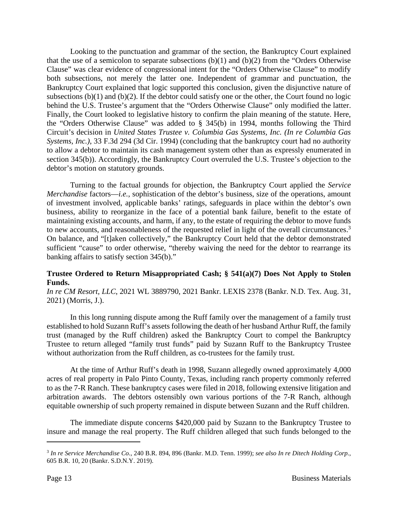Looking to the punctuation and grammar of the section, the Bankruptcy Court explained that the use of a semicolon to separate subsections  $(b)(1)$  and  $(b)(2)$  from the "Orders Otherwise" Clause" was clear evidence of congressional intent for the "Orders Otherwise Clause" to modify both subsections, not merely the latter one. Independent of grammar and punctuation, the Bankruptcy Court explained that logic supported this conclusion, given the disjunctive nature of subsections (b)(1) and (b)(2). If the debtor could satisfy one or the other, the Court found no logic behind the U.S. Trustee's argument that the "Orders Otherwise Clause" only modified the latter. Finally, the Court looked to legislative history to confirm the plain meaning of the statute. Here, the "Orders Otherwise Clause" was added to § 345(b) in 1994, months following the Third Circuit's decision in *United States Trustee v. Columbia Gas Systems, Inc. (In re Columbia Gas Systems, Inc.)*, 33 F.3d 294 (3d Cir. 1994) (concluding that the bankruptcy court had no authority to allow a debtor to maintain its cash management system other than as expressly enumerated in section 345(b)). Accordingly, the Bankruptcy Court overruled the U.S. Trustee's objection to the debtor's motion on statutory grounds.

Turning to the factual grounds for objection, the Bankruptcy Court applied the *Service Merchandise* factors—*i.e.*, sophistication of the debtor's business, size of the operations, amount of investment involved, applicable banks' ratings, safeguards in place within the debtor's own business, ability to reorganize in the face of a potential bank failure, benefit to the estate of maintaining existing accounts, and harm, if any, to the estate of requiring the debtor to move funds to new accounts, and reasonableness of the requested relief in light of the overall circumstances.<sup>3</sup> On balance, and "[t]aken collectively," the Bankruptcy Court held that the debtor demonstrated sufficient "cause" to order otherwise, "thereby waiving the need for the debtor to rearrange its banking affairs to satisfy section 345(b)."

### **Trustee Ordered to Return Misappropriated Cash; § 541(a)(7) Does Not Apply to Stolen Funds.**

*In re CM Resort, LLC*, 2021 WL 3889790, 2021 Bankr. LEXIS 2378 (Bankr. N.D. Tex. Aug. 31, 2021) (Morris, J.).

In this long running dispute among the Ruff family over the management of a family trust established to hold Suzann Ruff's assets following the death of her husband Arthur Ruff, the family trust (managed by the Ruff children) asked the Bankruptcy Court to compel the Bankruptcy Trustee to return alleged "family trust funds" paid by Suzann Ruff to the Bankruptcy Trustee without authorization from the Ruff children, as co-trustees for the family trust.

At the time of Arthur Ruff's death in 1998, Suzann allegedly owned approximately 4,000 acres of real property in Palo Pinto County, Texas, including ranch property commonly referred to as the 7-R Ranch. These bankruptcy cases were filed in 2018, following extensive litigation and arbitration awards. The debtors ostensibly own various portions of the 7-R Ranch, although equitable ownership of such property remained in dispute between Suzann and the Ruff children.

The immediate dispute concerns \$420,000 paid by Suzann to the Bankruptcy Trustee to insure and manage the real property. The Ruff children alleged that such funds belonged to the

<sup>3</sup> *In re Service Merchandise Co.*, 240 B.R. 894, 896 (Bankr. M.D. Tenn. 1999); *see also In re Ditech Holding Corp.*, 605 B.R. 10, 20 (Bankr. S.D.N.Y. 2019).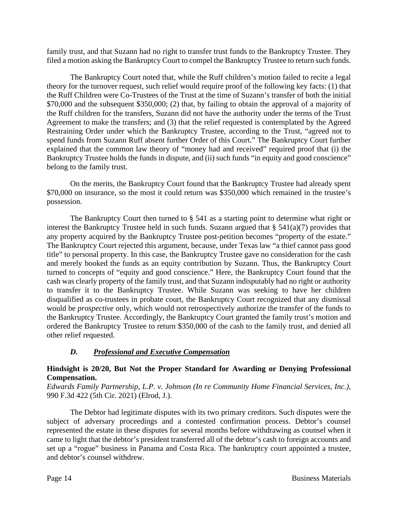family trust, and that Suzann had no right to transfer trust funds to the Bankruptcy Trustee. They filed a motion asking the Bankruptcy Court to compel the Bankruptcy Trustee to return such funds.

The Bankruptcy Court noted that, while the Ruff children's motion failed to recite a legal theory for the turnover request, such relief would require proof of the following key facts: (1) that the Ruff Children were Co-Trustees of the Trust at the time of Suzann's transfer of both the initial \$70,000 and the subsequent \$350,000; (2) that, by failing to obtain the approval of a majority of the Ruff children for the transfers, Suzann did not have the authority under the terms of the Trust Agreement to make the transfers; and (3) that the relief requested is contemplated by the Agreed Restraining Order under which the Bankruptcy Trustee, according to the Trust, "agreed not to spend funds from Suzann Ruff absent further Order of this Court." The Bankruptcy Court further explained that the common law theory of "money had and received" required proof that (i) the Bankruptcy Trustee holds the funds in dispute, and (ii) such funds "in equity and good conscience" belong to the family trust.

On the merits, the Bankruptcy Court found that the Bankruptcy Trustee had already spent \$70,000 on insurance, so the most it could return was \$350,000 which remained in the trustee's possession.

The Bankruptcy Court then turned to § 541 as a starting point to determine what right or interest the Bankruptcy Trustee held in such funds. Suzann argued that  $\S$  541(a)(7) provides that any property acquired by the Bankruptcy Trustee post-petition becomes "property of the estate." The Bankruptcy Court rejected this argument, because, under Texas law "a thief cannot pass good title" to personal property. In this case, the Bankruptcy Trustee gave no consideration for the cash and merely booked the funds as an equity contribution by Suzann. Thus, the Bankruptcy Court turned to concepts of "equity and good conscience." Here, the Bankruptcy Court found that the cash was clearly property of the family trust, and that Suzann indisputably had no right or authority to transfer it to the Bankruptcy Trustee. While Suzann was seeking to have her children disqualified as co-trustees in probate court, the Bankruptcy Court recognized that any dismissal would be *prospective* only, which would not retrospectively authorize the transfer of the funds to the Bankruptcy Trustee. Accordingly, the Bankruptcy Court granted the family trust's motion and ordered the Bankruptcy Trustee to return \$350,000 of the cash to the family trust, and denied all other relief requested.

# *D. Professional and Executive Compensation*

### **Hindsight is 20/20, But Not the Proper Standard for Awarding or Denying Professional Compensation.**

*Edwards Family Partnership, L.P. v. Johnson (In re Community Home Financial Services, Inc.)*, 990 F.3d 422 (5th Cir. 2021) (Elrod, J.).

The Debtor had legitimate disputes with its two primary creditors. Such disputes were the subject of adversary proceedings and a contested confirmation process. Debtor's counsel represented the estate in these disputes for several months before withdrawing as counsel when it came to light that the debtor's president transferred all of the debtor's cash to foreign accounts and set up a "rogue" business in Panama and Costa Rica. The bankruptcy court appointed a trustee, and debtor's counsel withdrew.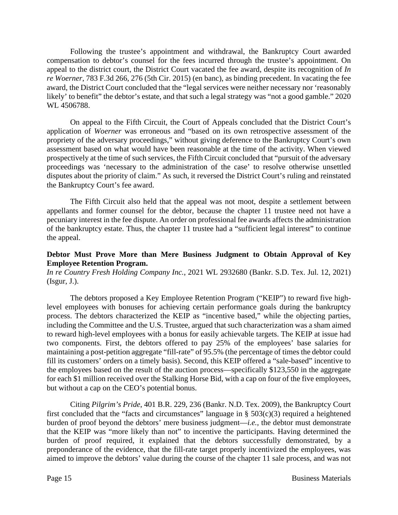Following the trustee's appointment and withdrawal, the Bankruptcy Court awarded compensation to debtor's counsel for the fees incurred through the trustee's appointment. On appeal to the district court, the District Court vacated the fee award, despite its recognition of *In re Woerner*, 783 F.3d 266, 276 (5th Cir. 2015) (en banc), as binding precedent. In vacating the fee award, the District Court concluded that the "legal services were neither necessary nor 'reasonably likely' to benefit" the debtor's estate, and that such a legal strategy was "not a good gamble." 2020 WL 4506788.

On appeal to the Fifth Circuit, the Court of Appeals concluded that the District Court's application of *Woerner* was erroneous and "based on its own retrospective assessment of the propriety of the adversary proceedings," without giving deference to the Bankruptcy Court's own assessment based on what would have been reasonable at the time of the activity. When viewed prospectively at the time of such services, the Fifth Circuit concluded that "pursuit of the adversary proceedings was 'necessary to the administration of the case' to resolve otherwise unsettled disputes about the priority of claim." As such, it reversed the District Court's ruling and reinstated the Bankruptcy Court's fee award.

The Fifth Circuit also held that the appeal was not moot, despite a settlement between appellants and former counsel for the debtor, because the chapter 11 trustee need not have a pecuniary interest in the fee dispute. An order on professional fee awards affects the administration of the bankruptcy estate. Thus, the chapter 11 trustee had a "sufficient legal interest" to continue the appeal.

### **Debtor Must Prove More than Mere Business Judgment to Obtain Approval of Key Employee Retention Program.**

*In re Country Fresh Holding Company Inc.*, 2021 WL 2932680 (Bankr. S.D. Tex. Jul. 12, 2021) (Isgur, J.).

The debtors proposed a Key Employee Retention Program ("KEIP") to reward five highlevel employees with bonuses for achieving certain performance goals during the bankruptcy process. The debtors characterized the KEIP as "incentive based," while the objecting parties, including the Committee and the U.S. Trustee, argued that such characterization was a sham aimed to reward high-level employees with a bonus for easily achievable targets. The KEIP at issue had two components. First, the debtors offered to pay 25% of the employees' base salaries for maintaining a post-petition aggregate "fill-rate" of 95.5% (the percentage of times the debtor could fill its customers' orders on a timely basis). Second, this KEIP offered a "sale-based" incentive to the employees based on the result of the auction process—specifically \$123,550 in the aggregate for each \$1 million received over the Stalking Horse Bid, with a cap on four of the five employees, but without a cap on the CEO's potential bonus.

Citing *Pilgrim's Pride*, 401 B.R. 229, 236 (Bankr. N.D. Tex. 2009), the Bankruptcy Court first concluded that the "facts and circumstances" language in  $\S$  503(c)(3) required a heightened burden of proof beyond the debtors' mere business judgment—*i.e.*, the debtor must demonstrate that the KEIP was "more likely than not" to incentive the participants. Having determined the burden of proof required, it explained that the debtors successfully demonstrated, by a preponderance of the evidence, that the fill-rate target properly incentivized the employees, was aimed to improve the debtors' value during the course of the chapter 11 sale process, and was not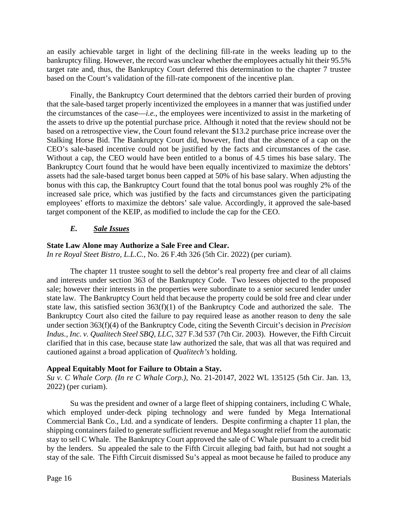an easily achievable target in light of the declining fill-rate in the weeks leading up to the bankruptcy filing. However, the record was unclear whether the employees actually hit their 95.5% target rate and, thus, the Bankruptcy Court deferred this determination to the chapter 7 trustee based on the Court's validation of the fill-rate component of the incentive plan.

Finally, the Bankruptcy Court determined that the debtors carried their burden of proving that the sale-based target properly incentivized the employees in a manner that was justified under the circumstances of the case—*i.e.*, the employees were incentivized to assist in the marketing of the assets to drive up the potential purchase price. Although it noted that the review should not be based on a retrospective view, the Court found relevant the \$13.2 purchase price increase over the Stalking Horse Bid. The Bankruptcy Court did, however, find that the absence of a cap on the CEO's sale-based incentive could not be justified by the facts and circumstances of the case. Without a cap, the CEO would have been entitled to a bonus of 4.5 times his base salary. The Bankruptcy Court found that he would have been equally incentivized to maximize the debtors' assets had the sale-based target bonus been capped at 50% of his base salary. When adjusting the bonus with this cap, the Bankruptcy Court found that the total bonus pool was roughly 2% of the increased sale price, which was justified by the facts and circumstances given the participating employees' efforts to maximize the debtors' sale value. Accordingly, it approved the sale-based target component of the KEIP, as modified to include the cap for the CEO.

# *E. Sale Issues*

# **State Law Alone may Authorize a Sale Free and Clear.**

*In re Royal Steet Bistro, L.L.C.*, No. 26 F.4th 326 (5th Cir. 2022) (per curiam).

The chapter 11 trustee sought to sell the debtor's real property free and clear of all claims and interests under section 363 of the Bankruptcy Code. Two lessees objected to the proposed sale; however their interests in the properties were subordinate to a senior secured lender under state law. The Bankruptcy Court held that because the property could be sold free and clear under state law, this satisfied section 363(f)(1) of the Bankruptcy Code and authorized the sale. The Bankruptcy Court also cited the failure to pay required lease as another reason to deny the sale under section 363(f)(4) of the Bankruptcy Code, citing the Seventh Circuit's decision in *Precision Indus., Inc. v. Qualitech Steel SBQ, LLC*, 327 F.3d 537 (7th Cir. 2003). However, the Fifth Circuit clarified that in this case, because state law authorized the sale, that was all that was required and cautioned against a broad application of *Qualitech's* holding.

# **Appeal Equitably Moot for Failure to Obtain a Stay.**

*Su v. C Whale Corp. (In re C Whale Corp.)*, No. 21-20147, 2022 WL 135125 (5th Cir. Jan. 13, 2022) (per curiam).

Su was the president and owner of a large fleet of shipping containers, including C Whale, which employed under-deck piping technology and were funded by Mega International Commercial Bank Co., Ltd. and a syndicate of lenders. Despite confirming a chapter 11 plan, the shipping containers failed to generate sufficient revenue and Mega sought relief from the automatic stay to sell C Whale. The Bankruptcy Court approved the sale of C Whale pursuant to a credit bid by the lenders. Su appealed the sale to the Fifth Circuit alleging bad faith, but had not sought a stay of the sale. The Fifth Circuit dismissed Su's appeal as moot because he failed to produce any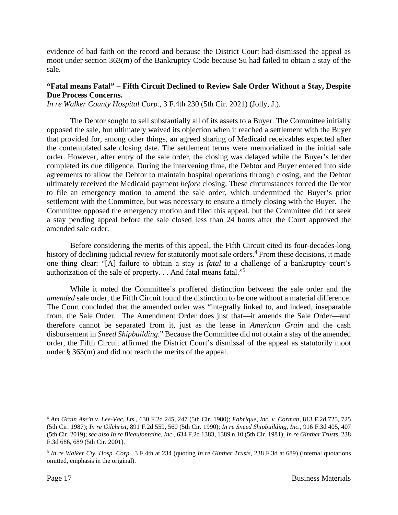evidence of bad faith on the record and because the District Court had dismissed the appeal as moot under section 363(m) of the Bankruptcy Code because Su had failed to obtain a stay of the sale.

# **"Fatal means Fatal" – Fifth Circuit Declined to Review Sale Order Without a Stay, Despite Due Process Concerns.**

*In re Walker County Hospital Corp.*, 3 F.4th 230 (5th Cir. 2021) (Jolly, J.).

The Debtor sought to sell substantially all of its assets to a Buyer. The Committee initially opposed the sale, but ultimately waived its objection when it reached a settlement with the Buyer that provided for, among other things, an agreed sharing of Medicaid receivables expected after the contemplated sale closing date. The settlement terms were memorialized in the initial sale order. However, after entry of the sale order, the closing was delayed while the Buyer's lender completed its due diligence. During the intervening time, the Debtor and Buyer entered into side agreements to allow the Debtor to maintain hospital operations through closing, and the Debtor ultimately received the Medicaid payment *before* closing. These circumstances forced the Debtor to file an emergency motion to amend the sale order, which undermined the Buyer's prior settlement with the Committee, but was necessary to ensure a timely closing with the Buyer. The Committee opposed the emergency motion and filed this appeal, but the Committee did not seek a stay pending appeal before the sale closed less than 24 hours after the Court approved the amended sale order.

Before considering the merits of this appeal, the Fifth Circuit cited its four-decades-long history of declining judicial review for statutorily moot sale orders.<sup>4</sup> From these decisions, it made one thing clear: "[A] failure to obtain a stay is *fatal* to a challenge of a bankruptcy court's authorization of the sale of property. . . And fatal means fatal."<sup>5</sup>

While it noted the Committee's proffered distinction between the sale order and the *amended* sale order, the Fifth Circuit found the distinction to be one without a material difference. The Court concluded that the amended order was "integrally linked to, and indeed, inseparable from, the Sale Order. The Amendment Order does just that—it amends the Sale Order—and therefore cannot be separated from it, just as the lease in *American Grain* and the cash disbursement in *Sneed Shipbuilding*." Because the Committee did not obtain a stay of the amended order, the Fifth Circuit affirmed the District Court's dismissal of the appeal as statutorily moot under § 363(m) and did not reach the merits of the appeal.

<sup>4</sup> *Am Grain Ass'n v. Lee-Vac, Lts.*, 630 F.2d 245, 247 (5th Cir. 1980); *Fabrique, Inc. v. Corman*, 813 F.2d 725, 725 (5th Cir. 1987); *In re Gilchrist*, 891 F.2d 559, 560 (5th Cir. 1990); *In re Sneed Shipbuilding, Inc.*, 916 F.3d 405, 407 (5th Cir. 2019); *see also In re Bleaufontaine, Inc.*, 634 F.2d 1383, 1389 n.10 (5th Cir. 1981); *In re Ginther Trusts*, 238 F.3d 686, 689 (5th Cir. 2001).

<sup>5</sup> *In re Walker Cty. Hosp. Corp.*, 3 F.4th at 234 (quoting *In re Ginther Trusts*, 238 F.3d at 689) (internal quotations omitted, emphasis in the original).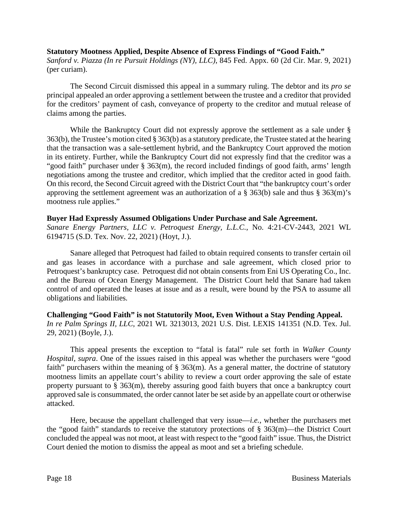### **Statutory Mootness Applied, Despite Absence of Express Findings of "Good Faith."**

*Sanford v. Piazza (In re Pursuit Holdings (NY), LLC)*, 845 Fed. Appx. 60 (2d Cir. Mar. 9, 2021) (per curiam).

The Second Circuit dismissed this appeal in a summary ruling. The debtor and its *pro se* principal appealed an order approving a settlement between the trustee and a creditor that provided for the creditors' payment of cash, conveyance of property to the creditor and mutual release of claims among the parties.

While the Bankruptcy Court did not expressly approve the settlement as a sale under § 363(b), the Trustee's motion cited § 363(b) as a statutory predicate, the Trustee stated at the hearing that the transaction was a sale-settlement hybrid, and the Bankruptcy Court approved the motion in its entirety. Further, while the Bankruptcy Court did not expressly find that the creditor was a "good faith" purchaser under § 363(m), the record included findings of good faith, arms' length negotiations among the trustee and creditor, which implied that the creditor acted in good faith. On this record, the Second Circuit agreed with the District Court that "the bankruptcy court's order approving the settlement agreement was an authorization of a § 363(b) sale and thus § 363(m)'s mootness rule applies."

### **Buyer Had Expressly Assumed Obligations Under Purchase and Sale Agreement.**

*Sanare Energy Partners, LLC v. Petroquest Energy, L.L.C.*, No. 4:21-CV-2443, 2021 WL 6194715 (S.D. Tex. Nov. 22, 2021) (Hoyt, J.).

Sanare alleged that Petroquest had failed to obtain required consents to transfer certain oil and gas leases in accordance with a purchase and sale agreement, which closed prior to Petroquest's bankruptcy case. Petroquest did not obtain consents from Eni US Operating Co., Inc. and the Bureau of Ocean Energy Management. The District Court held that Sanare had taken control of and operated the leases at issue and as a result, were bound by the PSA to assume all obligations and liabilities.

**Challenging "Good Faith" is not Statutorily Moot, Even Without a Stay Pending Appeal.**  *In re Palm Springs II, LLC*, 2021 WL 3213013, 2021 U.S. Dist. LEXIS 141351 (N.D. Tex. Jul. 29, 2021) (Boyle, J.).

This appeal presents the exception to "fatal is fatal" rule set forth in *Walker County Hospital, supra*. One of the issues raised in this appeal was whether the purchasers were "good faith" purchasers within the meaning of  $\S$  363(m). As a general matter, the doctrine of statutory mootness limits an appellate court's ability to review a court order approving the sale of estate property pursuant to § 363(m), thereby assuring good faith buyers that once a bankruptcy court approved sale is consummated, the order cannot later be set aside by an appellate court or otherwise attacked.

Here, because the appellant challenged that very issue—*i.e.*, whether the purchasers met the "good faith" standards to receive the statutory protections of § 363(m)—the District Court concluded the appeal was not moot, at least with respect to the "good faith" issue. Thus, the District Court denied the motion to dismiss the appeal as moot and set a briefing schedule.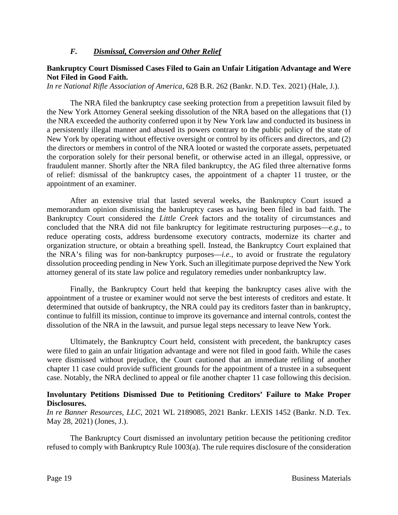### *F. Dismissal, Conversion and Other Relief*

### **Bankruptcy Court Dismissed Cases Filed to Gain an Unfair Litigation Advantage and Were Not Filed in Good Faith.**

*In re National Rifle Association of America*, 628 B.R. 262 (Bankr. N.D. Tex. 2021) (Hale, J.).

The NRA filed the bankruptcy case seeking protection from a prepetition lawsuit filed by the New York Attorney General seeking dissolution of the NRA based on the allegations that (1) the NRA exceeded the authority conferred upon it by New York law and conducted its business in a persistently illegal manner and abused its powers contrary to the public policy of the state of New York by operating without effective oversight or control by its officers and directors, and (2) the directors or members in control of the NRA looted or wasted the corporate assets, perpetuated the corporation solely for their personal benefit, or otherwise acted in an illegal, oppressive, or fraudulent manner. Shortly after the NRA filed bankruptcy, the AG filed three alternative forms of relief: dismissal of the bankruptcy cases, the appointment of a chapter 11 trustee, or the appointment of an examiner.

After an extensive trial that lasted several weeks, the Bankruptcy Court issued a memorandum opinion dismissing the bankruptcy cases as having been filed in bad faith. The Bankruptcy Court considered the *Little Creek* factors and the totality of circumstances and concluded that the NRA did not file bankruptcy for legitimate restructuring purposes—*e.g.*, to reduce operating costs, address burdensome executory contracts, modernize its charter and organization structure, or obtain a breathing spell. Instead, the Bankruptcy Court explained that the NRA's filing was for non-bankruptcy purposes—*i.e.*, to avoid or frustrate the regulatory dissolution proceeding pending in New York. Such an illegitimate purpose deprived the New York attorney general of its state law police and regulatory remedies under nonbankruptcy law.

Finally, the Bankruptcy Court held that keeping the bankruptcy cases alive with the appointment of a trustee or examiner would not serve the best interests of creditors and estate. It determined that outside of bankruptcy, the NRA could pay its creditors faster than in bankruptcy, continue to fulfill its mission, continue to improve its governance and internal controls, contest the dissolution of the NRA in the lawsuit, and pursue legal steps necessary to leave New York.

Ultimately, the Bankruptcy Court held, consistent with precedent, the bankruptcy cases were filed to gain an unfair litigation advantage and were not filed in good faith. While the cases were dismissed without prejudice, the Court cautioned that an immediate refiling of another chapter 11 case could provide sufficient grounds for the appointment of a trustee in a subsequent case. Notably, the NRA declined to appeal or file another chapter 11 case following this decision.

### **Involuntary Petitions Dismissed Due to Petitioning Creditors' Failure to Make Proper Disclosures.**

*In re Banner Resources, LLC*, 2021 WL 2189085, 2021 Bankr. LEXIS 1452 (Bankr. N.D. Tex. May 28, 2021) (Jones, J.).

The Bankruptcy Court dismissed an involuntary petition because the petitioning creditor refused to comply with Bankruptcy Rule 1003(a). The rule requires disclosure of the consideration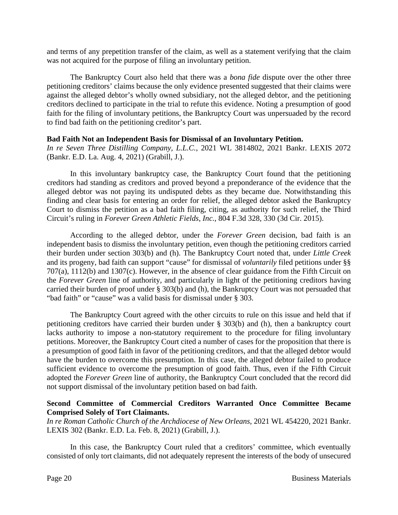and terms of any prepetition transfer of the claim, as well as a statement verifying that the claim was not acquired for the purpose of filing an involuntary petition.

The Bankruptcy Court also held that there was a *bona fide* dispute over the other three petitioning creditors' claims because the only evidence presented suggested that their claims were against the alleged debtor's wholly owned subsidiary, not the alleged debtor, and the petitioning creditors declined to participate in the trial to refute this evidence. Noting a presumption of good faith for the filing of involuntary petitions, the Bankruptcy Court was unpersuaded by the record to find bad faith on the petitioning creditor's part.

### **Bad Faith Not an Independent Basis for Dismissal of an Involuntary Petition.**

*In re Seven Three Distilling Company, L.L.C.*, 2021 WL 3814802, 2021 Bankr. LEXIS 2072 (Bankr. E.D. La. Aug. 4, 2021) (Grabill, J.).

In this involuntary bankruptcy case, the Bankruptcy Court found that the petitioning creditors had standing as creditors and proved beyond a preponderance of the evidence that the alleged debtor was not paying its undisputed debts as they became due. Notwithstanding this finding and clear basis for entering an order for relief, the alleged debtor asked the Bankruptcy Court to dismiss the petition as a bad faith filing, citing, as authority for such relief, the Third Circuit's ruling in *Forever Green Athletic Fields, Inc.*, 804 F.3d 328, 330 (3d Cir. 2015).

According to the alleged debtor, under the *Forever Green* decision, bad faith is an independent basis to dismiss the involuntary petition, even though the petitioning creditors carried their burden under section 303(b) and (h). The Bankruptcy Court noted that, under *Little Creek* and its progeny, bad faith can support "cause" for dismissal of *voluntarily* filed petitions under §§ 707(a), 1112(b) and 1307(c). However, in the absence of clear guidance from the Fifth Circuit on the *Forever Green* line of authority, and particularly in light of the petitioning creditors having carried their burden of proof under § 303(b) and (h), the Bankruptcy Court was not persuaded that "bad faith" or "cause" was a valid basis for dismissal under § 303.

The Bankruptcy Court agreed with the other circuits to rule on this issue and held that if petitioning creditors have carried their burden under § 303(b) and (h), then a bankruptcy court lacks authority to impose a non-statutory requirement to the procedure for filing involuntary petitions. Moreover, the Bankruptcy Court cited a number of cases for the proposition that there is a presumption of good faith in favor of the petitioning creditors, and that the alleged debtor would have the burden to overcome this presumption. In this case, the alleged debtor failed to produce sufficient evidence to overcome the presumption of good faith. Thus, even if the Fifth Circuit adopted the *Forever Green* line of authority, the Bankruptcy Court concluded that the record did not support dismissal of the involuntary petition based on bad faith.

### **Second Committee of Commercial Creditors Warranted Once Committee Became Comprised Solely of Tort Claimants.**

*In re Roman Catholic Church of the Archdiocese of New Orleans*, 2021 WL 454220, 2021 Bankr. LEXIS 302 (Bankr. E.D. La. Feb. 8, 2021) (Grabill, J.).

In this case, the Bankruptcy Court ruled that a creditors' committee, which eventually consisted of only tort claimants, did not adequately represent the interests of the body of unsecured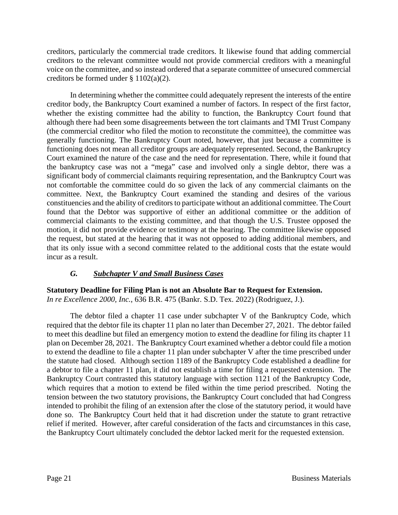creditors, particularly the commercial trade creditors. It likewise found that adding commercial creditors to the relevant committee would not provide commercial creditors with a meaningful voice on the committee, and so instead ordered that a separate committee of unsecured commercial creditors be formed under § 1102(a)(2).

In determining whether the committee could adequately represent the interests of the entire creditor body, the Bankruptcy Court examined a number of factors. In respect of the first factor, whether the existing committee had the ability to function, the Bankruptcy Court found that although there had been some disagreements between the tort claimants and TMI Trust Company (the commercial creditor who filed the motion to reconstitute the committee), the committee was generally functioning. The Bankruptcy Court noted, however, that just because a committee is functioning does not mean all creditor groups are adequately represented. Second, the Bankruptcy Court examined the nature of the case and the need for representation. There, while it found that the bankruptcy case was not a "mega" case and involved only a single debtor, there was a significant body of commercial claimants requiring representation, and the Bankruptcy Court was not comfortable the committee could do so given the lack of any commercial claimants on the committee. Next, the Bankruptcy Court examined the standing and desires of the various constituencies and the ability of creditors to participate without an additional committee. The Court found that the Debtor was supportive of either an additional committee or the addition of commercial claimants to the existing committee, and that though the U.S. Trustee opposed the motion, it did not provide evidence or testimony at the hearing. The committee likewise opposed the request, but stated at the hearing that it was not opposed to adding additional members, and that its only issue with a second committee related to the additional costs that the estate would incur as a result.

# *G. Subchapter V and Small Business Cases*

**Statutory Deadline for Filing Plan is not an Absolute Bar to Request for Extension.**  *In re Excellence 2000, Inc.*, 636 B.R. 475 (Bankr. S.D. Tex. 2022) (Rodriguez, J.).

The debtor filed a chapter 11 case under subchapter V of the Bankruptcy Code, which required that the debtor file its chapter 11 plan no later than December 27, 2021. The debtor failed to meet this deadline but filed an emergency motion to extend the deadline for filing its chapter 11 plan on December 28, 2021. The Bankruptcy Court examined whether a debtor could file a motion to extend the deadline to file a chapter 11 plan under subchapter V after the time prescribed under the statute had closed. Although section 1189 of the Bankruptcy Code established a deadline for a debtor to file a chapter 11 plan, it did not establish a time for filing a requested extension. The Bankruptcy Court contrasted this statutory language with section 1121 of the Bankruptcy Code, which requires that a motion to extend be filed within the time period prescribed. Noting the tension between the two statutory provisions, the Bankruptcy Court concluded that had Congress intended to prohibit the filing of an extension after the close of the statutory period, it would have done so. The Bankruptcy Court held that it had discretion under the statute to grant retractive relief if merited. However, after careful consideration of the facts and circumstances in this case, the Bankruptcy Court ultimately concluded the debtor lacked merit for the requested extension.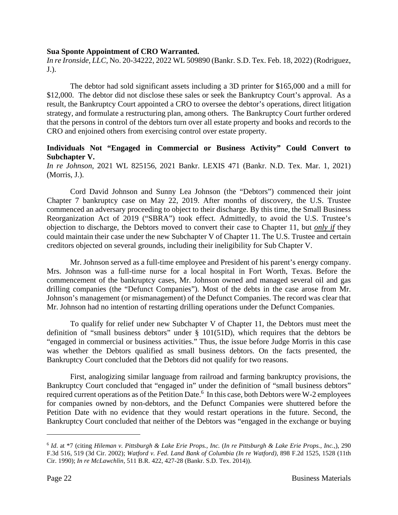### **Sua Sponte Appointment of CRO Warranted.**

*In re Ironside, LLC*, No. 20-34222, 2022 WL 509890 (Bankr. S.D. Tex. Feb. 18, 2022) (Rodriguez, J.).

The debtor had sold significant assets including a 3D printer for \$165,000 and a mill for \$12,000. The debtor did not disclose these sales or seek the Bankruptcy Court's approval. As a result, the Bankruptcy Court appointed a CRO to oversee the debtor's operations, direct litigation strategy, and formulate a restructuring plan, among others. The Bankruptcy Court further ordered that the persons in control of the debtors turn over all estate property and books and records to the CRO and enjoined others from exercising control over estate property.

### **Individuals Not "Engaged in Commercial or Business Activity" Could Convert to Subchapter V.**

*In re Johnson*, 2021 WL 825156, 2021 Bankr. LEXIS 471 (Bankr. N.D. Tex. Mar. 1, 2021) (Morris, J.).

Cord David Johnson and Sunny Lea Johnson (the "Debtors") commenced their joint Chapter 7 bankruptcy case on May 22, 2019. After months of discovery, the U.S. Trustee commenced an adversary proceeding to object to their discharge. By this time, the Small Business Reorganization Act of 2019 ("SBRA") took effect. Admittedly, to avoid the U.S. Trustee's objection to discharge, the Debtors moved to convert their case to Chapter 11, but *only if* they could maintain their case under the new Subchapter V of Chapter 11. The U.S. Trustee and certain creditors objected on several grounds, including their ineligibility for Sub Chapter V.

Mr. Johnson served as a full-time employee and President of his parent's energy company. Mrs. Johnson was a full-time nurse for a local hospital in Fort Worth, Texas. Before the commencement of the bankruptcy cases, Mr. Johnson owned and managed several oil and gas drilling companies (the "Defunct Companies"). Most of the debts in the case arose from Mr. Johnson's management (or mismanagement) of the Defunct Companies. The record was clear that Mr. Johnson had no intention of restarting drilling operations under the Defunct Companies.

To qualify for relief under new Subchapter V of Chapter 11, the Debtors must meet the definition of "small business debtors" under § 101(51D), which requires that the debtors be "engaged in commercial or business activities." Thus, the issue before Judge Morris in this case was whether the Debtors qualified as small business debtors. On the facts presented, the Bankruptcy Court concluded that the Debtors did not qualify for two reasons.

First, analogizing similar language from railroad and farming bankruptcy provisions, the Bankruptcy Court concluded that "engaged in" under the definition of "small business debtors" required current operations as of the Petition Date.<sup>6</sup> In this case, both Debtors were W-2 employees for companies owned by non-debtors, and the Defunct Companies were shuttered before the Petition Date with no evidence that they would restart operations in the future. Second, the Bankruptcy Court concluded that neither of the Debtors was "engaged in the exchange or buying

<sup>6</sup> *Id*. at \*7 (citing *Hileman v. Pittsburgh & Lake Erie Props., Inc.* (*In re Pittsburgh & Lake Erie Props., Inc.*,), 290 F.3d 516, 519 (3d Cir. 2002); *Watford v. Fed. Land Bank of Columbia (In re Watford)*, 898 F.2d 1525, 1528 (11th Cir. 1990); *In re McLawchlin*, 511 B.R. 422, 427-28 (Bankr. S.D. Tex. 2014)).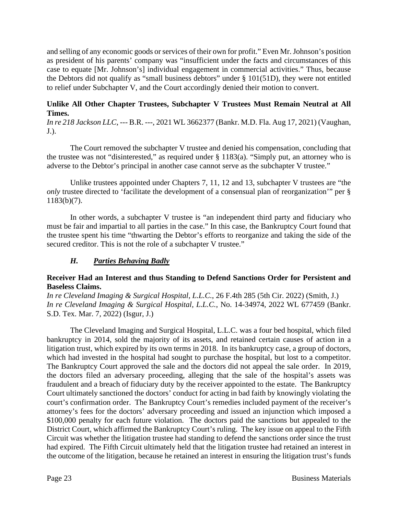and selling of any economic goods or services of their own for profit." Even Mr. Johnson's position as president of his parents' company was "insufficient under the facts and circumstances of this case to equate [Mr. Johnson's] individual engagement in commercial activities." Thus, because the Debtors did not qualify as "small business debtors" under § 101(51D), they were not entitled to relief under Subchapter V, and the Court accordingly denied their motion to convert.

## **Unlike All Other Chapter Trustees, Subchapter V Trustees Must Remain Neutral at All Times.**

*In re 218 Jackson LLC*, --- B.R. ---, 2021 WL 3662377 (Bankr. M.D. Fla. Aug 17, 2021) (Vaughan, J.).

The Court removed the subchapter V trustee and denied his compensation, concluding that the trustee was not "disinterested," as required under § 1183(a). "Simply put, an attorney who is adverse to the Debtor's principal in another case cannot serve as the subchapter V trustee."

Unlike trustees appointed under Chapters 7, 11, 12 and 13, subchapter V trustees are "the *only* trustee directed to 'facilitate the development of a consensual plan of reorganization'" per § 1183(b)(7).

In other words, a subchapter V trustee is "an independent third party and fiduciary who must be fair and impartial to all parties in the case." In this case, the Bankruptcy Court found that the trustee spent his time "thwarting the Debtor's efforts to reorganize and taking the side of the secured creditor. This is not the role of a subchapter V trustee."

# *H. Parties Behaving Badly*

### **Receiver Had an Interest and thus Standing to Defend Sanctions Order for Persistent and Baseless Claims.**

*In re Cleveland Imaging & Surgical Hospital, L.L.C.*, 26 F.4th 285 (5th Cir. 2022) (Smith, J.) *In re Cleveland Imaging & Surgical Hospital, L.L.C.*, No. 14-34974, 2022 WL 677459 (Bankr. S.D. Tex. Mar. 7, 2022) (Isgur, J.)

The Cleveland Imaging and Surgical Hospital, L.L.C. was a four bed hospital, which filed bankruptcy in 2014, sold the majority of its assets, and retained certain causes of action in a litigation trust, which expired by its own terms in 2018. In its bankruptcy case, a group of doctors, which had invested in the hospital had sought to purchase the hospital, but lost to a competitor. The Bankruptcy Court approved the sale and the doctors did not appeal the sale order. In 2019, the doctors filed an adversary proceeding, alleging that the sale of the hospital's assets was fraudulent and a breach of fiduciary duty by the receiver appointed to the estate. The Bankruptcy Court ultimately sanctioned the doctors' conduct for acting in bad faith by knowingly violating the court's confirmation order. The Bankruptcy Court's remedies included payment of the receiver's attorney's fees for the doctors' adversary proceeding and issued an injunction which imposed a \$100,000 penalty for each future violation. The doctors paid the sanctions but appealed to the District Court, which affirmed the Bankruptcy Court's ruling. The key issue on appeal to the Fifth Circuit was whether the litigation trustee had standing to defend the sanctions order since the trust had expired. The Fifth Circuit ultimately held that the litigation trustee had retained an interest in the outcome of the litigation, because he retained an interest in ensuring the litigation trust's funds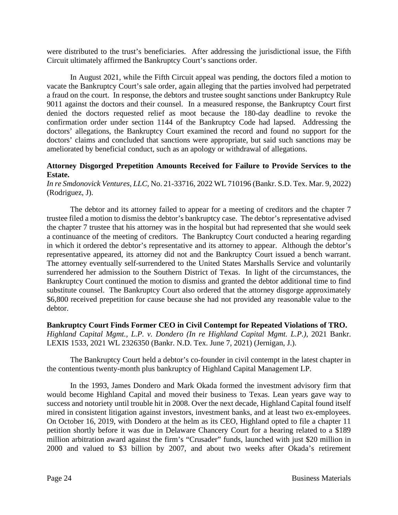were distributed to the trust's beneficiaries. After addressing the jurisdictional issue, the Fifth Circuit ultimately affirmed the Bankruptcy Court's sanctions order.

In August 2021, while the Fifth Circuit appeal was pending, the doctors filed a motion to vacate the Bankruptcy Court's sale order, again alleging that the parties involved had perpetrated a fraud on the court. In response, the debtors and trustee sought sanctions under Bankruptcy Rule 9011 against the doctors and their counsel. In a measured response, the Bankruptcy Court first denied the doctors requested relief as moot because the 180-day deadline to revoke the confirmation order under section 1144 of the Bankruptcy Code had lapsed. Addressing the doctors' allegations, the Bankruptcy Court examined the record and found no support for the doctors' claims and concluded that sanctions were appropriate, but said such sanctions may be ameliorated by beneficial conduct, such as an apology or withdrawal of allegations.

### **Attorney Disgorged Prepetition Amounts Received for Failure to Provide Services to the Estate.**

*In re Smdonovick Ventures, LLC*, No. 21-33716, 2022 WL 710196 (Bankr. S.D. Tex. Mar. 9, 2022) (Rodriguez, J).

The debtor and its attorney failed to appear for a meeting of creditors and the chapter 7 trustee filed a motion to dismiss the debtor's bankruptcy case. The debtor's representative advised the chapter 7 trustee that his attorney was in the hospital but had represented that she would seek a continuance of the meeting of creditors. The Bankruptcy Court conducted a hearing regarding in which it ordered the debtor's representative and its attorney to appear. Although the debtor's representative appeared, its attorney did not and the Bankruptcy Court issued a bench warrant. The attorney eventually self-surrendered to the United States Marshalls Service and voluntarily surrendered her admission to the Southern District of Texas. In light of the circumstances, the Bankruptcy Court continued the motion to dismiss and granted the debtor additional time to find substitute counsel. The Bankruptcy Court also ordered that the attorney disgorge approximately \$6,800 received prepetition for cause because she had not provided any reasonable value to the debtor.

# **Bankruptcy Court Finds Former CEO in Civil Contempt for Repeated Violations of TRO.**

*Highland Capital Mgmt., L.P. v. Dondero (In re Highland Capital Mgmt. L.P.)*, 2021 Bankr. LEXIS 1533, 2021 WL 2326350 (Bankr. N.D. Tex. June 7, 2021) (Jernigan, J.).

The Bankruptcy Court held a debtor's co-founder in civil contempt in the latest chapter in the contentious twenty-month plus bankruptcy of Highland Capital Management LP.

In the 1993, James Dondero and Mark Okada formed the investment advisory firm that would become Highland Capital and moved their business to Texas. Lean years gave way to success and notoriety until trouble hit in 2008. Over the next decade, Highland Capital found itself mired in consistent litigation against investors, investment banks, and at least two ex-employees. On October 16, 2019, with Dondero at the helm as its CEO, Highland opted to file a chapter 11 petition shortly before it was due in Delaware Chancery Court for a hearing related to a \$189 million arbitration award against the firm's "Crusader" funds, launched with just \$20 million in 2000 and valued to \$3 billion by 2007, and about two weeks after Okada's retirement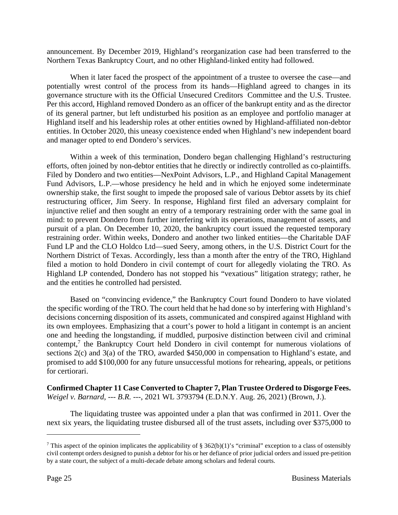announcement. By December 2019, Highland's reorganization case had been transferred to the Northern Texas Bankruptcy Court, and no other Highland-linked entity had followed.

When it later faced the prospect of the appointment of a trustee to oversee the case—and potentially wrest control of the process from its hands—Highland agreed to changes in its governance structure with its the Official Unsecured Creditors Committee and the U.S. Trustee. Per this accord, Highland removed Dondero as an officer of the bankrupt entity and as the director of its general partner, but left undisturbed his position as an employee and portfolio manager at Highland itself and his leadership roles at other entities owned by Highland-affiliated non-debtor entities. In October 2020, this uneasy coexistence ended when Highland's new independent board and manager opted to end Dondero's services.

Within a week of this termination, Dondero began challenging Highland's restructuring efforts, often joined by non-debtor entities that he directly or indirectly controlled as co-plaintiffs. Filed by Dondero and two entities—NexPoint Advisors, L.P., and Highland Capital Management Fund Advisors, L.P.—whose presidency he held and in which he enjoyed some indeterminate ownership stake, the first sought to impede the proposed sale of various Debtor assets by its chief restructuring officer, Jim Seery. In response, Highland first filed an adversary complaint for injunctive relief and then sought an entry of a temporary restraining order with the same goal in mind: to prevent Dondero from further interfering with its operations, management of assets, and pursuit of a plan. On December 10, 2020, the bankruptcy court issued the requested temporary restraining order. Within weeks, Dondero and another two linked entities—the Charitable DAF Fund LP and the CLO Holdco Ltd—sued Seery, among others, in the U.S. District Court for the Northern District of Texas. Accordingly, less than a month after the entry of the TRO, Highland filed a motion to hold Dondero in civil contempt of court for allegedly violating the TRO. As Highland LP contended, Dondero has not stopped his "vexatious" litigation strategy; rather, he and the entities he controlled had persisted.

Based on "convincing evidence," the Bankruptcy Court found Dondero to have violated the specific wording of the TRO. The court held that he had done so by interfering with Highland's decisions concerning disposition of its assets, communicated and conspired against Highland with its own employees. Emphasizing that a court's power to hold a litigant in contempt is an ancient one and heeding the longstanding, if muddled, purposive distinction between civil and criminal contempt,<sup>7</sup> the Bankruptcy Court held Dondero in civil contempt for numerous violations of sections 2(c) and 3(a) of the TRO, awarded \$450,000 in compensation to Highland's estate, and promised to add \$100,000 for any future unsuccessful motions for rehearing, appeals, or petitions for certiorari.

**Confirmed Chapter 11 Case Converted to Chapter 7, Plan Trustee Ordered to Disgorge Fees.**  *Weigel v. Barnard, --- B.R. ---*, 2021 WL 3793794 (E.D.N.Y. Aug. 26, 2021) (Brown, J.).

The liquidating trustee was appointed under a plan that was confirmed in 2011. Over the next six years, the liquidating trustee disbursed all of the trust assets, including over \$375,000 to

<sup>&</sup>lt;sup>7</sup> This aspect of the opinion implicates the applicability of § 362(b)(1)'s "criminal" exception to a class of ostensibly civil contempt orders designed to punish a debtor for his or her defiance of prior judicial orders and issued pre-petition by a state court, the subject of a multi-decade debate among scholars and federal courts.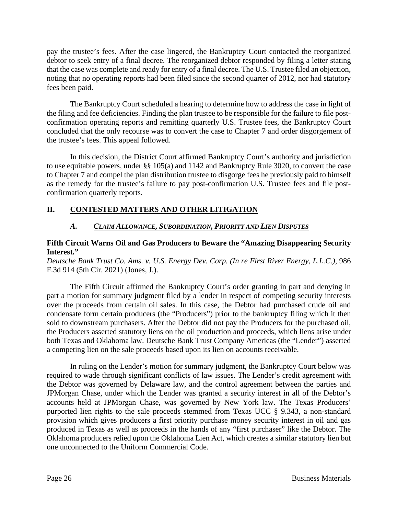pay the trustee's fees. After the case lingered, the Bankruptcy Court contacted the reorganized debtor to seek entry of a final decree. The reorganized debtor responded by filing a letter stating that the case was complete and ready for entry of a final decree. The U.S. Trustee filed an objection, noting that no operating reports had been filed since the second quarter of 2012, nor had statutory fees been paid.

The Bankruptcy Court scheduled a hearing to determine how to address the case in light of the filing and fee deficiencies. Finding the plan trustee to be responsible for the failure to file postconfirmation operating reports and remitting quarterly U.S. Trustee fees, the Bankruptcy Court concluded that the only recourse was to convert the case to Chapter 7 and order disgorgement of the trustee's fees. This appeal followed.

In this decision, the District Court affirmed Bankruptcy Court's authority and jurisdiction to use equitable powers, under §§ 105(a) and 1142 and Bankruptcy Rule 3020, to convert the case to Chapter 7 and compel the plan distribution trustee to disgorge fees he previously paid to himself as the remedy for the trustee's failure to pay post-confirmation U.S. Trustee fees and file postconfirmation quarterly reports.

# **II. CONTESTED MATTERS AND OTHER LITIGATION**

# *A. CLAIM ALLOWANCE, SUBORDINATION, PRIORITY AND LIEN DISPUTES*

# **Fifth Circuit Warns Oil and Gas Producers to Beware the "Amazing Disappearing Security Interest."**

*Deutsche Bank Trust Co. Ams. v. U.S. Energy Dev. Corp. (In re First River Energy, L.L.C.)*, 986 F.3d 914 (5th Cir. 2021) (Jones, J.).

The Fifth Circuit affirmed the Bankruptcy Court's order granting in part and denying in part a motion for summary judgment filed by a lender in respect of competing security interests over the proceeds from certain oil sales. In this case, the Debtor had purchased crude oil and condensate form certain producers (the "Producers") prior to the bankruptcy filing which it then sold to downstream purchasers. After the Debtor did not pay the Producers for the purchased oil, the Producers asserted statutory liens on the oil production and proceeds, which liens arise under both Texas and Oklahoma law. Deutsche Bank Trust Company Americas (the "Lender") asserted a competing lien on the sale proceeds based upon its lien on accounts receivable.

In ruling on the Lender's motion for summary judgment, the Bankruptcy Court below was required to wade through significant conflicts of law issues. The Lender's credit agreement with the Debtor was governed by Delaware law, and the control agreement between the parties and JPMorgan Chase, under which the Lender was granted a security interest in all of the Debtor's accounts held at JPMorgan Chase, was governed by New York law. The Texas Producers' purported lien rights to the sale proceeds stemmed from Texas UCC § 9.343, a non-standard provision which gives producers a first priority purchase money security interest in oil and gas produced in Texas as well as proceeds in the hands of any "first purchaser" like the Debtor. The Oklahoma producers relied upon the Oklahoma Lien Act, which creates a similar statutory lien but one unconnected to the Uniform Commercial Code.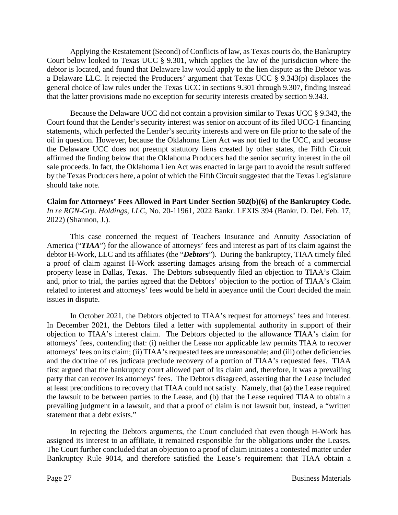Applying the Restatement (Second) of Conflicts of law, as Texas courts do, the Bankruptcy Court below looked to Texas UCC § 9.301, which applies the law of the jurisdiction where the debtor is located, and found that Delaware law would apply to the lien dispute as the Debtor was a Delaware LLC. It rejected the Producers' argument that Texas UCC § 9.343(p) displaces the general choice of law rules under the Texas UCC in sections 9.301 through 9.307, finding instead that the latter provisions made no exception for security interests created by section 9.343.

Because the Delaware UCC did not contain a provision similar to Texas UCC § 9.343, the Court found that the Lender's security interest was senior on account of its filed UCC-1 financing statements, which perfected the Lender's security interests and were on file prior to the sale of the oil in question. However, because the Oklahoma Lien Act was not tied to the UCC, and because the Delaware UCC does not preempt statutory liens created by other states, the Fifth Circuit affirmed the finding below that the Oklahoma Producers had the senior security interest in the oil sale proceeds. In fact, the Oklahoma Lien Act was enacted in large part to avoid the result suffered by the Texas Producers here, a point of which the Fifth Circuit suggested that the Texas Legislature should take note.

**Claim for Attorneys' Fees Allowed in Part Under Section 502(b)(6) of the Bankruptcy Code.**  *In re RGN-Grp. Holdings, LLC*, No. 20-11961, 2022 Bankr. LEXIS 394 (Bankr. D. Del. Feb. 17, 2022) (Shannon, J.).

This case concerned the request of Teachers Insurance and Annuity Association of America ("*TIAA*") for the allowance of attorneys' fees and interest as part of its claim against the debtor H-Work, LLC and its affiliates (the "*Debtors*"). During the bankruptcy, TIAA timely filed a proof of claim against H-Work asserting damages arising from the breach of a commercial property lease in Dallas, Texas. The Debtors subsequently filed an objection to TIAA's Claim and, prior to trial, the parties agreed that the Debtors' objection to the portion of TIAA's Claim related to interest and attorneys' fees would be held in abeyance until the Court decided the main issues in dispute.

In October 2021, the Debtors objected to TIAA's request for attorneys' fees and interest. In December 2021, the Debtors filed a letter with supplemental authority in support of their objection to TIAA's interest claim. The Debtors objected to the allowance TIAA's claim for attorneys' fees, contending that: (i) neither the Lease nor applicable law permits TIAA to recover attorneys' fees on its claim; (ii) TIAA's requested fees are unreasonable; and (iii) other deficiencies and the doctrine of res judicata preclude recovery of a portion of TIAA's requested fees. TIAA first argued that the bankruptcy court allowed part of its claim and, therefore, it was a prevailing party that can recover its attorneys' fees. The Debtors disagreed, asserting that the Lease included at least preconditions to recovery that TIAA could not satisfy. Namely, that (a) the Lease required the lawsuit to be between parties to the Lease, and (b) that the Lease required TIAA to obtain a prevailing judgment in a lawsuit, and that a proof of claim is not lawsuit but, instead, a "written statement that a debt exists."

In rejecting the Debtors arguments, the Court concluded that even though H-Work has assigned its interest to an affiliate, it remained responsible for the obligations under the Leases. The Court further concluded that an objection to a proof of claim initiates a contested matter under Bankruptcy Rule 9014, and therefore satisfied the Lease's requirement that TIAA obtain a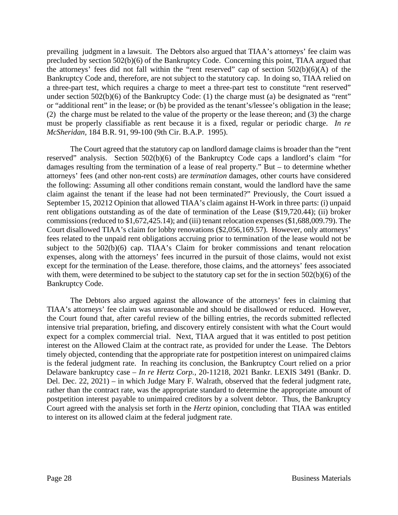prevailing judgment in a lawsuit. The Debtors also argued that TIAA's attorneys' fee claim was precluded by section 502(b)(6) of the Bankruptcy Code. Concerning this point, TIAA argued that the attorneys' fees did not fall within the "rent reserved" cap of section 502(b)(6)(A) of the Bankruptcy Code and, therefore, are not subject to the statutory cap. In doing so, TIAA relied on a three-part test, which requires a charge to meet a three-part test to constitute "rent reserved" under section 502(b)(6) of the Bankruptcy Code: (1) the charge must (a) be designated as "rent" or "additional rent" in the lease; or (b) be provided as the tenant's/lessee's obligation in the lease; (2) the charge must be related to the value of the property or the lease thereon; and (3) the charge must be properly classifiable as rent because it is a fixed, regular or periodic charge. *In re McSheridan,* 184 B.R. 91, 99-100 (9th Cir. B.A.P. 1995).

The Court agreed that the statutory cap on landlord damage claims is broader than the "rent reserved" analysis. Section 502(b)(6) of the Bankruptcy Code caps a landlord's claim "for damages resulting from the termination of a lease of real property." But – to determine whether attorneys' fees (and other non-rent costs) are *termination* damages, other courts have considered the following: Assuming all other conditions remain constant, would the landlord have the same claim against the tenant if the lease had not been terminated?" Previously, the Court issued a September 15, 20212 Opinion that allowed TIAA's claim against H-Work in three parts: (i) unpaid rent obligations outstanding as of the date of termination of the Lease (\$19,720.44); (ii) broker commissions (reduced to \$1,672,425.14); and (iii) tenant relocation expenses (\$1,688,009.79). The Court disallowed TIAA's claim for lobby renovations (\$2,056,169.57). However, only attorneys' fees related to the unpaid rent obligations accruing prior to termination of the lease would not be subject to the 502(b)(6) cap. TIAA's Claim for broker commissions and tenant relocation expenses, along with the attorneys' fees incurred in the pursuit of those claims, would not exist except for the termination of the Lease. therefore, those claims, and the attorneys' fees associated with them, were determined to be subject to the statutory cap set for the in section 502(b)(6) of the Bankruptcy Code.

The Debtors also argued against the allowance of the attorneys' fees in claiming that TIAA's attorneys' fee claim was unreasonable and should be disallowed or reduced. However, the Court found that, after careful review of the billing entries, the records submitted reflected intensive trial preparation, briefing, and discovery entirely consistent with what the Court would expect for a complex commercial trial. Next, TIAA argued that it was entitled to post petition interest on the Allowed Claim at the contract rate, as provided for under the Lease. The Debtors timely objected, contending that the appropriate rate for postpetition interest on unimpaired claims is the federal judgment rate. In reaching its conclusion, the Bankruptcy Court relied on a prior Delaware bankruptcy case – *In re Hertz Corp.,* 20-11218, 2021 Bankr. LEXIS 3491 (Bankr. D. Del. Dec. 22, 2021) – in which Judge Mary F. Walrath, observed that the federal judgment rate, rather than the contract rate, was the appropriate standard to determine the appropriate amount of postpetition interest payable to unimpaired creditors by a solvent debtor. Thus, the Bankruptcy Court agreed with the analysis set forth in the *Hertz* opinion, concluding that TIAA was entitled to interest on its allowed claim at the federal judgment rate.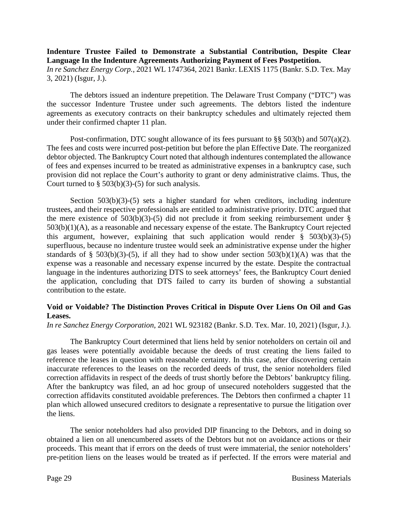### **Indenture Trustee Failed to Demonstrate a Substantial Contribution, Despite Clear Language In the Indenture Agreements Authorizing Payment of Fees Postpetition.**  *In re Sanchez Energy Corp.*, 2021 WL 1747364, 2021 Bankr. LEXIS 1175 (Bankr. S.D. Tex. May

3, 2021) (Isgur, J.).

The debtors issued an indenture prepetition. The Delaware Trust Company ("DTC") was the successor Indenture Trustee under such agreements. The debtors listed the indenture agreements as executory contracts on their bankruptcy schedules and ultimately rejected them under their confirmed chapter 11 plan.

Post-confirmation, DTC sought allowance of its fees pursuant to §§ 503(b) and 507(a)(2). The fees and costs were incurred post-petition but before the plan Effective Date. The reorganized debtor objected. The Bankruptcy Court noted that although indentures contemplated the allowance of fees and expenses incurred to be treated as administrative expenses in a bankruptcy case, such provision did not replace the Court's authority to grant or deny administrative claims. Thus, the Court turned to  $\S$  503(b)(3)-(5) for such analysis.

Section  $503(b)(3)-(5)$  sets a higher standard for when creditors, including indenture trustees, and their respective professionals are entitled to administrative priority. DTC argued that the mere existence of  $503(b)(3)-(5)$  did not preclude it from seeking reimbursement under § 503(b)(1)(A), as a reasonable and necessary expense of the estate. The Bankruptcy Court rejected this argument, however, explaining that such application would render  $\S$  503(b)(3)-(5) superfluous, because no indenture trustee would seek an administrative expense under the higher standards of § 503(b)(3)-(5), if all they had to show under section  $503(b)(1)(A)$  was that the expense was a reasonable and necessary expense incurred by the estate. Despite the contractual language in the indentures authorizing DTS to seek attorneys' fees, the Bankruptcy Court denied the application, concluding that DTS failed to carry its burden of showing a substantial contribution to the estate.

### **Void or Voidable? The Distinction Proves Critical in Dispute Over Liens On Oil and Gas Leases.**

*In re Sanchez Energy Corporation*, 2021 WL 923182 (Bankr. S.D. Tex. Mar. 10, 2021) (Isgur, J.).

The Bankruptcy Court determined that liens held by senior noteholders on certain oil and gas leases were potentially avoidable because the deeds of trust creating the liens failed to reference the leases in question with reasonable certainty. In this case, after discovering certain inaccurate references to the leases on the recorded deeds of trust, the senior noteholders filed correction affidavits in respect of the deeds of trust shortly before the Debtors' bankruptcy filing. After the bankruptcy was filed, an ad hoc group of unsecured noteholders suggested that the correction affidavits constituted avoidable preferences. The Debtors then confirmed a chapter 11 plan which allowed unsecured creditors to designate a representative to pursue the litigation over the liens.

The senior noteholders had also provided DIP financing to the Debtors, and in doing so obtained a lien on all unencumbered assets of the Debtors but not on avoidance actions or their proceeds. This meant that if errors on the deeds of trust were immaterial, the senior noteholders' pre-petition liens on the leases would be treated as if perfected. If the errors were material and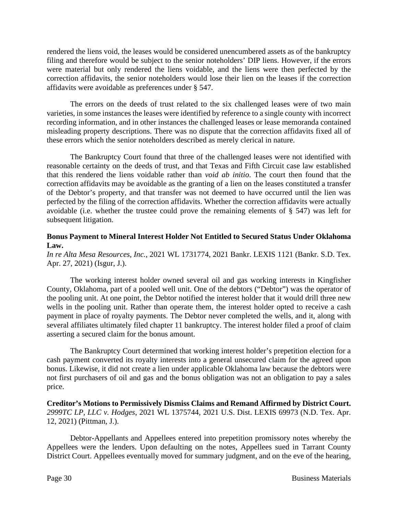rendered the liens void, the leases would be considered unencumbered assets as of the bankruptcy filing and therefore would be subject to the senior noteholders' DIP liens. However, if the errors were material but only rendered the liens voidable, and the liens were then perfected by the correction affidavits, the senior noteholders would lose their lien on the leases if the correction affidavits were avoidable as preferences under § 547.

The errors on the deeds of trust related to the six challenged leases were of two main varieties, in some instances the leases were identified by reference to a single county with incorrect recording information, and in other instances the challenged leases or lease memoranda contained misleading property descriptions. There was no dispute that the correction affidavits fixed all of these errors which the senior noteholders described as merely clerical in nature.

The Bankruptcy Court found that three of the challenged leases were not identified with reasonable certainty on the deeds of trust, and that Texas and Fifth Circuit case law established that this rendered the liens voidable rather than *void ab initio*. The court then found that the correction affidavits may be avoidable as the granting of a lien on the leases constituted a transfer of the Debtor's property, and that transfer was not deemed to have occurred until the lien was perfected by the filing of the correction affidavits. Whether the correction affidavits were actually avoidable (i.e. whether the trustee could prove the remaining elements of § 547) was left for subsequent litigation.

### **Bonus Payment to Mineral Interest Holder Not Entitled to Secured Status Under Oklahoma Law.**

*In re Alta Mesa Resources, Inc.*, 2021 WL 1731774, 2021 Bankr. LEXIS 1121 (Bankr. S.D. Tex. Apr. 27, 2021) (Isgur, J.).

The working interest holder owned several oil and gas working interests in Kingfisher County, Oklahoma, part of a pooled well unit. One of the debtors ("Debtor") was the operator of the pooling unit. At one point, the Debtor notified the interest holder that it would drill three new wells in the pooling unit. Rather than operate them, the interest holder opted to receive a cash payment in place of royalty payments. The Debtor never completed the wells, and it, along with several affiliates ultimately filed chapter 11 bankruptcy. The interest holder filed a proof of claim asserting a secured claim for the bonus amount.

The Bankruptcy Court determined that working interest holder's prepetition election for a cash payment converted its royalty interests into a general unsecured claim for the agreed upon bonus. Likewise, it did not create a lien under applicable Oklahoma law because the debtors were not first purchasers of oil and gas and the bonus obligation was not an obligation to pay a sales price.

**Creditor's Motions to Permissively Dismiss Claims and Remand Affirmed by District Court.**  *2999TC LP, LLC v. Hodges*, 2021 WL 1375744, 2021 U.S. Dist. LEXIS 69973 (N.D. Tex. Apr. 12, 2021) (Pittman, J.).

Debtor-Appellants and Appellees entered into prepetition promissory notes whereby the Appellees were the lenders. Upon defaulting on the notes, Appellees sued in Tarrant County District Court. Appellees eventually moved for summary judgment, and on the eve of the hearing,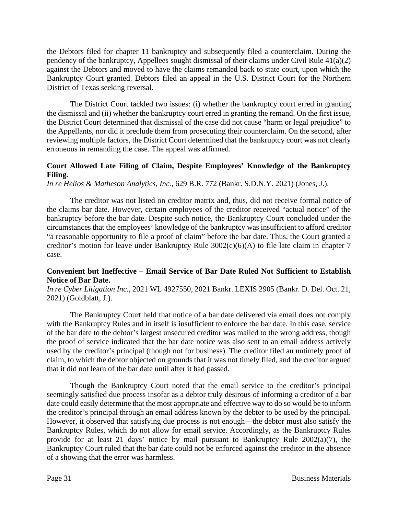the Debtors filed for chapter 11 bankruptcy and subsequently filed a counterclaim. During the pendency of the bankruptcy, Appellees sought dismissal of their claims under Civil Rule 41(a)(2) against the Debtors and moved to have the claims remanded back to state court, upon which the Bankruptcy Court granted. Debtors filed an appeal in the U.S. District Court for the Northern District of Texas seeking reversal.

The District Court tackled two issues: (i) whether the bankruptcy court erred in granting the dismissal and (ii) whether the bankruptcy court erred in granting the remand. On the first issue, the District Court determined that dismissal of the case did not cause "harm or legal prejudice" to the Appellants, nor did it preclude them from prosecuting their counterclaim. On the second, after reviewing multiple factors, the District Court determined that the bankruptcy court was not clearly erroneous in remanding the case. The appeal was affirmed.

### **Court Allowed Late Filing of Claim, Despite Employees' Knowledge of the Bankruptcy Filing.**

*In re Helios & Matheson Analytics, Inc.*, 629 B.R. 772 (Bankr. S.D.N.Y. 2021) (Jones, J.).

The creditor was not listed on creditor matrix and, thus, did not receive formal notice of the claims bar date. However, certain employees of the creditor received "actual notice" of the bankruptcy before the bar date. Despite such notice, the Bankruptcy Court concluded under the circumstances that the employees' knowledge of the bankruptcy was insufficient to afford creditor "a reasonable opportunity to file a proof of claim" before the bar date. Thus, the Court granted a creditor's motion for leave under Bankruptcy Rule 3002(c)(6)(A) to file late claim in chapter 7 case.

### **Convenient but Ineffective – Email Service of Bar Date Ruled Not Sufficient to Establish Notice of Bar Date.**

*In re Cyber Litigation Inc.*, 2021 WL 4927550, 2021 Bankr. LEXIS 2905 (Bankr. D. Del. Oct. 21, 2021) (Goldblatt, J.).

The Bankruptcy Court held that notice of a bar date delivered via email does not comply with the Bankruptcy Rules and in itself is insufficient to enforce the bar date. In this case, service of the bar date to the debtor's largest unsecured creditor was mailed to the wrong address, though the proof of service indicated that the bar date notice was also sent to an email address actively used by the creditor's principal (though not for business). The creditor filed an untimely proof of claim, to which the debtor objected on grounds that it was not timely filed, and the creditor argued that it did not learn of the bar date until after it had passed.

Though the Bankruptcy Court noted that the email service to the creditor's principal seemingly satisfied due process insofar as a debtor truly desirous of informing a creditor of a bar date could easily determine that the most appropriate and effective way to do so would be to inform the creditor's principal through an email address known by the debtor to be used by the principal. However, it observed that satisfying due process is not enough—the debtor must also satisfy the Bankruptcy Rules, which do not allow for email service. Accordingly, as the Bankruptcy Rules provide for at least 21 days' notice by mail pursuant to Bankruptcy Rule 2002(a)(7), the Bankruptcy Court ruled that the bar date could not be enforced against the creditor in the absence of a showing that the error was harmless.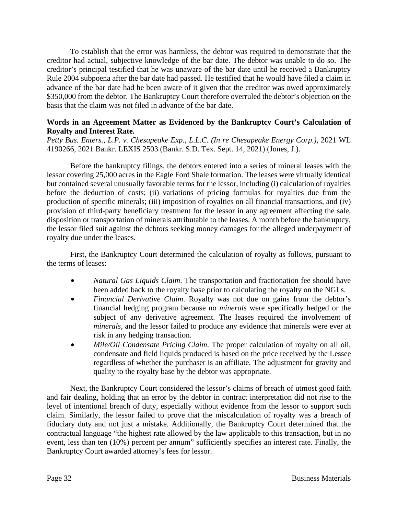To establish that the error was harmless, the debtor was required to demonstrate that the creditor had actual, subjective knowledge of the bar date. The debtor was unable to do so. The creditor's principal testified that he was unaware of the bar date until he received a Bankruptcy Rule 2004 subpoena after the bar date had passed. He testified that he would have filed a claim in advance of the bar date had he been aware of it given that the creditor was owed approximately \$350,000 from the debtor. The Bankruptcy Court therefore overruled the debtor's objection on the basis that the claim was not filed in advance of the bar date.

### **Words in an Agreement Matter as Evidenced by the Bankruptcy Court's Calculation of Royalty and Interest Rate.**

*Petty Bus. Enters., L.P. v. Chesapeake Exp., L.L.C. (In re Chesapeake Energy Corp.)*, 2021 WL 4190266, 2021 Bankr. LEXIS 2503 (Bankr. S.D. Tex. Sept. 14, 2021) (Jones, J.).

Before the bankruptcy filings, the debtors entered into a series of mineral leases with the lessor covering 25,000 acres in the Eagle Ford Shale formation. The leases were virtually identical but contained several unusually favorable terms for the lessor, including (i) calculation of royalties before the deduction of costs; (ii) variations of pricing formulas for royalties due from the production of specific minerals; (iii) imposition of royalties on all financial transactions, and (iv) provision of third-party beneficiary treatment for the lessor in any agreement affecting the sale, disposition or transportation of minerals attributable to the leases. A month before the bankruptcy, the lessor filed suit against the debtors seeking money damages for the alleged underpayment of royalty due under the leases.

First, the Bankruptcy Court determined the calculation of royalty as follows, pursuant to the terms of leases:

- *Natural Gas Liquids Claim*. The transportation and fractionation fee should have been added back to the royalty base prior to calculating the royalty on the NGLs.
- *Financial Derivative Claim*. Royalty was not due on gains from the debtor's financial hedging program because no *minerals* were specifically hedged or the subject of any derivative agreement. The leases required the involvement of *minerals*, and the lessor failed to produce any evidence that minerals were ever at risk in any hedging transaction.
- *Mile/Oil Condensate Pricing Claim.* The proper calculation of royalty on all oil, condensate and field liquids produced is based on the price received by the Lessee regardless of whether the purchaser is an affiliate. The adjustment for gravity and quality to the royalty base by the debtor was appropriate.

Next, the Bankruptcy Court considered the lessor's claims of breach of utmost good faith and fair dealing, holding that an error by the debtor in contract interpretation did not rise to the level of intentional breach of duty, especially without evidence from the lessor to support such claim. Similarly, the lessor failed to prove that the miscalculation of royalty was a breach of fiduciary duty and not just a mistake. Additionally, the Bankruptcy Court determined that the contractual language "the highest rate allowed by the law applicable to this transaction, but in no event, less than ten (10%) percent per annum" sufficiently specifies an interest rate. Finally, the Bankruptcy Court awarded attorney's fees for lessor.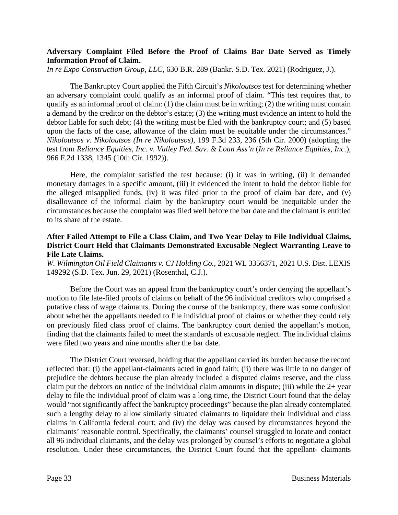### **Adversary Complaint Filed Before the Proof of Claims Bar Date Served as Timely Information Proof of Claim.**

*In re Expo Construction Group, LLC*, 630 B.R. 289 (Bankr. S.D. Tex. 2021) (Rodriguez, J.).

The Bankruptcy Court applied the Fifth Circuit's *Nikoloutsos* test for determining whether an adversary complaint could qualify as an informal proof of claim. "This test requires that, to qualify as an informal proof of claim: (1) the claim must be in writing; (2) the writing must contain a demand by the creditor on the debtor's estate; (3) the writing must evidence an intent to hold the debtor liable for such debt; (4) the writing must be filed with the bankruptcy court; and (5) based upon the facts of the case, allowance of the claim must be equitable under the circumstances." *Nikoloutsos v. Nikoloutsos (In re Nikoloutsos)*, 199 F.3d 233, 236 (5th Cir. 2000) (adopting the test from *Reliance Equities, Inc. v. Valley Fed. Sav. & Loan Ass'n* (*In re Reliance Equities, Inc.*), 966 F.2d 1338, 1345 (10th Cir. 1992)).

Here, the complaint satisfied the test because: (i) it was in writing, (ii) it demanded monetary damages in a specific amount, (iii) it evidenced the intent to hold the debtor liable for the alleged misapplied funds, (iv) it was filed prior to the proof of claim bar date, and (v) disallowance of the informal claim by the bankruptcy court would be inequitable under the circumstances because the complaint was filed well before the bar date and the claimant is entitled to its share of the estate.

### **After Failed Attempt to File a Class Claim, and Two Year Delay to File Individual Claims, District Court Held that Claimants Demonstrated Excusable Neglect Warranting Leave to File Late Claims.**

*W. Wilmington Oil Field Claimants v. CJ Holding Co.*, 2021 WL 3356371, 2021 U.S. Dist. LEXIS 149292 (S.D. Tex. Jun. 29, 2021) (Rosenthal, C.J.).

Before the Court was an appeal from the bankruptcy court's order denying the appellant's motion to file late-filed proofs of claims on behalf of the 96 individual creditors who comprised a putative class of wage claimants. During the course of the bankruptcy, there was some confusion about whether the appellants needed to file individual proof of claims or whether they could rely on previously filed class proof of claims. The bankruptcy court denied the appellant's motion, finding that the claimants failed to meet the standards of excusable neglect. The individual claims were filed two years and nine months after the bar date.

The District Court reversed, holding that the appellant carried its burden because the record reflected that: (i) the appellant-claimants acted in good faith; (ii) there was little to no danger of prejudice the debtors because the plan already included a disputed claims reserve, and the class claim put the debtors on notice of the individual claim amounts in dispute; (iii) while the 2+ year delay to file the individual proof of claim was a long time, the District Court found that the delay would "not significantly affect the bankruptcy proceedings" because the plan already contemplated such a lengthy delay to allow similarly situated claimants to liquidate their individual and class claims in California federal court; and (iv) the delay was caused by circumstances beyond the claimants' reasonable control. Specifically, the claimants' counsel struggled to locate and contact all 96 individual claimants, and the delay was prolonged by counsel's efforts to negotiate a global resolution. Under these circumstances, the District Court found that the appellant- claimants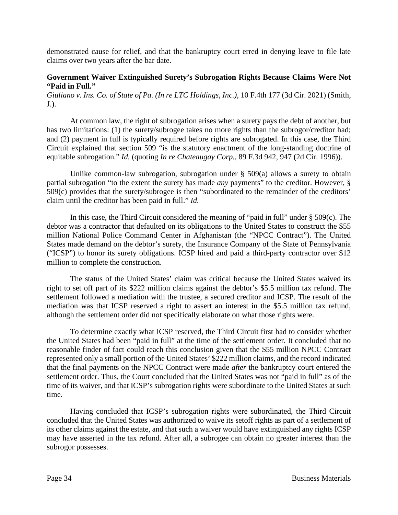demonstrated cause for relief, and that the bankruptcy court erred in denying leave to file late claims over two years after the bar date.

### **Government Waiver Extinguished Surety's Subrogation Rights Because Claims Were Not "Paid in Full."**

*Giuliano v. Ins. Co. of State of Pa. (In re LTC Holdings, Inc.)*, 10 F.4th 177 (3d Cir. 2021) (Smith, J.).

At common law, the right of subrogation arises when a surety pays the debt of another, but has two limitations: (1) the surety/subrogee takes no more rights than the subrogor/creditor had; and (2) payment in full is typically required before rights are subrogated. In this case, the Third Circuit explained that section 509 "is the statutory enactment of the long-standing doctrine of equitable subrogation." *Id.* (quoting *In re Chateaugay Corp.*, 89 F.3d 942, 947 (2d Cir. 1996)).

Unlike common-law subrogation, subrogation under § 509(a) allows a surety to obtain partial subrogation "to the extent the surety has made *any* payments" to the creditor. However, § 509(c) provides that the surety/subrogee is then "subordinated to the remainder of the creditors' claim until the creditor has been paid in full." *Id.*

In this case, the Third Circuit considered the meaning of "paid in full" under  $\S$  509(c). The debtor was a contractor that defaulted on its obligations to the United States to construct the \$55 million National Police Command Center in Afghanistan (the "NPCC Contract"). The United States made demand on the debtor's surety, the Insurance Company of the State of Pennsylvania ("ICSP") to honor its surety obligations. ICSP hired and paid a third-party contractor over \$12 million to complete the construction.

The status of the United States' claim was critical because the United States waived its right to set off part of its \$222 million claims against the debtor's \$5.5 million tax refund. The settlement followed a mediation with the trustee, a secured creditor and ICSP. The result of the mediation was that ICSP reserved a right to assert an interest in the \$5.5 million tax refund, although the settlement order did not specifically elaborate on what those rights were.

To determine exactly what ICSP reserved, the Third Circuit first had to consider whether the United States had been "paid in full" at the time of the settlement order. It concluded that no reasonable finder of fact could reach this conclusion given that the \$55 million NPCC Contract represented only a small portion of the United States' \$222 million claims, and the record indicated that the final payments on the NPCC Contract were made *after* the bankruptcy court entered the settlement order. Thus, the Court concluded that the United States was not "paid in full" as of the time of its waiver, and that ICSP's subrogation rights were subordinate to the United States at such time.

Having concluded that ICSP's subrogation rights were subordinated, the Third Circuit concluded that the United States was authorized to waive its setoff rights as part of a settlement of its other claims against the estate, and that such a waiver would have extinguished any rights ICSP may have asserted in the tax refund. After all, a subrogee can obtain no greater interest than the subrogor possesses.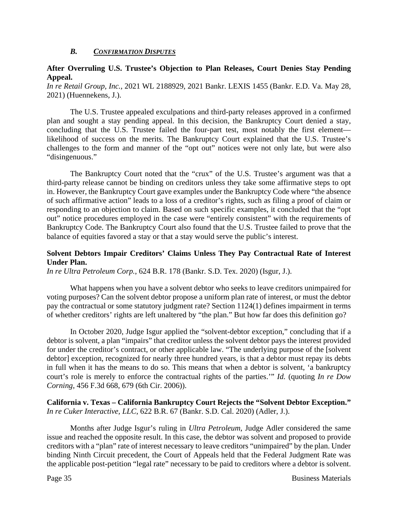### *B. CONFIRMATION DISPUTES*

### **After Overruling U.S. Trustee's Objection to Plan Releases, Court Denies Stay Pending Appeal.**

*In re Retail Group, Inc.*, 2021 WL 2188929, 2021 Bankr. LEXIS 1455 (Bankr. E.D. Va. May 28, 2021) (Huennekens, J.).

The U.S. Trustee appealed exculpations and third-party releases approved in a confirmed plan and sought a stay pending appeal. In this decision, the Bankruptcy Court denied a stay, concluding that the U.S. Trustee failed the four-part test, most notably the first element likelihood of success on the merits. The Bankruptcy Court explained that the U.S. Trustee's challenges to the form and manner of the "opt out" notices were not only late, but were also "disingenuous."

The Bankruptcy Court noted that the "crux" of the U.S. Trustee's argument was that a third-party release cannot be binding on creditors unless they take some affirmative steps to opt in. However, the Bankruptcy Court gave examples under the Bankruptcy Code where "the absence of such affirmative action" leads to a loss of a creditor's rights, such as filing a proof of claim or responding to an objection to claim. Based on such specific examples, it concluded that the "opt out" notice procedures employed in the case were "entirely consistent" with the requirements of Bankruptcy Code. The Bankruptcy Court also found that the U.S. Trustee failed to prove that the balance of equities favored a stay or that a stay would serve the public's interest.

### **Solvent Debtors Impair Creditors' Claims Unless They Pay Contractual Rate of Interest Under Plan.**

*In re Ultra Petroleum Corp.*, 624 B.R. 178 (Bankr. S.D. Tex. 2020) (Isgur, J.).

What happens when you have a solvent debtor who seeks to leave creditors unimpaired for voting purposes? Can the solvent debtor propose a uniform plan rate of interest, or must the debtor pay the contractual or some statutory judgment rate? Section 1124(1) defines impairment in terms of whether creditors' rights are left unaltered by "the plan." But how far does this definition go?

In October 2020, Judge Isgur applied the "solvent-debtor exception," concluding that if a debtor is solvent, a plan "impairs" that creditor unless the solvent debtor pays the interest provided for under the creditor's contract, or other applicable law. "The underlying purpose of the [solvent debtor] exception, recognized for nearly three hundred years, is that a debtor must repay its debts in full when it has the means to do so. This means that when a debtor is solvent, 'a bankruptcy court's role is merely to enforce the contractual rights of the parties.'" *Id.* (quoting *In re Dow Corning*, 456 F.3d 668, 679 (6th Cir. 2006)).

### **California v. Texas – California Bankruptcy Court Rejects the "Solvent Debtor Exception."**  *In re Cuker Interactive, LLC*, 622 B.R. 67 (Bankr. S.D. Cal. 2020) (Adler, J.).

Months after Judge Isgur's ruling in *Ultra Petroleum*, Judge Adler considered the same issue and reached the opposite result. In this case, the debtor was solvent and proposed to provide creditors with a "plan" rate of interest necessary to leave creditors "unimpaired" by the plan. Under binding Ninth Circuit precedent, the Court of Appeals held that the Federal Judgment Rate was the applicable post-petition "legal rate" necessary to be paid to creditors where a debtor is solvent.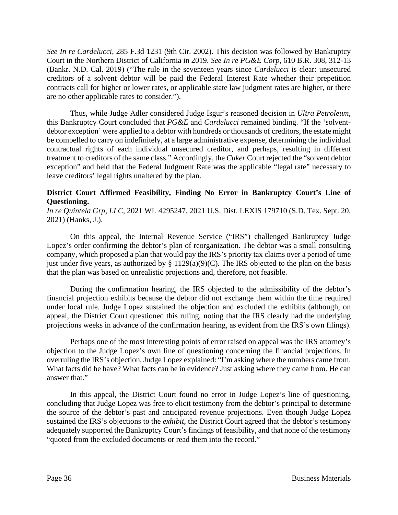*See In re Cardelucci*, 285 F.3d 1231 (9th Cir. 2002). This decision was followed by Bankruptcy Court in the Northern District of California in 2019. *See In re PG&E Corp*, 610 B.R. 308, 312-13 (Bankr. N.D. Cal. 2019) ("The rule in the seventeen years since *Cardelucci* is clear: unsecured creditors of a solvent debtor will be paid the Federal Interest Rate whether their prepetition contracts call for higher or lower rates, or applicable state law judgment rates are higher, or there are no other applicable rates to consider.").

Thus, while Judge Adler considered Judge Isgur's reasoned decision in *Ultra Petroleum*, this Bankruptcy Court concluded that *PG&E* and *Cardelucci* remained binding. "If the 'solventdebtor exception' were applied to a debtor with hundreds or thousands of creditors, the estate might be compelled to carry on indefinitely, at a large administrative expense, determining the individual contractual rights of each individual unsecured creditor, and perhaps, resulting in different treatment to creditors of the same class." Accordingly, the *Cuker* Court rejected the "solvent debtor exception" and held that the Federal Judgment Rate was the applicable "legal rate" necessary to leave creditors' legal rights unaltered by the plan.

## **District Court Affirmed Feasibility, Finding No Error in Bankruptcy Court's Line of Questioning.**

*In re Quintela Grp, LLC*, 2021 WL 4295247, 2021 U.S. Dist. LEXIS 179710 (S.D. Tex. Sept. 20, 2021) (Hanks, J.).

On this appeal, the Internal Revenue Service ("IRS") challenged Bankruptcy Judge Lopez's order confirming the debtor's plan of reorganization. The debtor was a small consulting company, which proposed a plan that would pay the IRS's priority tax claims over a period of time just under five years, as authorized by  $\S$  1129(a)(9)(C). The IRS objected to the plan on the basis that the plan was based on unrealistic projections and, therefore, not feasible.

During the confirmation hearing, the IRS objected to the admissibility of the debtor's financial projection exhibits because the debtor did not exchange them within the time required under local rule. Judge Lopez sustained the objection and excluded the exhibits (although, on appeal, the District Court questioned this ruling, noting that the IRS clearly had the underlying projections weeks in advance of the confirmation hearing, as evident from the IRS's own filings).

Perhaps one of the most interesting points of error raised on appeal was the IRS attorney's objection to the Judge Lopez's own line of questioning concerning the financial projections. In overruling the IRS's objection, Judge Lopez explained: "I'm asking where the numbers came from. What facts did he have? What facts can be in evidence? Just asking where they came from. He can answer that."

In this appeal, the District Court found no error in Judge Lopez's line of questioning, concluding that Judge Lopez was free to elicit testimony from the debtor's principal to determine the source of the debtor's past and anticipated revenue projections. Even though Judge Lopez sustained the IRS's objections to the *exhibit*, the District Court agreed that the debtor's testimony adequately supported the Bankruptcy Court's findings of feasibility, and that none of the testimony "quoted from the excluded documents or read them into the record."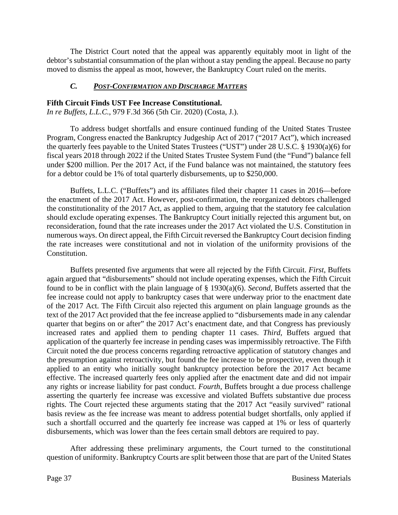The District Court noted that the appeal was apparently equitably moot in light of the debtor's substantial consummation of the plan without a stay pending the appeal. Because no party moved to dismiss the appeal as moot, however, the Bankruptcy Court ruled on the merits.

# *C. POST-CONFIRMATION AND DISCHARGE MATTERS*

### **Fifth Circuit Finds UST Fee Increase Constitutional.**

*In re Buffets, L.L.C.*, 979 F.3d 366 (5th Cir. 2020) (Costa, J.).

To address budget shortfalls and ensure continued funding of the United States Trustee Program, Congress enacted the Bankruptcy Judgeship Act of 2017 ("2017 Act"), which increased the quarterly fees payable to the United States Trustees ("UST") under 28 U.S.C. § 1930(a)(6) for fiscal years 2018 through 2022 if the United States Trustee System Fund (the "Fund") balance fell under \$200 million. Per the 2017 Act, if the Fund balance was not maintained, the statutory fees for a debtor could be 1% of total quarterly disbursements, up to \$250,000.

Buffets, L.L.C. ("Buffets") and its affiliates filed their chapter 11 cases in 2016—before the enactment of the 2017 Act. However, post-confirmation, the reorganized debtors challenged the constitutionality of the 2017 Act, as applied to them, arguing that the statutory fee calculation should exclude operating expenses. The Bankruptcy Court initially rejected this argument but, on reconsideration, found that the rate increases under the 2017 Act violated the U.S. Constitution in numerous ways. On direct appeal, the Fifth Circuit reversed the Bankruptcy Court decision finding the rate increases were constitutional and not in violation of the uniformity provisions of the Constitution.

Buffets presented five arguments that were all rejected by the Fifth Circuit. *First*, Buffets again argued that "disbursements" should not include operating expenses, which the Fifth Circuit found to be in conflict with the plain language of § 1930(a)(6). *Second*, Buffets asserted that the fee increase could not apply to bankruptcy cases that were underway prior to the enactment date of the 2017 Act. The Fifth Circuit also rejected this argument on plain language grounds as the text of the 2017 Act provided that the fee increase applied to "disbursements made in any calendar quarter that begins on or after" the 2017 Act's enactment date, and that Congress has previously increased rates and applied them to pending chapter 11 cases. *Third*, Buffets argued that application of the quarterly fee increase in pending cases was impermissibly retroactive. The Fifth Circuit noted the due process concerns regarding retroactive application of statutory changes and the presumption against retroactivity, but found the fee increase to be prospective, even though it applied to an entity who initially sought bankruptcy protection before the 2017 Act became effective. The increased quarterly fees only applied after the enactment date and did not impair any rights or increase liability for past conduct. *Fourth*, Buffets brought a due process challenge asserting the quarterly fee increase was excessive and violated Buffets substantive due process rights. The Court rejected these arguments stating that the 2017 Act "easily survived" rational basis review as the fee increase was meant to address potential budget shortfalls, only applied if such a shortfall occurred and the quarterly fee increase was capped at 1% or less of quarterly disbursements, which was lower than the fees certain small debtors are required to pay.

After addressing these preliminary arguments, the Court turned to the constitutional question of uniformity. Bankruptcy Courts are split between those that are part of the United States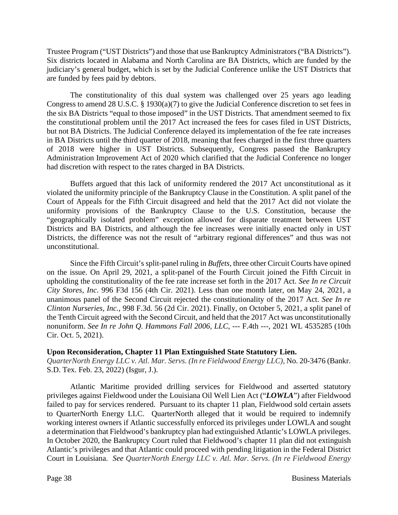Trustee Program ("UST Districts") and those that use Bankruptcy Administrators ("BA Districts"). Six districts located in Alabama and North Carolina are BA Districts, which are funded by the judiciary's general budget, which is set by the Judicial Conference unlike the UST Districts that are funded by fees paid by debtors.

The constitutionality of this dual system was challenged over 25 years ago leading Congress to amend 28 U.S.C. § 1930(a)(7) to give the Judicial Conference discretion to set fees in the six BA Districts "equal to those imposed" in the UST Districts. That amendment seemed to fix the constitutional problem until the 2017 Act increased the fees for cases filed in UST Districts, but not BA Districts. The Judicial Conference delayed its implementation of the fee rate increases in BA Districts until the third quarter of 2018, meaning that fees charged in the first three quarters of 2018 were higher in UST Districts. Subsequently, Congress passed the Bankruptcy Administration Improvement Act of 2020 which clarified that the Judicial Conference no longer had discretion with respect to the rates charged in BA Districts.

Buffets argued that this lack of uniformity rendered the 2017 Act unconstitutional as it violated the uniformity principle of the Bankruptcy Clause in the Constitution. A split panel of the Court of Appeals for the Fifth Circuit disagreed and held that the 2017 Act did not violate the uniformity provisions of the Bankruptcy Clause to the U.S. Constitution, because the "geographically isolated problem" exception allowed for disparate treatment between UST Districts and BA Districts, and although the fee increases were initially enacted only in UST Districts, the difference was not the result of "arbitrary regional differences" and thus was not unconstitutional.

Since the Fifth Circuit's split-panel ruling in *Buffets*, three other Circuit Courts have opined on the issue. On April 29, 2021, a split-panel of the Fourth Circuit joined the Fifth Circuit in upholding the constitutionality of the fee rate increase set forth in the 2017 Act. *See In re Circuit City Stores, Inc*. 996 F3d 156 (4th Cir. 2021). Less than one month later, on May 24, 2021, a unanimous panel of the Second Circuit rejected the constitutionality of the 2017 Act. *See In re Clinton Nurseries, Inc.*, 998 F.3d. 56 (2d Cir. 2021). Finally, on October 5, 2021, a split panel of the Tenth Circuit agreed with the Second Circuit, and held that the 2017 Act was unconstitutionally nonuniform. *See In re John Q. Hammons Fall 2006, LLC*, --- F.4th ---, 2021 WL 4535285 (10th Cir. Oct. 5, 2021).

### **Upon Reconsideration, Chapter 11 Plan Extinguished State Statutory Lien.**

*QuarterNorth Energy LLC v. Atl. Mar. Servs. (In re Fieldwood Energy LLC)*, No. 20-3476 (Bankr. S.D. Tex. Feb. 23, 2022) (Isgur, J.).

Atlantic Maritime provided drilling services for Fieldwood and asserted statutory privileges against Fieldwood under the Louisiana Oil Well Lien Act ("*LOWLA*") after Fieldwood failed to pay for services rendered. Pursuant to its chapter 11 plan, Fieldwood sold certain assets to QuarterNorth Energy LLC. QuarterNorth alleged that it would be required to indemnify working interest owners if Atlantic successfully enforced its privileges under LOWLA and sought a determination that Fieldwood's bankruptcy plan had extinguished Atlantic's LOWLA privileges. In October 2020, the Bankruptcy Court ruled that Fieldwood's chapter 11 plan did not extinguish Atlantic's privileges and that Atlantic could proceed with pending litigation in the Federal District Court in Louisiana. *See QuarterNorth Energy LLC v. Atl. Mar. Servs. (In re Fieldwood Energy*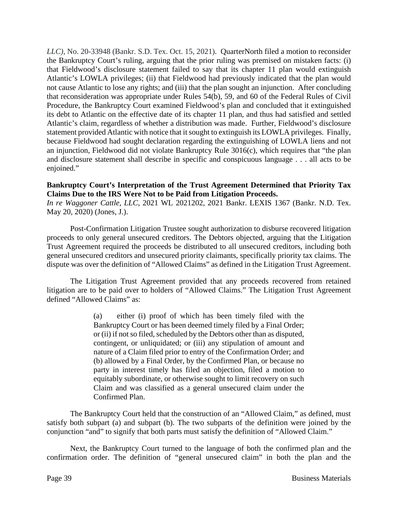*LLC)*, No. 20-33948 (Bankr. S.D. Tex. Oct. 15, 2021). QuarterNorth filed a motion to reconsider the Bankruptcy Court's ruling, arguing that the prior ruling was premised on mistaken facts: (i) that Fieldwood's disclosure statement failed to say that its chapter 11 plan would extinguish Atlantic's LOWLA privileges; (ii) that Fieldwood had previously indicated that the plan would not cause Atlantic to lose any rights; and (iii) that the plan sought an injunction. After concluding that reconsideration was appropriate under Rules 54(b), 59, and 60 of the Federal Rules of Civil Procedure, the Bankruptcy Court examined Fieldwood's plan and concluded that it extinguished its debt to Atlantic on the effective date of its chapter 11 plan, and thus had satisfied and settled Atlantic's claim, regardless of whether a distribution was made. Further, Fieldwood's disclosure statement provided Atlantic with notice that it sought to extinguish its LOWLA privileges. Finally, because Fieldwood had sought declaration regarding the extinguishing of LOWLA liens and not an injunction, Fieldwood did not violate Bankruptcy Rule 3016(c), which requires that "the plan and disclosure statement shall describe in specific and conspicuous language . . . all acts to be enjoined."

### **Bankruptcy Court's Interpretation of the Trust Agreement Determined that Priority Tax Claims Due to the IRS Were Not to be Paid from Litigation Proceeds.**

*In re Waggoner Cattle, LLC*, 2021 WL 2021202, 2021 Bankr. LEXIS 1367 (Bankr. N.D. Tex. May 20, 2020) (Jones, J.).

Post-Confirmation Litigation Trustee sought authorization to disburse recovered litigation proceeds to only general unsecured creditors. The Debtors objected, arguing that the Litigation Trust Agreement required the proceeds be distributed to all unsecured creditors, including both general unsecured creditors and unsecured priority claimants, specifically priority tax claims. The dispute was over the definition of "Allowed Claims" as defined in the Litigation Trust Agreement.

The Litigation Trust Agreement provided that any proceeds recovered from retained litigation are to be paid over to holders of "Allowed Claims." The Litigation Trust Agreement defined "Allowed Claims" as:

> (a) either (i) proof of which has been timely filed with the Bankruptcy Court or has been deemed timely filed by a Final Order; or (ii) if not so filed, scheduled by the Debtors other than as disputed, contingent, or unliquidated; or (iii) any stipulation of amount and nature of a Claim filed prior to entry of the Confirmation Order; and (b) allowed by a Final Order, by the Confirmed Plan, or because no party in interest timely has filed an objection, filed a motion to equitably subordinate, or otherwise sought to limit recovery on such Claim and was classified as a general unsecured claim under the Confirmed Plan.

The Bankruptcy Court held that the construction of an "Allowed Claim," as defined, must satisfy both subpart (a) and subpart (b). The two subparts of the definition were joined by the conjunction "and" to signify that both parts must satisfy the definition of "Allowed Claim."

Next, the Bankruptcy Court turned to the language of both the confirmed plan and the confirmation order. The definition of "general unsecured claim" in both the plan and the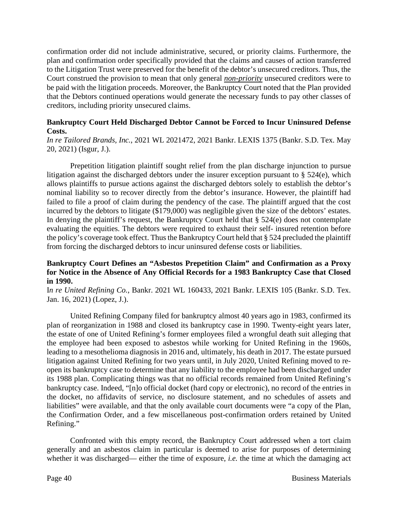confirmation order did not include administrative, secured, or priority claims. Furthermore, the plan and confirmation order specifically provided that the claims and causes of action transferred to the Litigation Trust were preserved for the benefit of the debtor's unsecured creditors. Thus, the Court construed the provision to mean that only general *non-priority* unsecured creditors were to be paid with the litigation proceeds. Moreover, the Bankruptcy Court noted that the Plan provided that the Debtors continued operations would generate the necessary funds to pay other classes of creditors, including priority unsecured claims.

### **Bankruptcy Court Held Discharged Debtor Cannot be Forced to Incur Uninsured Defense Costs.**

*In re Tailored Brands, Inc.*, 2021 WL 2021472, 2021 Bankr. LEXIS 1375 (Bankr. S.D. Tex. May 20, 2021) (Isgur, J.).

Prepetition litigation plaintiff sought relief from the plan discharge injunction to pursue litigation against the discharged debtors under the insurer exception pursuant to § 524(e), which allows plaintiffs to pursue actions against the discharged debtors solely to establish the debtor's nominal liability so to recover directly from the debtor's insurance. However, the plaintiff had failed to file a proof of claim during the pendency of the case. The plaintiff argued that the cost incurred by the debtors to litigate (\$179,000) was negligible given the size of the debtors' estates. In denying the plaintiff's request, the Bankruptcy Court held that  $\S$  524(e) does not contemplate evaluating the equities. The debtors were required to exhaust their self- insured retention before the policy's coverage took effect. Thus the Bankruptcy Court held that § 524 precluded the plaintiff from forcing the discharged debtors to incur uninsured defense costs or liabilities.

### **Bankruptcy Court Defines an "Asbestos Prepetition Claim" and Confirmation as a Proxy for Notice in the Absence of Any Official Records for a 1983 Bankruptcy Case that Closed in 1990.**

I*n re United Refining Co.*, Bankr. 2021 WL 160433, 2021 Bankr. LEXIS 105 (Bankr. S.D. Tex. Jan. 16, 2021) (Lopez, J.).

United Refining Company filed for bankruptcy almost 40 years ago in 1983, confirmed its plan of reorganization in 1988 and closed its bankruptcy case in 1990. Twenty-eight years later, the estate of one of United Refining's former employees filed a wrongful death suit alleging that the employee had been exposed to asbestos while working for United Refining in the 1960s, leading to a mesothelioma diagnosis in 2016 and, ultimately, his death in 2017. The estate pursued litigation against United Refining for two years until, in July 2020, United Refining moved to reopen its bankruptcy case to determine that any liability to the employee had been discharged under its 1988 plan. Complicating things was that no official records remained from United Refining's bankruptcy case. Indeed, "[n]o official docket (hard copy or electronic), no record of the entries in the docket, no affidavits of service, no disclosure statement, and no schedules of assets and liabilities" were available, and that the only available court documents were "a copy of the Plan, the Confirmation Order, and a few miscellaneous post-confirmation orders retained by United Refining."

Confronted with this empty record, the Bankruptcy Court addressed when a tort claim generally and an asbestos claim in particular is deemed to arise for purposes of determining whether it was discharged— either the time of exposure, *i.e.* the time at which the damaging act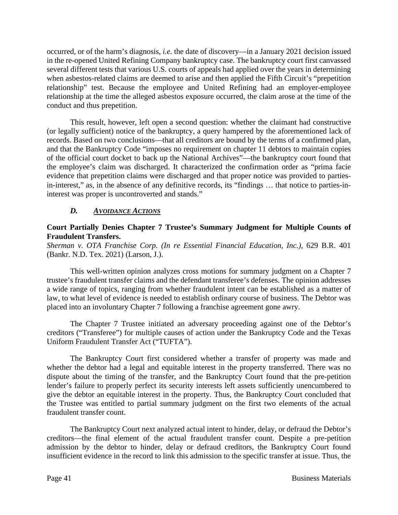occurred, or of the harm's diagnosis, *i.e.* the date of discovery—in a January 2021 decision issued in the re-opened United Refining Company bankruptcy case. The bankruptcy court first canvassed several different tests that various U.S. courts of appeals had applied over the years in determining when asbestos-related claims are deemed to arise and then applied the Fifth Circuit's "prepetition relationship" test. Because the employee and United Refining had an employer-employee relationship at the time the alleged asbestos exposure occurred, the claim arose at the time of the conduct and thus prepetition.

This result, however, left open a second question: whether the claimant had constructive (or legally sufficient) notice of the bankruptcy, a query hampered by the aforementioned lack of records. Based on two conclusions—that all creditors are bound by the terms of a confirmed plan, and that the Bankruptcy Code "imposes no requirement on chapter 11 debtors to maintain copies of the official court docket to back up the National Archives"—the bankruptcy court found that the employee's claim was discharged. It characterized the confirmation order as "prima facie evidence that prepetition claims were discharged and that proper notice was provided to partiesin-interest," as, in the absence of any definitive records, its "findings … that notice to parties-ininterest was proper is uncontroverted and stands."

# *D. AVOIDANCE ACTIONS*

### **Court Partially Denies Chapter 7 Trustee's Summary Judgment for Multiple Counts of Fraudulent Transfers.**

*Sherman v. OTA Franchise Corp. (In re Essential Financial Education, Inc.)*, 629 B.R. 401 (Bankr. N.D. Tex. 2021) (Larson, J.).

This well-written opinion analyzes cross motions for summary judgment on a Chapter 7 trustee's fraudulent transfer claims and the defendant transferee's defenses. The opinion addresses a wide range of topics, ranging from whether fraudulent intent can be established as a matter of law, to what level of evidence is needed to establish ordinary course of business. The Debtor was placed into an involuntary Chapter 7 following a franchise agreement gone awry.

The Chapter 7 Trustee initiated an adversary proceeding against one of the Debtor's creditors ("Transferee") for multiple causes of action under the Bankruptcy Code and the Texas Uniform Fraudulent Transfer Act ("TUFTA").

The Bankruptcy Court first considered whether a transfer of property was made and whether the debtor had a legal and equitable interest in the property transferred. There was no dispute about the timing of the transfer, and the Bankruptcy Court found that the pre-petition lender's failure to properly perfect its security interests left assets sufficiently unencumbered to give the debtor an equitable interest in the property. Thus, the Bankruptcy Court concluded that the Trustee was entitled to partial summary judgment on the first two elements of the actual fraudulent transfer count.

The Bankruptcy Court next analyzed actual intent to hinder, delay, or defraud the Debtor's creditors—the final element of the actual fraudulent transfer count. Despite a pre-petition admission by the debtor to hinder, delay or defraud creditors, the Bankruptcy Court found insufficient evidence in the record to link this admission to the specific transfer at issue. Thus, the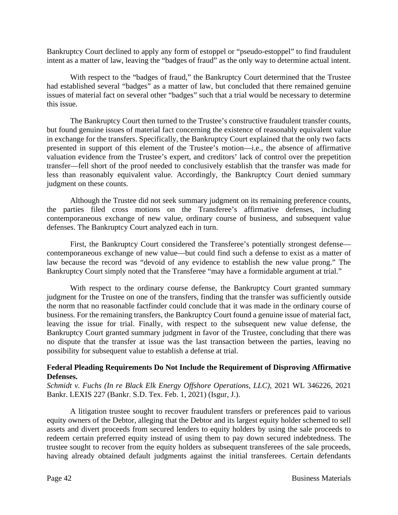Bankruptcy Court declined to apply any form of estoppel or "pseudo-estoppel" to find fraudulent intent as a matter of law, leaving the "badges of fraud" as the only way to determine actual intent.

With respect to the "badges of fraud," the Bankruptcy Court determined that the Trustee had established several "badges" as a matter of law, but concluded that there remained genuine issues of material fact on several other "badges" such that a trial would be necessary to determine this issue.

The Bankruptcy Court then turned to the Trustee's constructive fraudulent transfer counts, but found genuine issues of material fact concerning the existence of reasonably equivalent value in exchange for the transfers. Specifically, the Bankruptcy Court explained that the only two facts presented in support of this element of the Trustee's motion—i.e., the absence of affirmative valuation evidence from the Trustee's expert, and creditors' lack of control over the prepetition transfer—fell short of the proof needed to conclusively establish that the transfer was made for less than reasonably equivalent value. Accordingly, the Bankruptcy Court denied summary judgment on these counts.

Although the Trustee did not seek summary judgment on its remaining preference counts, the parties filed cross motions on the Transferee's affirmative defenses, including contemporaneous exchange of new value, ordinary course of business, and subsequent value defenses. The Bankruptcy Court analyzed each in turn.

First, the Bankruptcy Court considered the Transferee's potentially strongest defense contemporaneous exchange of new value—but could find such a defense to exist as a matter of law because the record was "devoid of any evidence to establish the new value prong." The Bankruptcy Court simply noted that the Transferee "may have a formidable argument at trial."

With respect to the ordinary course defense, the Bankruptcy Court granted summary judgment for the Trustee on one of the transfers, finding that the transfer was sufficiently outside the norm that no reasonable factfinder could conclude that it was made in the ordinary course of business. For the remaining transfers, the Bankruptcy Court found a genuine issue of material fact, leaving the issue for trial. Finally, with respect to the subsequent new value defense, the Bankruptcy Court granted summary judgment in favor of the Trustee, concluding that there was no dispute that the transfer at issue was the last transaction between the parties, leaving no possibility for subsequent value to establish a defense at trial.

### **Federal Pleading Requirements Do Not Include the Requirement of Disproving Affirmative Defenses.**

*Schmidt v. Fuchs (In re Black Elk Energy Offshore Operations, LLC)*, 2021 WL 346226, 2021 Bankr. LEXIS 227 (Bankr. S.D. Tex. Feb. 1, 2021) (Isgur, J.).

A litigation trustee sought to recover fraudulent transfers or preferences paid to various equity owners of the Debtor, alleging that the Debtor and its largest equity holder schemed to sell assets and divert proceeds from secured lenders to equity holders by using the sale proceeds to redeem certain preferred equity instead of using them to pay down secured indebtedness. The trustee sought to recover from the equity holders as subsequent transferees of the sale proceeds, having already obtained default judgments against the initial transferees. Certain defendants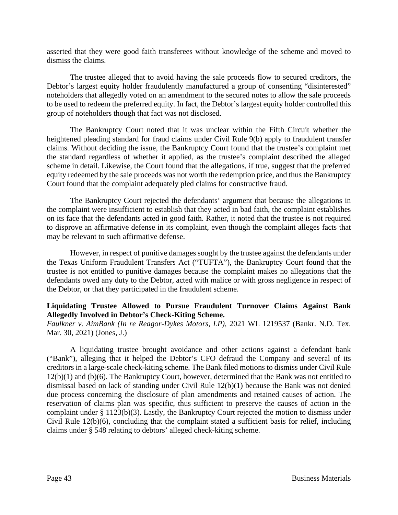asserted that they were good faith transferees without knowledge of the scheme and moved to dismiss the claims.

The trustee alleged that to avoid having the sale proceeds flow to secured creditors, the Debtor's largest equity holder fraudulently manufactured a group of consenting "disinterested" noteholders that allegedly voted on an amendment to the secured notes to allow the sale proceeds to be used to redeem the preferred equity. In fact, the Debtor's largest equity holder controlled this group of noteholders though that fact was not disclosed.

The Bankruptcy Court noted that it was unclear within the Fifth Circuit whether the heightened pleading standard for fraud claims under Civil Rule 9(b) apply to fraudulent transfer claims. Without deciding the issue, the Bankruptcy Court found that the trustee's complaint met the standard regardless of whether it applied, as the trustee's complaint described the alleged scheme in detail. Likewise, the Court found that the allegations, if true, suggest that the preferred equity redeemed by the sale proceeds was not worth the redemption price, and thus the Bankruptcy Court found that the complaint adequately pled claims for constructive fraud.

The Bankruptcy Court rejected the defendants' argument that because the allegations in the complaint were insufficient to establish that they acted in bad faith, the complaint establishes on its face that the defendants acted in good faith. Rather, it noted that the trustee is not required to disprove an affirmative defense in its complaint, even though the complaint alleges facts that may be relevant to such affirmative defense.

However, in respect of punitive damages sought by the trustee against the defendants under the Texas Uniform Fraudulent Transfers Act ("TUFTA"), the Bankruptcy Court found that the trustee is not entitled to punitive damages because the complaint makes no allegations that the defendants owed any duty to the Debtor, acted with malice or with gross negligence in respect of the Debtor, or that they participated in the fraudulent scheme.

### **Liquidating Trustee Allowed to Pursue Fraudulent Turnover Claims Against Bank Allegedly Involved in Debtor's Check-Kiting Scheme.**

*Faulkner v. AimBank (In re Reagor-Dykes Motors, LP)*, 2021 WL 1219537 (Bankr. N.D. Tex. Mar. 30, 2021) (Jones, J.)

A liquidating trustee brought avoidance and other actions against a defendant bank ("Bank"), alleging that it helped the Debtor's CFO defraud the Company and several of its creditors in a large-scale check-kiting scheme. The Bank filed motions to dismiss under Civil Rule 12(b)(1) and (b)(6). The Bankruptcy Court, however, determined that the Bank was not entitled to dismissal based on lack of standing under Civil Rule 12(b)(1) because the Bank was not denied due process concerning the disclosure of plan amendments and retained causes of action. The reservation of claims plan was specific, thus sufficient to preserve the causes of action in the complaint under § 1123(b)(3). Lastly, the Bankruptcy Court rejected the motion to dismiss under Civil Rule 12(b)(6), concluding that the complaint stated a sufficient basis for relief, including claims under § 548 relating to debtors' alleged check-kiting scheme.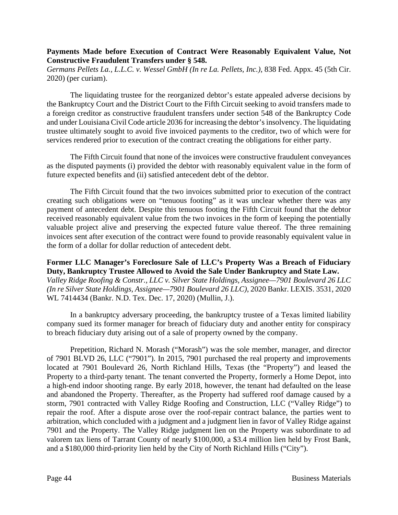### **Payments Made before Execution of Contract Were Reasonably Equivalent Value, Not Constructive Fraudulent Transfers under § 548.**

*Germans Pellets La., L.L.C. v. Wessel GmbH (In re La. Pellets, Inc.)*, 838 Fed. Appx. 45 (5th Cir. 2020) (per curiam).

The liquidating trustee for the reorganized debtor's estate appealed adverse decisions by the Bankruptcy Court and the District Court to the Fifth Circuit seeking to avoid transfers made to a foreign creditor as constructive fraudulent transfers under section 548 of the Bankruptcy Code and under Louisiana Civil Code article 2036 for increasing the debtor's insolvency. The liquidating trustee ultimately sought to avoid five invoiced payments to the creditor, two of which were for services rendered prior to execution of the contract creating the obligations for either party.

The Fifth Circuit found that none of the invoices were constructive fraudulent conveyances as the disputed payments (i) provided the debtor with reasonably equivalent value in the form of future expected benefits and (ii) satisfied antecedent debt of the debtor.

The Fifth Circuit found that the two invoices submitted prior to execution of the contract creating such obligations were on "tenuous footing" as it was unclear whether there was any payment of antecedent debt. Despite this tenuous footing the Fifth Circuit found that the debtor received reasonably equivalent value from the two invoices in the form of keeping the potentially valuable project alive and preserving the expected future value thereof. The three remaining invoices sent after execution of the contract were found to provide reasonably equivalent value in the form of a dollar for dollar reduction of antecedent debt.

**Former LLC Manager's Foreclosure Sale of LLC's Property Was a Breach of Fiduciary Duty, Bankruptcy Trustee Allowed to Avoid the Sale Under Bankruptcy and State Law.**  *Valley Ridge Roofing & Constr., LLC v. Silver State Holdings, Assignee—7901 Boulevard 26 LLC (In re Silver State Holdings, Assignee—7901 Boulevard 26 LLC)*, 2020 Bankr. LEXIS. 3531, 2020 WL 7414434 (Bankr. N.D. Tex. Dec. 17, 2020) (Mullin, J.).

In a bankruptcy adversary proceeding, the bankruptcy trustee of a Texas limited liability company sued its former manager for breach of fiduciary duty and another entity for conspiracy to breach fiduciary duty arising out of a sale of property owned by the company.

Prepetition, Richard N. Morash ("Morash") was the sole member, manager, and director of 7901 BLVD 26, LLC ("7901"). In 2015, 7901 purchased the real property and improvements located at 7901 Boulevard 26, North Richland Hills, Texas (the "Property") and leased the Property to a third-party tenant. The tenant converted the Property, formerly a Home Depot, into a high-end indoor shooting range. By early 2018, however, the tenant had defaulted on the lease and abandoned the Property. Thereafter, as the Property had suffered roof damage caused by a storm, 7901 contracted with Valley Ridge Roofing and Construction, LLC ("Valley Ridge") to repair the roof. After a dispute arose over the roof-repair contract balance, the parties went to arbitration, which concluded with a judgment and a judgment lien in favor of Valley Ridge against 7901 and the Property. The Valley Ridge judgment lien on the Property was subordinate to ad valorem tax liens of Tarrant County of nearly \$100,000, a \$3.4 million lien held by Frost Bank, and a \$180,000 third-priority lien held by the City of North Richland Hills ("City").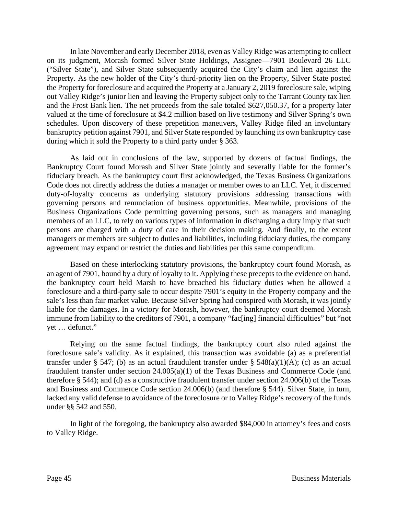In late November and early December 2018, even as Valley Ridge was attempting to collect on its judgment, Morash formed Silver State Holdings, Assignee—7901 Boulevard 26 LLC ("Silver State"), and Silver State subsequently acquired the City's claim and lien against the Property. As the new holder of the City's third-priority lien on the Property, Silver State posted the Property for foreclosure and acquired the Property at a January 2, 2019 foreclosure sale, wiping out Valley Ridge's junior lien and leaving the Property subject only to the Tarrant County tax lien and the Frost Bank lien. The net proceeds from the sale totaled \$627,050.37, for a property later valued at the time of foreclosure at \$4.2 million based on live testimony and Silver Spring's own schedules. Upon discovery of these prepetition maneuvers, Valley Ridge filed an involuntary bankruptcy petition against 7901, and Silver State responded by launching its own bankruptcy case during which it sold the Property to a third party under § 363.

As laid out in conclusions of the law, supported by dozens of factual findings, the Bankruptcy Court found Morash and Silver State jointly and severally liable for the former's fiduciary breach. As the bankruptcy court first acknowledged, the Texas Business Organizations Code does not directly address the duties a manager or member owes to an LLC. Yet, it discerned duty-of-loyalty concerns as underlying statutory provisions addressing transactions with governing persons and renunciation of business opportunities. Meanwhile, provisions of the Business Organizations Code permitting governing persons, such as managers and managing members of an LLC, to rely on various types of information in discharging a duty imply that such persons are charged with a duty of care in their decision making. And finally, to the extent managers or members are subject to duties and liabilities, including fiduciary duties, the company agreement may expand or restrict the duties and liabilities per this same compendium.

Based on these interlocking statutory provisions, the bankruptcy court found Morash, as an agent of 7901, bound by a duty of loyalty to it. Applying these precepts to the evidence on hand, the bankruptcy court held Marsh to have breached his fiduciary duties when he allowed a foreclosure and a third-party sale to occur despite 7901's equity in the Property company and the sale's less than fair market value. Because Silver Spring had conspired with Morash, it was jointly liable for the damages. In a victory for Morash, however, the bankruptcy court deemed Morash immune from liability to the creditors of 7901, a company "fac[ing] financial difficulties" but "not yet … defunct."

Relying on the same factual findings, the bankruptcy court also ruled against the foreclosure sale's validity. As it explained, this transaction was avoidable (a) as a preferential transfer under § 547; (b) as an actual fraudulent transfer under § 548(a)(1)(A); (c) as an actual fraudulent transfer under section 24.005(a)(1) of the Texas Business and Commerce Code (and therefore § 544); and (d) as a constructive fraudulent transfer under section 24.006(b) of the Texas and Business and Commerce Code section 24.006(b) (and therefore § 544). Silver State, in turn, lacked any valid defense to avoidance of the foreclosure or to Valley Ridge's recovery of the funds under §§ 542 and 550.

In light of the foregoing, the bankruptcy also awarded \$84,000 in attorney's fees and costs to Valley Ridge.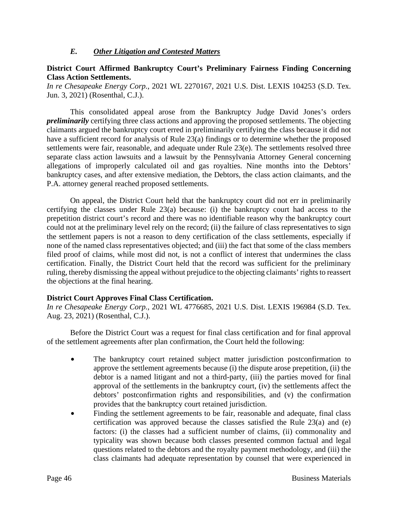### *E. Other Litigation and Contested Matters*

### **District Court Affirmed Bankruptcy Court's Preliminary Fairness Finding Concerning Class Action Settlements.**

*In re Chesapeake Energy Corp.*, 2021 WL 2270167, 2021 U.S. Dist. LEXIS 104253 (S.D. Tex. Jun. 3, 2021) (Rosenthal, C.J.).

This consolidated appeal arose from the Bankruptcy Judge David Jones's orders *preliminarily* certifying three class actions and approving the proposed settlements. The objecting claimants argued the bankruptcy court erred in preliminarily certifying the class because it did not have a sufficient record for analysis of Rule 23(a) findings or to determine whether the proposed settlements were fair, reasonable, and adequate under Rule 23(e). The settlements resolved three separate class action lawsuits and a lawsuit by the Pennsylvania Attorney General concerning allegations of improperly calculated oil and gas royalties. Nine months into the Debtors' bankruptcy cases, and after extensive mediation, the Debtors, the class action claimants, and the P.A. attorney general reached proposed settlements.

On appeal, the District Court held that the bankruptcy court did not err in preliminarily certifying the classes under Rule 23(a) because: (i) the bankruptcy court had access to the prepetition district court's record and there was no identifiable reason why the bankruptcy court could not at the preliminary level rely on the record; (ii) the failure of class representatives to sign the settlement papers is not a reason to deny certification of the class settlements, especially if none of the named class representatives objected; and (iii) the fact that some of the class members filed proof of claims, while most did not, is not a conflict of interest that undermines the class certification. Finally, the District Court held that the record was sufficient for the preliminary ruling, thereby dismissing the appeal without prejudice to the objecting claimants' rights to reassert the objections at the final hearing.

### **District Court Approves Final Class Certification.**

*In re Chesapeake Energy Corp.*, 2021 WL 4776685, 2021 U.S. Dist. LEXIS 196984 (S.D. Tex. Aug. 23, 2021) (Rosenthal, C.J.).

Before the District Court was a request for final class certification and for final approval of the settlement agreements after plan confirmation, the Court held the following:

- The bankruptcy court retained subject matter jurisdiction postconfirmation to approve the settlement agreements because (i) the dispute arose prepetition, (ii) the debtor is a named litigant and not a third-party, (iii) the parties moved for final approval of the settlements in the bankruptcy court, (iv) the settlements affect the debtors' postconfirmation rights and responsibilities, and (v) the confirmation provides that the bankruptcy court retained jurisdiction.
- Finding the settlement agreements to be fair, reasonable and adequate, final class certification was approved because the classes satisfied the Rule 23(a) and (e) factors: (i) the classes had a sufficient number of claims, (ii) commonality and typicality was shown because both classes presented common factual and legal questions related to the debtors and the royalty payment methodology, and (iii) the class claimants had adequate representation by counsel that were experienced in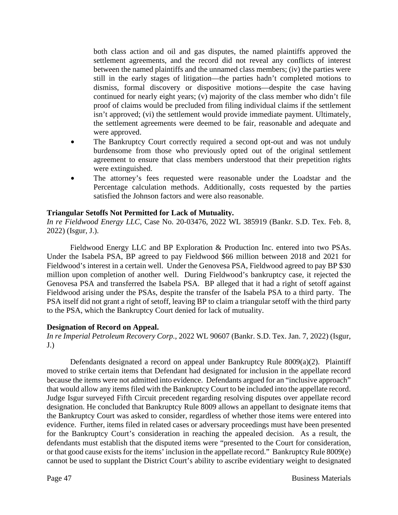both class action and oil and gas disputes, the named plaintiffs approved the settlement agreements, and the record did not reveal any conflicts of interest between the named plaintiffs and the unnamed class members; (iv) the parties were still in the early stages of litigation—the parties hadn't completed motions to dismiss, formal discovery or dispositive motions—despite the case having continued for nearly eight years; (v) majority of the class member who didn't file proof of claims would be precluded from filing individual claims if the settlement isn't approved; (vi) the settlement would provide immediate payment. Ultimately, the settlement agreements were deemed to be fair, reasonable and adequate and were approved.

- The Bankruptcy Court correctly required a second opt-out and was not unduly burdensome from those who previously opted out of the original settlement agreement to ensure that class members understood that their prepetition rights were extinguished.
- The attorney's fees requested were reasonable under the Loadstar and the Percentage calculation methods. Additionally, costs requested by the parties satisfied the Johnson factors and were also reasonable.

### **Triangular Setoffs Not Permitted for Lack of Mutuality.**

*In re Fieldwood Energy LLC*, Case No. 20-03476, 2022 WL 385919 (Bankr. S.D. Tex. Feb. 8, 2022) (Isgur, J.).

Fieldwood Energy LLC and BP Exploration & Production Inc. entered into two PSAs. Under the Isabela PSA, BP agreed to pay Fieldwood \$66 million between 2018 and 2021 for Fieldwood's interest in a certain well. Under the Genovesa PSA, Fieldwood agreed to pay BP \$30 million upon completion of another well. During Fieldwood's bankruptcy case, it rejected the Genovesa PSA and transferred the Isabela PSA. BP alleged that it had a right of setoff against Fieldwood arising under the PSAs, despite the transfer of the Isabela PSA to a third party. The PSA itself did not grant a right of setoff, leaving BP to claim a triangular setoff with the third party to the PSA, which the Bankruptcy Court denied for lack of mutuality.

### **Designation of Record on Appeal.**

*In re Imperial Petroleum Recovery Corp.*, 2022 WL 90607 (Bankr. S.D. Tex. Jan. 7, 2022) (Isgur,  $J.$ )

Defendants designated a record on appeal under Bankruptcy Rule 8009(a)(2). Plaintiff moved to strike certain items that Defendant had designated for inclusion in the appellate record because the items were not admitted into evidence. Defendants argued for an "inclusive approach" that would allow any items filed with the Bankruptcy Court to be included into the appellate record. Judge Isgur surveyed Fifth Circuit precedent regarding resolving disputes over appellate record designation. He concluded that Bankruptcy Rule 8009 allows an appellant to designate items that the Bankruptcy Court was asked to consider, regardless of whether those items were entered into evidence. Further, items filed in related cases or adversary proceedings must have been presented for the Bankruptcy Court's consideration in reaching the appealed decision. As a result, the defendants must establish that the disputed items were "presented to the Court for consideration, or that good cause exists for the items' inclusion in the appellate record." Bankruptcy Rule 8009(e) cannot be used to supplant the District Court's ability to ascribe evidentiary weight to designated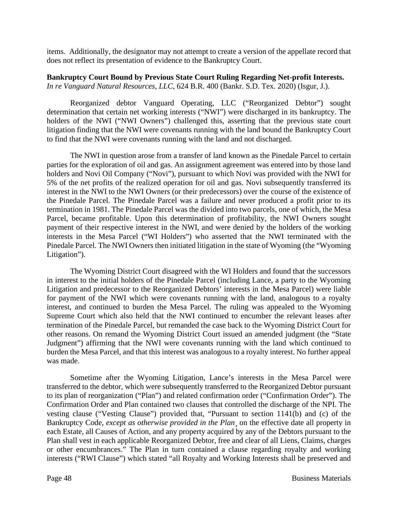items. Additionally, the designator may not attempt to create a version of the appellate record that does not reflect its presentation of evidence to the Bankruptcy Court.

### **Bankruptcy Court Bound by Previous State Court Ruling Regarding Net-profit Interests.**  *In re Vanguard Natural Resources, LLC*, 624 B.R. 400 (Bankr. S.D. Tex. 2020) (Isgur, J.).

Reorganized debtor Vanguard Operating, LLC ("Reorganized Debtor") sought determination that certain net working interests ("NWI") were discharged in its bankruptcy. The holders of the NWI ("NWI Owners") challenged this, asserting that the previous state court litigation finding that the NWI were covenants running with the land bound the Bankruptcy Court to find that the NWI were covenants running with the land and not discharged.

The NWI in question arose from a transfer of land known as the Pinedale Parcel to certain parties for the exploration of oil and gas. An assignment agreement was entered into by those land holders and Novi Oil Company ("Novi"), pursuant to which Novi was provided with the NWI for 5% of the net profits of the realized operation for oil and gas. Novi subsequently transferred its interest in the NWI to the NWI Owners (or their predecessors) over the course of the existence of the Pinedale Parcel. The Pinedale Parcel was a failure and never produced a profit prior to its termination in 1981. The Pinedale Parcel was the divided into two parcels, one of which, the Mesa Parcel, became profitable. Upon this determination of profitability, the NWI Owners sought payment of their respective interest in the NWI, and were denied by the holders of the working interests in the Mesa Parcel ("WI Holders") who asserted that the NWI terminated with the Pinedale Parcel. The NWI Owners then initiated litigation in the state of Wyoming (the "Wyoming Litigation").

The Wyoming District Court disagreed with the WI Holders and found that the successors in interest to the initial holders of the Pinedale Parcel (including Lance, a party to the Wyoming Litigation and predecessor to the Reorganized Debtors' interests in the Mesa Parcel) were liable for payment of the NWI which were covenants running with the land, analogous to a royalty interest, and continued to burden the Mesa Parcel. The ruling was appealed to the Wyoming Supreme Court which also held that the NWI continued to encumber the relevant leases after termination of the Pinedale Parcel, but remanded the case back to the Wyoming District Court for other reasons. On remand the Wyoming District Court issued an amended judgment (the "State Judgment") affirming that the NWI were covenants running with the land which continued to burden the Mesa Parcel, and that this interest was analogous to a royalty interest. No further appeal was made.

Sometime after the Wyoming Litigation, Lance's interests in the Mesa Parcel were transferred to the debtor, which were subsequently transferred to the Reorganized Debtor pursuant to its plan of reorganization ("Plan") and related confirmation order ("Confirmation Order"). The Confirmation Order and Plan contained two clauses that controlled the discharge of the NPI. The vesting clause ("Vesting Clause") provided that, "Pursuant to section 1141(b) and (c) of the Bankruptcy Code, *except as otherwise provided in the Plan*¸ on the effective date all property in each Estate, all Causes of Action, and any property acquired by any of the Debtors pursuant to the Plan shall vest in each applicable Reorganized Debtor, free and clear of all Liens, Claims, charges or other encumbrances." The Plan in turn contained a clause regarding royalty and working interests ("RWI Clause") which stated "all Royalty and Working Interests shall be preserved and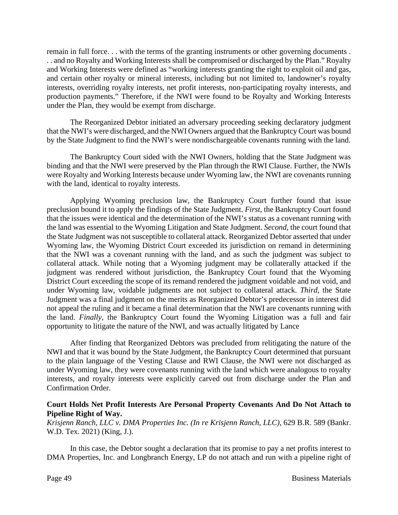remain in full force. . . with the terms of the granting instruments or other governing documents . . . and no Royalty and Working Interests shall be compromised or discharged by the Plan." Royalty and Working Interests were defined as "working interests granting the right to exploit oil and gas, and certain other royalty or mineral interests, including but not limited to, landowner's royalty interests, overriding royalty interests, net profit interests, non-participating royalty interests, and production payments." Therefore, if the NWI were found to be Royalty and Working Interests under the Plan, they would be exempt from discharge.

The Reorganized Debtor initiated an adversary proceeding seeking declaratory judgment that the NWI's were discharged, and the NWI Owners argued that the Bankruptcy Court was bound by the State Judgment to find the NWI's were nondischargeable covenants running with the land.

The Bankruptcy Court sided with the NWI Owners, holding that the State Judgment was binding and that the NWI were preserved by the Plan through the RWI Clause. Further, the NWIs were Royalty and Working Interests because under Wyoming law, the NWI are covenants running with the land, identical to royalty interests.

Applying Wyoming preclusion law, the Bankruptcy Court further found that issue preclusion bound it to apply the findings of the State Judgment. *First*, the Bankruptcy Court found that the issues were identical and the determination of the NWI's status as a covenant running with the land was essential to the Wyoming Litigation and State Judgment. *Second*, the court found that the State Judgment was not susceptible to collateral attack. Reorganized Debtor asserted that under Wyoming law, the Wyoming District Court exceeded its jurisdiction on remand in determining that the NWI was a covenant running with the land, and as such the judgment was subject to collateral attack. While noting that a Wyoming judgment may be collaterally attacked if the judgment was rendered without jurisdiction, the Bankruptcy Court found that the Wyoming District Court exceeding the scope of its remand rendered the judgment voidable and not void, and under Wyoming law, voidable judgments are not subject to collateral attack. *Third*, the State Judgment was a final judgment on the merits as Reorganized Debtor's predecessor in interest did not appeal the ruling and it became a final determination that the NWI are covenants running with the land. *Finally*, the Bankruptcy Court found the Wyoming Litigation was a full and fair opportunity to litigate the nature of the NWI, and was actually litigated by Lance

After finding that Reorganized Debtors was precluded from relitigating the nature of the NWI and that it was bound by the State Judgment, the Bankruptcy Court determined that pursuant to the plain language of the Vesting Clause and RWI Clause, the NWI were not discharged as under Wyoming law, they were covenants running with the land which were analogous to royalty interests, and royalty interests were explicitly carved out from discharge under the Plan and Confirmation Order.

### **Court Holds Net Profit Interests Are Personal Property Covenants And Do Not Attach to Pipeline Right of Way.**

*Krisjenn Ranch, LLC v. DMA Properties Inc. (In re Krisjenn Ranch, LLC)*, 629 B.R. 589 (Bankr. W.D. Tex. 2021) (King, J.).

In this case, the Debtor sought a declaration that its promise to pay a net profits interest to DMA Properties, Inc. and Longbranch Energy, LP do not attach and run with a pipeline right of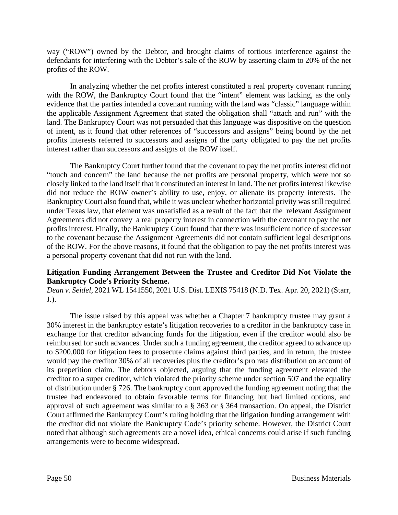way ("ROW") owned by the Debtor, and brought claims of tortious interference against the defendants for interfering with the Debtor's sale of the ROW by asserting claim to 20% of the net profits of the ROW.

In analyzing whether the net profits interest constituted a real property covenant running with the ROW, the Bankruptcy Court found that the "intent" element was lacking, as the only evidence that the parties intended a covenant running with the land was "classic" language within the applicable Assignment Agreement that stated the obligation shall "attach and run" with the land. The Bankruptcy Court was not persuaded that this language was dispositive on the question of intent, as it found that other references of "successors and assigns" being bound by the net profits interests referred to successors and assigns of the party obligated to pay the net profits interest rather than successors and assigns of the ROW itself.

The Bankruptcy Court further found that the covenant to pay the net profits interest did not "touch and concern" the land because the net profits are personal property, which were not so closely linked to the land itself that it constituted an interest in land. The net profits interest likewise did not reduce the ROW owner's ability to use, enjoy, or alienate its property interests. The Bankruptcy Court also found that, while it was unclear whether horizontal privity was still required under Texas law, that element was unsatisfied as a result of the fact that the relevant Assignment Agreements did not convey a real property interest in connection with the covenant to pay the net profits interest. Finally, the Bankruptcy Court found that there was insufficient notice of successor to the covenant because the Assignment Agreements did not contain sufficient legal descriptions of the ROW. For the above reasons, it found that the obligation to pay the net profits interest was a personal property covenant that did not run with the land.

### **Litigation Funding Arrangement Between the Trustee and Creditor Did Not Violate the Bankruptcy Code's Priority Scheme.**

*Dean v. Seidel*, 2021 WL 1541550, 2021 U.S. Dist. LEXIS 75418 (N.D. Tex. Apr. 20, 2021) (Starr, J.).

The issue raised by this appeal was whether a Chapter 7 bankruptcy trustee may grant a 30% interest in the bankruptcy estate's litigation recoveries to a creditor in the bankruptcy case in exchange for that creditor advancing funds for the litigation, even if the creditor would also be reimbursed for such advances. Under such a funding agreement, the creditor agreed to advance up to \$200,000 for litigation fees to prosecute claims against third parties, and in return, the trustee would pay the creditor 30% of all recoveries plus the creditor's pro rata distribution on account of its prepetition claim. The debtors objected, arguing that the funding agreement elevated the creditor to a super creditor, which violated the priority scheme under section 507 and the equality of distribution under § 726. The bankruptcy court approved the funding agreement noting that the trustee had endeavored to obtain favorable terms for financing but had limited options, and approval of such agreement was similar to a § 363 or § 364 transaction. On appeal, the District Court affirmed the Bankruptcy Court's ruling holding that the litigation funding arrangement with the creditor did not violate the Bankruptcy Code's priority scheme. However, the District Court noted that although such agreements are a novel idea, ethical concerns could arise if such funding arrangements were to become widespread.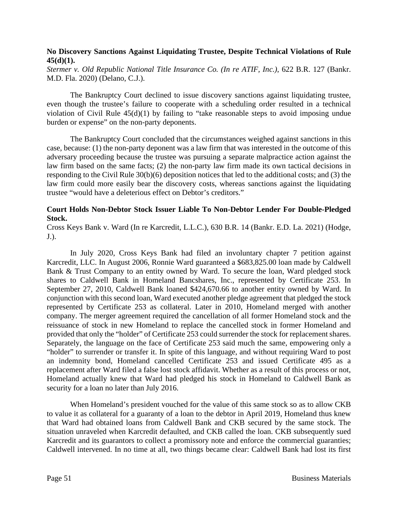### **No Discovery Sanctions Against Liquidating Trustee, Despite Technical Violations of Rule 45(d)(1).**

*Stermer v. Old Republic National Title Insurance Co. (In re ATIF, Inc.)*, 622 B.R. 127 (Bankr. M.D. Fla. 2020) (Delano, C.J.).

The Bankruptcy Court declined to issue discovery sanctions against liquidating trustee, even though the trustee's failure to cooperate with a scheduling order resulted in a technical violation of Civil Rule 45(d)(1) by failing to "take reasonable steps to avoid imposing undue burden or expense" on the non-party deponents.

The Bankruptcy Court concluded that the circumstances weighed against sanctions in this case, because: (1) the non-party deponent was a law firm that was interested in the outcome of this adversary proceeding because the trustee was pursuing a separate malpractice action against the law firm based on the same facts; (2) the non-party law firm made its own tactical decisions in responding to the Civil Rule 30(b)(6) deposition notices that led to the additional costs; and (3) the law firm could more easily bear the discovery costs, whereas sanctions against the liquidating trustee "would have a deleterious effect on Debtor's creditors."

### **Court Holds Non-Debtor Stock Issuer Liable To Non-Debtor Lender For Double-Pledged Stock.**

Cross Keys Bank v. Ward (In re Karcredit, L.L.C.), 630 B.R. 14 (Bankr. E.D. La. 2021) (Hodge, J.).

In July 2020, Cross Keys Bank had filed an involuntary chapter 7 petition against Karcredit, LLC. In August 2006, Ronnie Ward guaranteed a \$683,825.00 loan made by Caldwell Bank & Trust Company to an entity owned by Ward. To secure the loan, Ward pledged stock shares to Caldwell Bank in Homeland Bancshares, Inc., represented by Certificate 253. In September 27, 2010, Caldwell Bank loaned \$424,670.66 to another entity owned by Ward. In conjunction with this second loan, Ward executed another pledge agreement that pledged the stock represented by Certificate 253 as collateral. Later in 2010, Homeland merged with another company. The merger agreement required the cancellation of all former Homeland stock and the reissuance of stock in new Homeland to replace the cancelled stock in former Homeland and provided that only the "holder" of Certificate 253 could surrender the stock for replacement shares. Separately, the language on the face of Certificate 253 said much the same, empowering only a "holder" to surrender or transfer it. In spite of this language, and without requiring Ward to post an indemnity bond, Homeland cancelled Certificate 253 and issued Certificate 495 as a replacement after Ward filed a false lost stock affidavit. Whether as a result of this process or not, Homeland actually knew that Ward had pledged his stock in Homeland to Caldwell Bank as security for a loan no later than July 2016.

When Homeland's president vouched for the value of this same stock so as to allow CKB to value it as collateral for a guaranty of a loan to the debtor in April 2019, Homeland thus knew that Ward had obtained loans from Caldwell Bank and CKB secured by the same stock. The situation unraveled when Karcredit defaulted, and CKB called the loan. CKB subsequently sued Karcredit and its guarantors to collect a promissory note and enforce the commercial guaranties; Caldwell intervened. In no time at all, two things became clear: Caldwell Bank had lost its first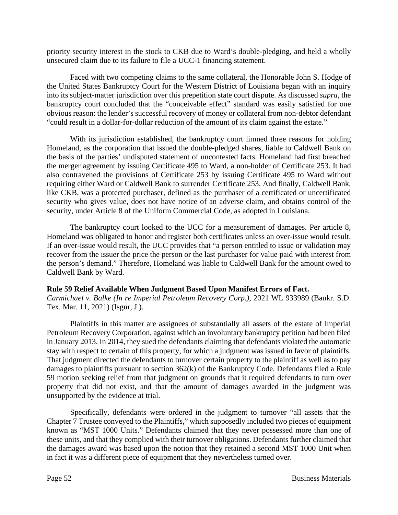priority security interest in the stock to CKB due to Ward's double-pledging, and held a wholly unsecured claim due to its failure to file a UCC-1 financing statement.

Faced with two competing claims to the same collateral, the Honorable John S. Hodge of the United States Bankruptcy Court for the Western District of Louisiana began with an inquiry into its subject-matter jurisdiction over this prepetition state court dispute. As discussed *supra*, the bankruptcy court concluded that the "conceivable effect" standard was easily satisfied for one obvious reason: the lender's successful recovery of money or collateral from non-debtor defendant "could result in a dollar-for-dollar reduction of the amount of its claim against the estate."

With its jurisdiction established, the bankruptcy court limned three reasons for holding Homeland, as the corporation that issued the double-pledged shares, liable to Caldwell Bank on the basis of the parties' undisputed statement of uncontested facts. Homeland had first breached the merger agreement by issuing Certificate 495 to Ward, a non-holder of Certificate 253. It had also contravened the provisions of Certificate 253 by issuing Certificate 495 to Ward without requiring either Ward or Caldwell Bank to surrender Certificate 253. And finally, Caldwell Bank, like CKB, was a protected purchaser, defined as the purchaser of a certificated or uncertificated security who gives value, does not have notice of an adverse claim, and obtains control of the security, under Article 8 of the Uniform Commercial Code, as adopted in Louisiana.

The bankruptcy court looked to the UCC for a measurement of damages. Per article 8, Homeland was obligated to honor and register both certificates unless an over-issue would result. If an over-issue would result, the UCC provides that "a person entitled to issue or validation may recover from the issuer the price the person or the last purchaser for value paid with interest from the person's demand." Therefore, Homeland was liable to Caldwell Bank for the amount owed to Caldwell Bank by Ward.

### **Rule 59 Relief Available When Judgment Based Upon Manifest Errors of Fact.**

*Carmichael v. Balke (In re Imperial Petroleum Recovery Corp.)*, 2021 WL 933989 (Bankr. S.D. Tex. Mar. 11, 2021) (Isgur, J.).

Plaintiffs in this matter are assignees of substantially all assets of the estate of Imperial Petroleum Recovery Corporation, against which an involuntary bankruptcy petition had been filed in January 2013. In 2014, they sued the defendants claiming that defendants violated the automatic stay with respect to certain of this property, for which a judgment was issued in favor of plaintiffs. That judgment directed the defendants to turnover certain property to the plaintiff as well as to pay damages to plaintiffs pursuant to section 362(k) of the Bankruptcy Code. Defendants filed a Rule 59 motion seeking relief from that judgment on grounds that it required defendants to turn over property that did not exist, and that the amount of damages awarded in the judgment was unsupported by the evidence at trial.

Specifically, defendants were ordered in the judgment to turnover "all assets that the Chapter 7 Trustee conveyed to the Plaintiffs," which supposedly included two pieces of equipment known as "MST 1000 Units." Defendants claimed that they never possessed more than one of these units, and that they complied with their turnover obligations. Defendants further claimed that the damages award was based upon the notion that they retained a second MST 1000 Unit when in fact it was a different piece of equipment that they nevertheless turned over.